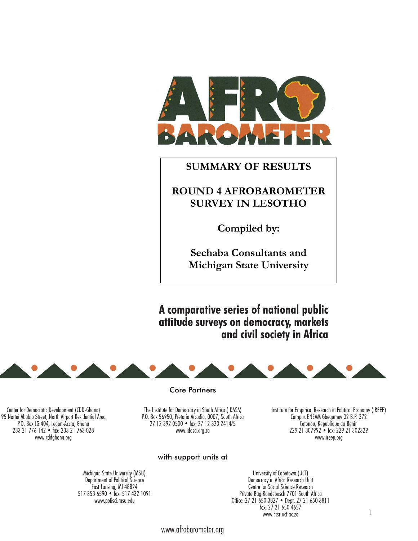

# **SUMMARY OF RESULTS**

# **ROUND 4 AFROBAROMETER SURVEY IN LESOTHO**

**Compiled by:** 

**Sechaba Consultants and Michigan State University** 

A comparative series of national public attitude surveys on democracy, markets and civil society in Africa



#### **Core Partners**

Institute for Empirical Research in Political Economy (IREEP) Compus ENEAM Gbegamey 02 B.P. 372<br>Cotonou, Republique du Benin<br>229 21 307992 • fax: 229 21 302329 www.ireep.org

The Institute for Democracy in South Africa (IDASA) P.O. Box 56950, Pretoria Arcadia, 0007, South Africa 27 12 392 0500 · fax: 27 12 320 2414/5 www.idasa.org.za

Center for Democratic Development (CDD-Ghana) 95 Nortei Ababio Street, North Airport Residential Area P.O. Box LG 404, Legon-Accra, Ghana 233 21 776 142 • fax: 233 21 763 028 www.cddghana.org

# with support units at

University of Capetown (UCT) Democracy in Africa Research Unit Centre for Social Science Research Private Bag Rondebosch 7701 South Africa Office: 27 21 650 3827 • Dept. 27 21 650 3811 fax: 27 21 650 4657 www.cssr.uct.ac.za

Michigan State University (MSU) Department of Political Science East Lansing, MI 48824<br>517 353 6590 • fax: 517 432 1091 www.polisci.msu.edu

www.afrobarometer.org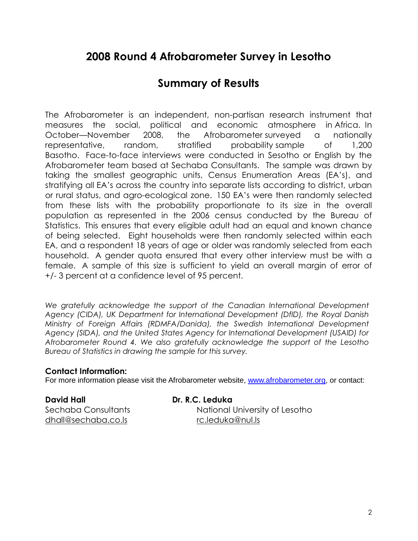# **2008 Round 4 Afrobarometer Survey in Lesotho**

# **Summary of Results**

The Afrobarometer is an independent, non-partisan research instrument that measures the social, political and economic atmosphere in Africa. In October—November 2008, the Afrobarometer surveyed a nationally representative, random, stratified probability sample of 1,200 Basotho. Face-to-face interviews were conducted in Sesotho or English by the Afrobarometer team based at Sechaba Consultants. The sample was drawn by taking the smallest geographic units, Census Enumeration Areas (EA's), and stratifying all EA's across the country into separate lists according to district, urban or rural status, and agro-ecological zone. 150 EA's were then randomly selected from these lists with the probability proportionate to its size in the overall population as represented in the 2006 census conducted by the Bureau of Statistics. This ensures that every eligible adult had an equal and known chance of being selected. Eight households were then randomly selected within each EA, and a respondent 18 years of age or older was randomly selected from each household. A gender quota ensured that every other interview must be with a female. A sample of this size is sufficient to yield an overall margin of error of +/- 3 percent at a confidence level of 95 percent.

We gratefully acknowledge the support of the Canadian International Development *Agency (CIDA), UK Department for International Development (DfID), the Royal Danish Ministry of Foreign Affairs (RDMFA/Danida), the Swedish International Development Agency (SIDA), and the United States Agency for International Development (USAID) for Afrobarometer Round 4. We also gratefully acknowledge the support of the Lesotho Bureau of Statistics in drawing the sample for this survey.* 

# **Contact Information:**

For more information please visit the Afrobarometer website, www.afrobarometer.org, or contact:

**David Hall Dr. R.C. Leduka**  dhall@sechaba.co.ls rc.leduka@nul.ls

Sechaba Consultants National University of Lesotho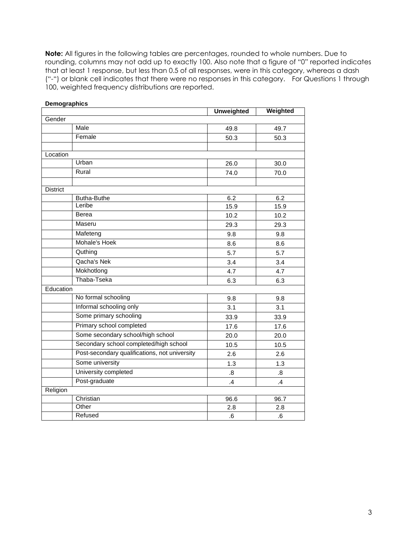**Note:** All figures in the following tables are percentages, rounded to whole numbers. Due to rounding, columns may not add up to exactly 100. Also note that a figure of "0" reported indicates that at least 1 response, but less than 0.5 of all responses, were in this category, whereas a dash ("-") or blank cell indicates that there were no responses in this category. For Questions 1 through 100, weighted frequency distributions are reported.

|                 |                                               | <b>Unweighted</b> | Weighted          |
|-----------------|-----------------------------------------------|-------------------|-------------------|
| Gender          |                                               |                   |                   |
|                 | Male                                          | 49.8              | 49.7              |
|                 | Female                                        | 50.3              | 50.3              |
|                 |                                               |                   |                   |
| Location        |                                               |                   |                   |
|                 | Urban                                         | 26.0              | 30.0              |
|                 | Rural                                         | 74.0              | 70.0              |
|                 |                                               |                   |                   |
| <b>District</b> |                                               |                   |                   |
|                 | <b>Butha-Buthe</b>                            | 6.2               | 6.2               |
|                 | Leribe                                        | 15.9              | 15.9              |
|                 | Berea                                         | 10.2              | 10.2              |
|                 | Maseru                                        | 29.3              | 29.3              |
|                 | Mafeteng                                      | 9.8               | 9.8               |
|                 | Mohale's Hoek                                 | 8.6               | 8.6               |
|                 | Quthing                                       | 5.7               | 5.7               |
|                 | Qacha's Nek                                   | 3.4               | 3.4               |
|                 | Mokhotlong                                    | 4.7               | 4.7               |
|                 | Thaba-Tseka                                   | 6.3               | 6.3               |
| Education       |                                               |                   |                   |
|                 | No formal schooling                           | 9.8               | 9.8               |
|                 | Informal schooling only                       | 3.1               | 3.1               |
|                 | Some primary schooling                        | 33.9              | 33.9              |
|                 | Primary school completed                      | 17.6              | 17.6              |
|                 | Some secondary school/high school             | 20.0              | 20.0              |
|                 | Secondary school completed/high school        | 10.5              | 10.5              |
|                 | Post-secondary qualifications, not university | 2.6               | 2.6               |
|                 | Some university                               | 1.3               | 1.3               |
|                 | University completed                          | 8.5               | $\boldsymbol{.8}$ |
|                 | Post-graduate                                 | .4                | $\mathcal{A}$     |
| Religion        |                                               |                   |                   |
|                 | Christian                                     | 96.6              | 96.7              |
|                 | Other                                         | 2.8               | 2.8               |
|                 | Refused                                       | .6                | .6                |

# **Demographics**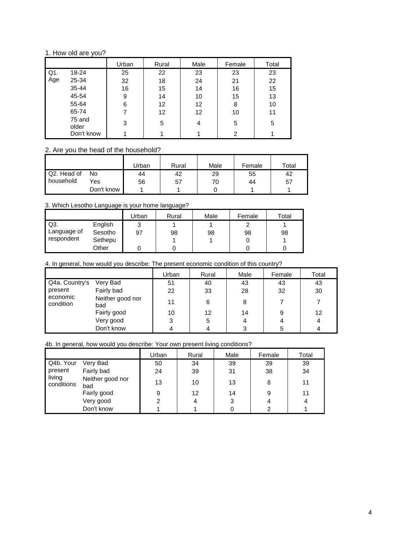## 1. How old are you?

|     |                 | Urban | Rural             | Male | Female | Total |
|-----|-----------------|-------|-------------------|------|--------|-------|
| Q1. | 18-24           | 25    | 22                | 23   | 23     | 23    |
| Age | 25-34           | 32    | 18                | 24   | 21     | 22    |
|     | 35-44           | 16    | 15                | 14   | 16     | 15    |
|     | 45-54           | 9     | 14                | 10   | 15     | 13    |
|     | 55-64           | 6     | 12                | 12   | 8      | 10    |
|     | 65-74           | 7     | $12 \overline{ }$ | 12   | 10     | 11    |
|     | 75 and<br>older | 3     | 5                 | 4    | 5      | 5     |
|     | Don't know      |       |                   |      | 2      |       |

# 2. Are you the head of the household?

|             |            | Urban | Rural | Male | Female | Total |
|-------------|------------|-------|-------|------|--------|-------|
| Q2. Head of | No         | 44    | 42    | 29   | 55     | 42    |
| household   | Yes        | 56    | 57    | 70   | 44     | 57    |
|             | Don't know |       |       |      |        |       |

## 3. Which Lesotho Language is your home language?

|             |         | Urban  | Rural | Male | Female | Total |
|-------------|---------|--------|-------|------|--------|-------|
| ' Q3.       | English | っ<br>J |       |      |        |       |
| Language of | Sesotho | 97     | 98    | 98   | 98     | 98    |
| respondent  | Sethepu |        |       |      |        |       |
|             | Other   |        |       |      |        |       |

## 4. In general, how would you describe: The present economic condition of this country?

|                       |                         | Urban | Rural | Male | Female | Total |
|-----------------------|-------------------------|-------|-------|------|--------|-------|
| Q4a. Country's        | Very Bad                | 51    | 40    | 43   | 43     | 43    |
| present               | Fairly bad              | 22    | 33    | 28   | 32     | 30    |
| economic<br>condition | Neither good nor<br>bad | 11    | 6     | 8    |        |       |
|                       | Fairly good             | 10    | 12    | 14   | 9      | 12    |
|                       | Very good               | 3     | 5     | 4    |        | 4     |
|                       | Don't know              |       |       |      | 5      |       |

## 4b. In general, how would you describe: Your own present living conditions?

|                      |                         | Urban | Rural | Male | Female | Total |
|----------------------|-------------------------|-------|-------|------|--------|-------|
| Q4b. Your            | Very Bad                | 50    | 34    | 39   | 39     | 39    |
| present              | Fairly bad              | 24    | 39    | 31   | 38     | 34    |
| living<br>conditions | Neither good nor<br>bad | 13    | 10    | 13   | 8      | 11    |
|                      | Fairly good             | 9     | 12    | 14   | 9      | 11    |
|                      | Very good               | 2     | 4     | 3    |        | 4     |
|                      | Don't know              |       |       |      |        |       |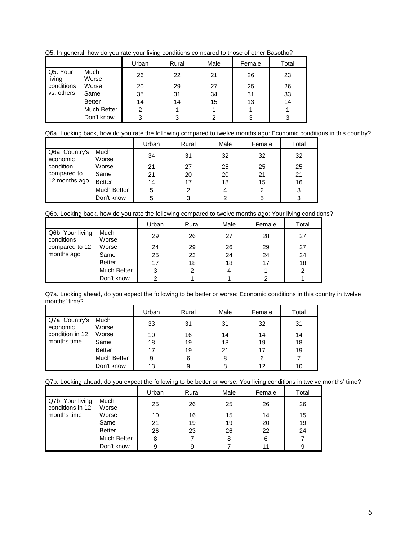Q5. In general, how do you rate your living conditions compared to those of other Basotho?

|                    |               | Urban | Rural | Male | Female | Total |
|--------------------|---------------|-------|-------|------|--------|-------|
| Q5. Your<br>living | Much<br>Worse | 26    | 22    | 21   | 26     | 23    |
| conditions         | Worse         | 20    | 29    | 27   | 25     | 26    |
| vs. others         | Same          | 35    | 31    | 34   | 31     | 33    |
|                    | <b>Better</b> | 14    | 14    | 15   | 13     | 14    |
|                    | Much Better   | 2     |       |      |        |       |
|                    | Don't know    | ર     | 3     | ົ    | າ      | 3     |

Q6a. Looking back, how do you rate the following compared to twelve months ago: Economic conditions in this country?

|                            |               | Urban | Rural | Male | Female | Total |
|----------------------------|---------------|-------|-------|------|--------|-------|
| Q6a. Country's<br>economic | Much<br>Worse | 34    | 31    | 32   | 32     | 32    |
| condition                  | Worse         | 21    | 27    | 25   | 25     | 25    |
| compared to                | Same          | 21    | 20    | 20   | 21     | 21    |
| 12 months ago              | <b>Better</b> | 14    | 17    | 18   | 15     | 16    |
|                            | Much Better   | 5     | 2     | 4    | 2      | 3     |
|                            | Don't know    |       |       | 2    | 5      | っ     |

Q6b. Looking back, how do you rate the following compared to twelve months ago: Your living conditions?

|                                |               | Urban          | Rural | Male | Female | Total |
|--------------------------------|---------------|----------------|-------|------|--------|-------|
| Q6b. Your living<br>conditions | Much<br>Worse | 29             | 26    | 27   | 28     | 27    |
| compared to 12                 | Worse         | 24             | 29    | 26   | 29     | 27    |
| months ago                     | Same          | 25             | 23    | 24   | 24     | 24    |
|                                | <b>Better</b> | 17             | 18    | 18   | 17     | 18    |
|                                | Much Better   | 3              | 2     | 4    |        | 2     |
|                                | Don't know    | $\overline{2}$ |       |      | 2      |       |

Q7a. Looking ahead, do you expect the following to be better or worse: Economic conditions in this country in twelve months' time?

|                            |                    | Urban | Rural | Male | Female | Total |
|----------------------------|--------------------|-------|-------|------|--------|-------|
| Q7a. Country's<br>economic | Much<br>Worse      | 33    | 31    | 31   | 32     | 31    |
| condition in 12            | Worse              | 10    | 16    | 14   | 14     | 14    |
| months time                | Same               | 18    | 19    | 18   | 19     | 18    |
|                            | <b>Better</b>      | 17    | 19    | 21   | 17     | 19    |
|                            | <b>Much Better</b> | 9     | 6     | 8    | 6      |       |
|                            | Don't know         | 13    |       |      | 12     | 10    |

Q7b. Looking ahead, do you expect the following to be better or worse: You living conditions in twelve months' time?

|                                      |               | Urban | Rural | Male | Female | Total |
|--------------------------------------|---------------|-------|-------|------|--------|-------|
| Q7b. Your living<br>conditions in 12 | Much<br>Worse | 25    | 26    | 25   | 26     | 26    |
| months time                          | Worse         | 10    | 16    | 15   | 14     | 15    |
|                                      | Same          | 21    | 19    | 19   | 20     | 19    |
|                                      | <b>Better</b> | 26    | 23    | 26   | 22     | 24    |
|                                      | Much Better   | 8     |       | 8    | 6      |       |
|                                      | Don't know    | 9     | 9     |      | 11     | 9     |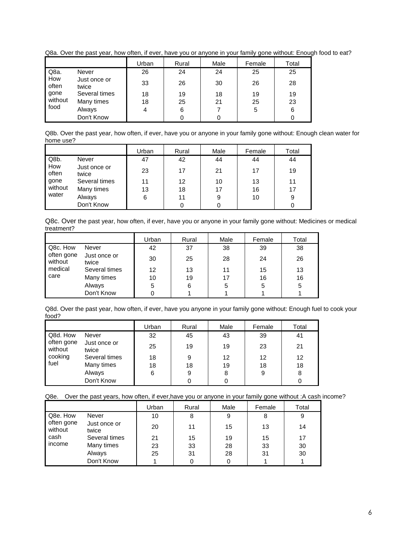Q8a. Over the past year, how often, if ever, have you or anyone in your family gone without: Enough food to eat?

|              |                       | Urban | Rural | Male | Female | Total |
|--------------|-----------------------|-------|-------|------|--------|-------|
| Q8a.         | Never                 | 26    | 24    | 24   | 25     | 25    |
| How<br>often | Just once or<br>twice | 33    | 26    | 30   | 26     | 28    |
| gone         | Several times         | 18    | 19    | 18   | 19     | 19    |
| without      | Many times            | 18    | 25    | 21   | 25     | 23    |
| food         | Always                | 4     | 6     |      | 5      | 6     |
|              | Don't Know            |       |       |      |        |       |

Q8b. Over the past year, how often, if ever, have you or anyone in your family gone without: Enough clean water for home use?

|                                                                                                            |               | Urban | Rural | Male | Female | Total |
|------------------------------------------------------------------------------------------------------------|---------------|-------|-------|------|--------|-------|
| Q8b.<br>Never<br>How<br>Just once or<br>often<br>twice<br>gone<br>without<br>Many times<br>water<br>Always |               | 47    | 42    | 44   | 44     | 44    |
|                                                                                                            |               | 23    | 17    | 21   | 17     | 19    |
|                                                                                                            | Several times | 11    | 12    | 10   | 13     | 11    |
|                                                                                                            |               | 13    | 18    | 17   | 16     | 17    |
|                                                                                                            |               | 6     | 11    | 9    | 10     | 9     |
|                                                                                                            | Don't Know    |       |       |      |        | 0     |

Q8c. Over the past year, how often, if ever, have you or anyone in your family gone without: Medicines or medical treatment?

|                                                                                |               | Urban | Rural | Male | Female | Total |
|--------------------------------------------------------------------------------|---------------|-------|-------|------|--------|-------|
| Q8c. How<br>Never<br>often gone<br>Just once or<br>without<br>twice<br>medical |               | 42    | 37    | 38   | 39     | 38    |
|                                                                                |               | 30    | 25    | 28   | 24     | 26    |
|                                                                                | Several times | 12    | 13    | 11   | 15     | 13    |
| care                                                                           | Many times    | 10    | 19    | 17   | 16     | 16    |
|                                                                                | Always        | 5     | 6     | 5    | 5      | 5     |
|                                                                                | Don't Know    |       |       |      |        |       |

Q8d. Over the past year, how often, if ever, have you anyone in your family gone without: Enough fuel to cook your food?

|                       |                       | Urban | Rural | Male | Female | Total |
|-----------------------|-----------------------|-------|-------|------|--------|-------|
| Q8d. How              | Never                 | 32    | 45    | 43   | 39     | 41    |
| often gone<br>without | Just once or<br>twice | 25    | 19    | 19   | 23     | 21    |
| cooking<br>fuel       | Several times         | 18    | 9     | 12   | 12     | 12    |
|                       | Many times            | 18    | 18    | 19   | 18     | 18    |
|                       | Always                | 6     | 9     | 8    | 9      | 8     |
|                       | Don't Know            |       |       |      |        |       |

Q8e. Over the past years, how often, if ever,have you or anyone in your family gone without :A cash income?

|                       |                       | Urban | Rural | Male | Female | Total |
|-----------------------|-----------------------|-------|-------|------|--------|-------|
| Q8e. How              | Never                 | 10    | 8     | 9    | 8      | 9     |
| often gone<br>without | Just once or<br>twice | 20    | 11    | 15   | 13     | 14    |
| cash                  | Several times         | 21    | 15    | 19   | 15     | 17    |
| income                | Many times            | 23    | 33    | 28   | 33     | 30    |
|                       | Always                | 25    | 31    | 28   | 31     | 30    |
|                       | Don't Know            |       |       |      |        |       |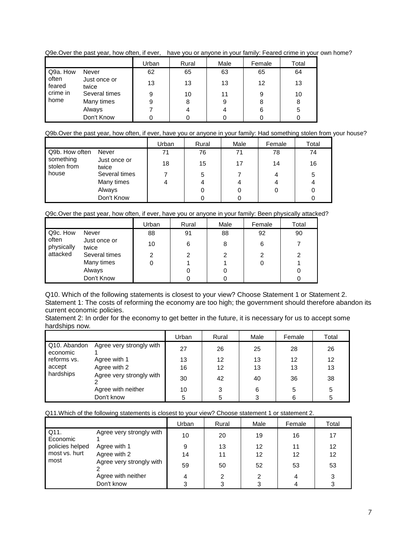|                                                 |                       | Urban | Rural | Male | Female | Total |
|-------------------------------------------------|-----------------------|-------|-------|------|--------|-------|
| Q9a. How<br>often<br>feared<br>crime in<br>home | Never                 | 62    | 65    | 63   | 65     | 64    |
|                                                 | Just once or<br>twice | 13    | 13    | 13   | 12     | 13    |
|                                                 | Several times         | 9     | 10    | 11   |        | 10    |
|                                                 | Many times            | 9     | 8     | 9    | 8      | 8     |
|                                                 | Always                |       |       |      | 6      | 5     |
|                                                 | Don't Know            |       |       |      |        |       |

Q9e.Over the past year, how often, if ever, have you or anyone in your family: Feared crime in your own home?

# Q9b.Over the past year, how often, if ever, have you or anyone in your family: Had something stolen from your house?

|                          |                       | Urban | Rural | Male | Female | Total |
|--------------------------|-----------------------|-------|-------|------|--------|-------|
| Q9b. How often           | Never                 | 71    | 76    | 71   | 78     | 74    |
| something<br>stolen from | Just once or<br>twice | 18    | 15    | 17   | 14     | 16    |
| house                    | Several times         |       | 5     |      | 4      | 5     |
|                          | Many times            | 4     |       |      | 4      |       |
|                          | Always                |       |       |      | 0      |       |
|                          | Don't Know            |       |       |      |        |       |

Q9c.Over the past year, how often, if ever, have you or anyone in your family: Been physically attacked?

|                     |                       | Urban | Rural | Male | Female | Total |
|---------------------|-----------------------|-------|-------|------|--------|-------|
| Q9c. How            | Never                 | 88    | 91    | 88   | 92     | 90    |
| often<br>physically | Just once or<br>twice | 10    | 6     | 8    | 6      |       |
| attacked            | Several times         | 2     | 2     | 2    | 2      | 2     |
|                     | Many times            |       |       |      |        |       |
|                     | Always                |       |       |      |        |       |
|                     | Don't Know            |       |       |      |        |       |

Q10. Which of the following statements is closest to your view? Choose Statement 1 or Statement 2. Statement 1: The costs of reforming the economy are too high; the government should therefore abandon its current economic policies.

Statement 2: In order for the economy to get better in the future, it is necessary for us to accept some hardships now.

|                          |                          | Urban | Rural | Male | Female | Total |
|--------------------------|--------------------------|-------|-------|------|--------|-------|
| Q10. Abandon<br>economic | Agree very strongly with | 27    | 26    | 25   | 28     | 26    |
| reforms vs.              | Agree with 1             | 13    | 12    | 13   | 12     | 12    |
| accept                   | Agree with 2             | 16    | 12    | 13   | 13     | 13    |
| hardships                | Agree very strongly with | 30    | 42    | 40   | 36     | 38    |
|                          | Agree with neither       | 10    | 3     | 6    | 5      | 5     |
|                          | Don't know               | 5     | 5     | 3    |        | 5     |

#### Q11.Which of the following statements is closest to your view? Choose statement 1 or statement 2.

|                  |                          | Urban | Rural | Male | Female | Total |
|------------------|--------------------------|-------|-------|------|--------|-------|
| Q11.<br>Economic | Agree very strongly with | 10    | 20    | 19   | 16     | 17    |
| policies helped  | Agree with 1             | 9     | 13    | 12   | 11     | 12    |
| most vs. hurt    | Agree with 2             | 14    | 11    | 12   | 12     | 12    |
| most             | Agree very strongly with | 59    | 50    | 52   | 53     | 53    |
|                  | Agree with neither       | 4     | ົ     | 2    | 4      | 3     |
|                  | Don't know               | 3     |       | 3    |        |       |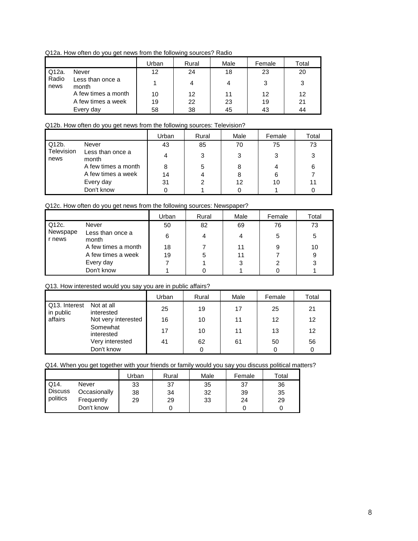Q12a. How often do you get news from the following sources? Radio

|               |                           | Urban | Rural | Male | Female | Total |
|---------------|---------------------------|-------|-------|------|--------|-------|
| Q12a.         | Never                     | 12    | 24    | 18   | 23     | 20    |
| Radio<br>news | Less than once a<br>month |       |       |      | 3      | 3     |
|               | A few times a month       | 10    | 12    | 11   | 12     | 12    |
|               | A few times a week        | 19    | 22    | 23   | 19     | 21    |
|               | Every day                 | 58    | 38    | 45   | 43     | 44    |

### Q12b. How often do you get news from the following sources: Television?

|                    |                           | Urban | Rural | Male | Female | Total |
|--------------------|---------------------------|-------|-------|------|--------|-------|
| Q12b.              | Never                     | 43    | 85    | 70   | 75     | 73    |
| Television<br>news | Less than once a<br>month |       | 3     | 3    | 3      | 3     |
|                    | A few times a month       |       |       | 8    |        | 6     |
|                    | A few times a week        | 14    |       | 8    | 6      |       |
|                    | Every day                 | 31    |       | 12   | 10     |       |
|                    | Don't know                |       |       |      |        |       |

# Q12c. How often do you get news from the following sources: Newspaper?

|                    |                           | Urban | Rural | Male | Female | Total |
|--------------------|---------------------------|-------|-------|------|--------|-------|
| Q12c.              | Never                     | 50    | 82    | 69   | 76     | 73    |
| Newspape<br>r news | Less than once a<br>month | 6     |       |      | 5      | 5     |
|                    | A few times a month       | 18    |       | 11   | 9      | 10    |
|                    | A few times a week        | 19    |       | 11   |        | 9     |
|                    | Every day                 |       |       | 3    |        | 3     |
|                    | Don't know                |       |       |      |        |       |

## Q13. How interested would you say you are in public affairs?

|                                          |                        | Urban | Rural | Male | Female | Total |
|------------------------------------------|------------------------|-------|-------|------|--------|-------|
| Q13. Interest<br>Not at all<br>in public | interested             | 25    | 19    | 17   | 25     | 21    |
| affairs                                  | Not very interested    | 16    | 10    | 11   | 12     | 12    |
|                                          | Somewhat<br>interested | 17    | 10    | 11   | 13     | 12    |
|                                          | Very interested        | 41    | 62    | 61   | 50     | 56    |
|                                          | Don't know             |       |       |      | 0      | 0     |

Q14. When you get together with your friends or family would you say you discuss political matters?

|                |              | Jrban | Rural | Male | Female | $\tau$ otal |
|----------------|--------------|-------|-------|------|--------|-------------|
| Q14.           | Never        | 33    | 37    | 35   | 37     | 36          |
| <b>Discuss</b> | Occasionally | 38    | 34    | 32   | 39     | 35          |
| politics       | Frequently   | 29    | 29    | 33   | 24     | 29          |
|                | Don't know   |       |       |      |        |             |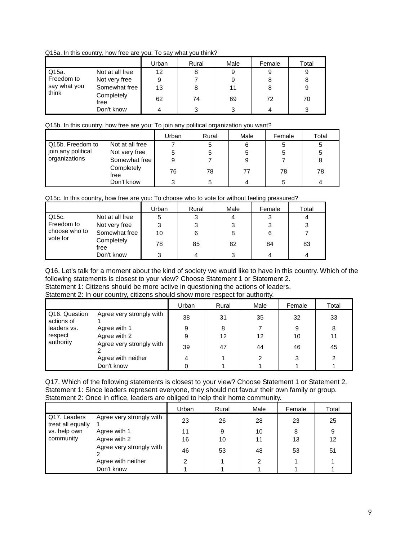Q15a. In this country, how free are you: To say what you think?

|                                                      |                 | Urban | Rural | Male | Female | Total |
|------------------------------------------------------|-----------------|-------|-------|------|--------|-------|
| Q15a.<br>Freedom to<br>say what you<br>think<br>free | Not at all free | 12    | 8     | 9    | 9      |       |
|                                                      | Not very free   | 9     |       |      | 8      |       |
|                                                      | Somewhat free   | 13    | 8     | 11   | 8      |       |
|                                                      | Completely      | 62    | 74    | 69   | 72     | 70    |
|                                                      | Don't know      | 4     | 3     |      |        |       |

Q15b. In this country, how free are you: To join any political organization you want?

|                    |                    | Urban | Rural | Male | Female | Total |
|--------------------|--------------------|-------|-------|------|--------|-------|
| Q15b. Freedom to   | Not at all free    |       | 5     | 6    | 5      | 5     |
| join any political | Not very free      | 5     | 5     |      |        |       |
| organizations      | Somewhat free      | 9     |       |      |        | 8     |
|                    | Completely<br>free | 76    | 78    | 77   | 78     | 78    |
|                    | Don't know         | ຈ     | 5     |      |        |       |

Q15c. In this country, how free are you: To choose who to vote for without feeling pressured?

|                                                                                                            |               | Urban | Rural | Male | Female | Total |
|------------------------------------------------------------------------------------------------------------|---------------|-------|-------|------|--------|-------|
| Q15c.<br>Not at all free<br>Freedom to<br>Not very free<br>choose who to<br>vote for<br>Completely<br>free |               | 5     | 3     | 4    | 3      |       |
|                                                                                                            |               | 3     | 3     | 3    |        | 3     |
|                                                                                                            | Somewhat free | 10    | 6     | 8    | 6      |       |
|                                                                                                            |               | 78    | 85    | 82   | 84     | 83    |
|                                                                                                            | Don't know    | 3     | 4     | 3    | 4      |       |

Q16. Let's talk for a moment about the kind of society we would like to have in this country. Which of the following statements is closest to your view? Choose Statement 1 or Statement 2.

Statement 1: Citizens should be more active in questioning the actions of leaders.

Statement 2: In our country, citizens should show more respect for authority.

|                             |                          | Urban | Rural | Male | Female | Total |
|-----------------------------|--------------------------|-------|-------|------|--------|-------|
| Q16. Question<br>actions of | Agree very strongly with | 38    | 31    | 35   | 32     | 33    |
| leaders vs.                 | Agree with 1             | 9     | 8     |      | 9      | 8     |
| respect                     | Agree with 2             | 9     | 12    | 12   | 10     | 11    |
| authority                   | Agree very strongly with | 39    | 47    | 44   | 46     | 45    |
|                             | Agree with neither       | 4     |       | 2    | っ      | っ     |
|                             | Don't know               |       |       |      |        |       |

Q17. Which of the following statements is closest to your view? Choose Statement 1 or Statement 2. Statement 1: Since leaders represent everyone, they should not favour their own family or group. Statement 2: Once in office, leaders are obliged to help their home community.

|                                   |                          | $\sim$ $\sim$<br>Urban | Rural | Male | Female | Total |
|-----------------------------------|--------------------------|------------------------|-------|------|--------|-------|
| Q17. Leaders<br>treat all equally | Agree very strongly with | 23                     | 26    | 28   | 23     | 25    |
| vs. help own                      | Agree with 1             | 11                     | 9     | 10   | 8      | 9     |
| community                         | Agree with 2             | 16                     | 10    | 11   | 13     | 12    |
|                                   | Agree very strongly with | 46                     | 53    | 48   | 53     | 51    |
|                                   | Agree with neither       | っ                      |       | 2    |        |       |
|                                   | Don't know               |                        |       |      |        |       |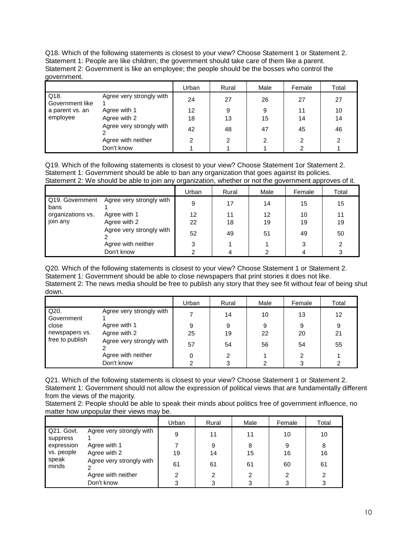Q18. Which of the following statements is closest to your view? Choose Statement 1 or Statement 2. Statement 1: People are like children; the government should take care of them like a parent. Statement 2: Government is like an employee; the people should be the bosses who control the government.

|                         |                          | Urban | Rural | Male | Female | Total |
|-------------------------|--------------------------|-------|-------|------|--------|-------|
| Q18.<br>Government like | Agree very strongly with | 24    | 27    | 26   | 27     | 27    |
| a parent vs. an         | Agree with 1             | 12    | 9     | 9    | 11     | 10    |
| employee                | Agree with 2             | 18    | 13    | 15   | 14     | 14    |
|                         | Agree very strongly with | 42    | 48    | 47   | 45     | 46    |
|                         | Agree with neither       |       | 2     | 2    |        | っ     |
|                         | Don't know               |       |       |      |        |       |

Q19. Which of the following statements is closest to your view? Choose Statement 1or Statement 2. Statement 1: Government should be able to ban any organization that goes against its policies. Statement 2: We should be able to join any organization, whether or not the government approves of it.

|                         |                          | Urban | Rural | Male | Female | Total |
|-------------------------|--------------------------|-------|-------|------|--------|-------|
| Q19. Government<br>bans | Agree very strongly with | 9     | 17    | 14   | 15     | 15    |
| organizations vs.       | Agree with 1             | 12    | 11    | 12   | 10     | 11    |
| join any                | Agree with 2             | 22    | 18    | 19   | 19     | 19    |
|                         | Agree very strongly with | 52    | 49    | 51   | 49     | 50    |
|                         | Agree with neither       | 3     |       |      | 3      | ⌒     |
|                         | Don't know               |       |       |      |        |       |

Q20. Which of the following statements is closest to your view? Choose Statement 1 or Statement 2. Statement 1: Government should be able to close newspapers that print stories it does not like. Statement 2: The news media should be free to publish any story that they see fit without fear of being shut down.

|                                   |                          | Urban | Rural | Male | Female | Total |
|-----------------------------------|--------------------------|-------|-------|------|--------|-------|
| Q20.<br>Government                | Agree very strongly with |       | 14    | 10   | 13     | 12    |
| close                             | Agree with 1             | 9     | 9     | 9    | 9      | 9     |
| newspapers vs.<br>free to publish | Agree with 2             | 25    | 19    | 22   | 20     | 21    |
|                                   | Agree very strongly with | 57    | 54    | 56   | 54     | 55    |
|                                   | Agree with neither       |       |       |      | 2      |       |
|                                   | Don't know               |       | 3     | ◠    |        |       |

Q21. Which of the following statements is closest to your view? Choose Statement 1 or Statement 2. Statement 1: Government should not allow the expression of political views that are fundamentally different from the views of the majority.

Statement 2: People should be able to speak their minds about politics free of government influence, no matter how unpopular their views may be.

|                        |                          | Urban | Rural | Male | Female | Total |
|------------------------|--------------------------|-------|-------|------|--------|-------|
| Q21. Govt.<br>suppress | Agree very strongly with | 9     | 11    |      | 10     | 10    |
| expression             | Agree with 1             |       | 9     | 8    | 9      | 8     |
| vs. people             | Agree with 2             | 19    | 14    | 15   | 16     | 16    |
| speak<br>minds         | Agree very strongly with | 61    | 61    | 61   | 60     | 61    |
|                        | Agree with neither       |       | 2     |      |        |       |
|                        | Don't know               | ◠     |       |      |        |       |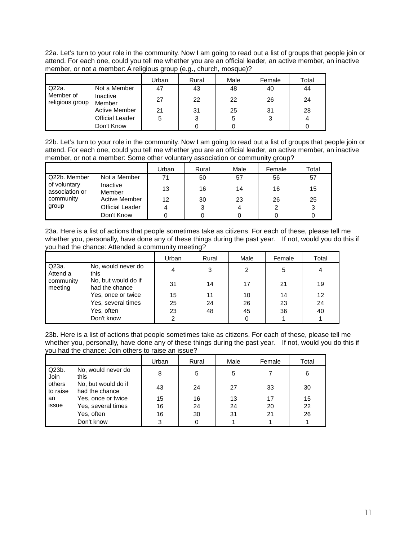22a. Let's turn to your role in the community. Now I am going to read out a list of groups that people join or attend. For each one, could you tell me whether you are an official leader, an active member, an inactive member, or not a member: A religious group (e.g., church, mosque)?

|                                |                        | Jrban | Rural | Male | Female | Total |
|--------------------------------|------------------------|-------|-------|------|--------|-------|
| Q22a.                          | Not a Member           | 47    | 43    | 48   | 40     | 44    |
| l Member of<br>religious group | Inactive<br>Member     | 27    | 22    | 22   | 26     | 24    |
|                                | <b>Active Member</b>   | 21    | 31    | 25   | 31     | 28    |
|                                | <b>Official Leader</b> | 5     | 3     | 5    | 3      | 4     |
|                                | Don't Know             |       |       |      |        |       |

22b. Let's turn to your role in the community. Now I am going to read out a list of groups that people join or attend. For each one, could you tell me whether you are an official leader, an active member, an inactive member, or not a member: Some other voluntary association or community group?

|                                                |                      | Urban | Rural | Male | Female | Total |
|------------------------------------------------|----------------------|-------|-------|------|--------|-------|
| Q22b. Member<br>of voluntary<br>association or | Not a Member         | 71    | 50    | 57   | 56     | 57    |
|                                                | Inactive<br>Member   | 13    | 16    | 14   | 16     | 15    |
| community                                      | <b>Active Member</b> | 12    | 30    | 23   | 26     | 25    |
| group                                          | Official Leader      | 4     | 3     |      | 2      | 3     |
|                                                | Don't Know           |       |       |      |        |       |

23a. Here is a list of actions that people sometimes take as citizens. For each of these, please tell me whether you, personally, have done any of these things during the past year. If not, would you do this if you had the chance: Attended a community meeting?

|                      |                                       | Urban | Rural | Male | Female | Total |
|----------------------|---------------------------------------|-------|-------|------|--------|-------|
| Q23a.<br>Attend a    | No, would never do<br>this            | 4     | 3     | 2    | 5      |       |
| community<br>meeting | No, but would do if<br>had the chance | 31    | 14    | 17   | 21     | 19    |
|                      | Yes, once or twice                    | 15    | 11    | 10   | 14     | 12    |
|                      | Yes, several times                    | 25    | 24    | 26   | 23     | 24    |
|                      | Yes, often                            | 23    | 48    | 45   | 36     | 40    |
|                      | Don't know                            | っ     |       |      |        |       |

23b. Here is a list of actions that people sometimes take as citizens. For each of these, please tell me whether you, personally, have done any of these things during the past year. If not, would you do this if you had the chance: Join others to raise an issue?

|                    |                                       | Urban | Rural | Male | Female | Total |
|--------------------|---------------------------------------|-------|-------|------|--------|-------|
| Q23b.<br>Join      | No, would never do<br>this            | 8     | 5     | 5    |        | 6     |
| others<br>to raise | No, but would do if<br>had the chance | 43    | 24    | 27   | 33     | 30    |
| an                 | Yes, once or twice                    | 15    | 16    | 13   | 17     | 15    |
| issue              | Yes, several times                    | 16    | 24    | 24   | 20     | 22    |
|                    | Yes, often                            | 16    | 30    | 31   | 21     | 26    |
|                    | Don't know                            | 3     | 0     |      |        |       |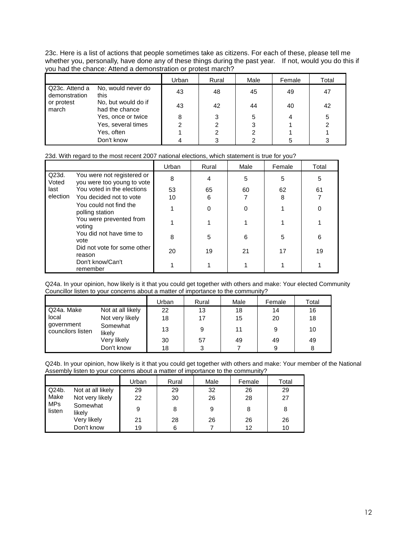23c. Here is a list of actions that people sometimes take as citizens. For each of these, please tell me whether you, personally, have done any of these things during the past year. If not, would you do this if you had the chance: Attend a demonstration or protest march?

|                                 |                                       | Urban | Rural | Male | Female | Total |
|---------------------------------|---------------------------------------|-------|-------|------|--------|-------|
| Q23c. Attend a<br>demonstration | No, would never do<br>this            | 43    | 48    | 45   | 49     | 47    |
| or protest<br>march             | No, but would do if<br>had the chance | 43    | 42    | 44   | 40     | 42    |
|                                 | Yes, once or twice                    | 8     | 3     | 5    |        | 5     |
|                                 | Yes, several times                    |       | 2     | 3    |        | 2     |
|                                 | Yes, often                            |       |       |      |        |       |
|                                 | Don't know                            |       | 3     |      |        | 3     |

## 23d. With regard to the most recent 2007 national elections, which statement is true for you?

|                |                                                          | Urban | Rural | Male | Female | Total |
|----------------|----------------------------------------------------------|-------|-------|------|--------|-------|
| Q23d.<br>Voted | You were not registered or<br>you were too young to vote | 8     | 4     | 5    | 5      | 5     |
| last           | You voted in the elections                               | 53    | 65    | 60   | 62     | 61    |
| election       | You decided not to vote                                  | 10    | 6     |      | 8      |       |
|                | You could not find the<br>polling station                |       | 0     |      |        | 0     |
|                | You were prevented from<br>voting                        |       |       |      |        |       |
|                | You did not have time to<br>vote                         | 8     | 5     | 6    | 5      | 6     |
|                | Did not vote for some other<br>reason                    | 20    | 19    | 21   | 17     | 19    |
|                | Don't know/Can't<br>remember                             |       |       |      |        |       |

Q24a. In your opinion, how likely is it that you could get together with others and make: Your elected Community Councillor listen to your concerns about a matter of importance to the community?

|                                 |                    | Urban | Rural | Male | Female | Total |
|---------------------------------|--------------------|-------|-------|------|--------|-------|
| Q24a. Make                      | Not at all likely  | 22    | 13    | 18   | 14     | 16    |
| local                           | Not very likely    | 18    | 17    | 15   | 20     | 18    |
| government<br>councilors listen | Somewhat<br>likely | 13    | 9     | 11   | 9      | 10    |
|                                 | Very likely        | 30    | 57    | 49   | 49     | 49    |
|                                 | Don't know         | 18    | っ     |      | 9      | 8     |

Q24b. In your opinion, how likely is it that you could get together with others and make: Your member of the National Assembly listen to your concerns about a matter of importance to the community?

|                      |                    | Urban | Rural | Male | Female | Total |
|----------------------|--------------------|-------|-------|------|--------|-------|
| Q24b.                | Not at all likely  | 29    | 29    | 32   | 26     | 29    |
| Make                 | Not very likely    | 22    | 30    | 26   | 28     | 27    |
| <b>MPs</b><br>listen | Somewhat<br>likely | 9     | 8     | 9    | 8      | 8     |
|                      | Very likely        | 21    | 28    | 26   | 26     | 26    |
|                      | Don't know         | 19    | 6     |      | 12     | 10    |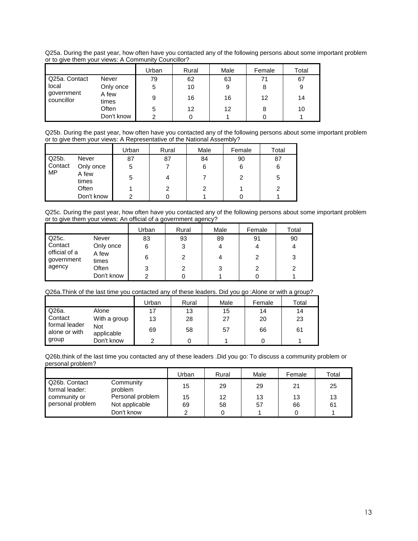Q25a. During the past year, how often have you contacted any of the following persons about some important problem or to give them your views: A Community Councillor?

|                          |                | Urban | Rural | Male | Female | Total |
|--------------------------|----------------|-------|-------|------|--------|-------|
| Q25a. Contact            | Never          | 79    | 62    | 63   | 71     | 67    |
| local                    | Only once      | 5     | 10    | 9    | 8      | 9     |
| government<br>councillor | A few<br>times | 9     | 16    | 16   | 12     | 14    |
|                          | Often          | 5     | 12    | 12   | 8      | 10    |
|                          | Don't know     | ົ     |       |      |        |       |

Q25b. During the past year, how often have you contacted any of the following persons about some important problem or to give them your views: A Representative of the National Assembly?

|         |                | Urban | Rural | Male | Female | Total |
|---------|----------------|-------|-------|------|--------|-------|
| Q25b.   | Never          | 87    | 87    | 84   | 90     | 87    |
| Contact | Only once      | 5     |       | 6    | 6      | 6     |
| MP      | A few<br>times | 5     | 4     |      |        | 5     |
|         | Often          |       | ⌒     | 2    |        | っ     |
|         | Don't know     | ົ     |       |      |        |       |

Q25c. During the past year, how often have you contacted any of the following persons about some important problem or to give them your views: An official of a government agency?

|                             |                | Urban | Rural | Male | Female | Total |
|-----------------------------|----------------|-------|-------|------|--------|-------|
| Q25c.                       | Never          | 83    | 93    | 89   | 91     | 90    |
| Contact                     | Only once      | 6     | 3     |      |        | 4     |
| official of a<br>government | A few<br>times | 6     | っ     |      | 2      | 3     |
| agency                      | Often          | 3     | 2     | 3    | 2      | 2     |
|                             | Don't know     | ົ     |       |      |        |       |

#### Q26a.Think of the last time you contacted any of these leaders. Did you go :Alone or with a group?

|                                |                          | Urban | Rural | Male | Female | Total |
|--------------------------------|--------------------------|-------|-------|------|--------|-------|
| Q26a.                          | Alone                    | 17    | 13    | 15   | 14     | 14    |
| Contact                        | With a group             | 13    | 28    | 27   | 20     | 23    |
| formal leader<br>alone or with | <b>Not</b><br>applicable | 69    | 58    | 57   | 66     | 61    |
| group                          | Don't know               |       |       |      |        |       |

Q26b.think of the last time you contacted any of these leaders .Did you go: To discuss a community problem or personal problem?

|                                 |                      | Jrban | Rural | Male | Female | Total |
|---------------------------------|----------------------|-------|-------|------|--------|-------|
| Q26b. Contact<br>formal leader: | Community<br>problem | 15    | 29    | 29   | 21     | 25    |
| community or                    | Personal problem     | 15    | 12    | 13   | 13     | 13    |
| personal problem                | Not applicable       | 69    | 58    | 57   | 66     | 61    |
|                                 | Don't know           | ົ     |       |      |        |       |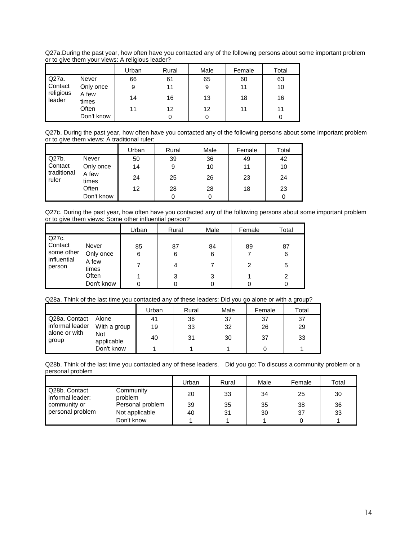Q27a.During the past year, how often have you contacted any of the following persons about some important problem or to give them your views: A religious leader?

|                     |                | Urban | Rural | Male | Female | Total |
|---------------------|----------------|-------|-------|------|--------|-------|
| Q27a.               | Never          | 66    | 61    | 65   | 60     | 63    |
| Contact             | Only once      | 9     | 11    | 9    | 11     | 10    |
| religious<br>leader | A few<br>times | 14    | 16    | 13   | 18     | 16    |
|                     | Often          | 11    | 12    | 12   | 11     | 11    |
|                     | Don't know     |       |       | 0    |        |       |

Q27b. During the past year, how often have you contacted any of the following persons about some important problem or to give them views: A traditional ruler:

|                      |                | Urban | Rural | Male | Female | Total |
|----------------------|----------------|-------|-------|------|--------|-------|
| Q27b.                | Never          | 50    | 39    | 36   | 49     | 42    |
| Contact              | Only once      | 14    | 9     | 10   | 11     | 10    |
| traditional<br>ruler | A few<br>times | 24    | 25    | 26   | 23     | 24    |
|                      | Often          | 12    | 28    | 28   | 18     | 23    |
|                      | Don't know     |       |       |      |        |       |

Q27c. During the past year, how often have you contacted any of the following persons about some important problem or to give them views: Some other influential person?

|                                                |                | Urban | Rural | Male | Female | Total |
|------------------------------------------------|----------------|-------|-------|------|--------|-------|
| Q27c.                                          |                |       |       |      |        |       |
| Contact<br>some other<br>influential<br>person | Never          | 85    | 87    | 84   | 89     | 87    |
|                                                | Only once      | 6     | 6     | 6    |        | 6     |
|                                                | A few<br>times |       | 4     |      | 2      | 5     |
|                                                | Often          |       | 3     | 3    |        | 2     |
|                                                | Don't know     |       |       | 0    |        |       |

#### Q28a. Think of the last time you contacted any of these leaders: Did you go alone or with a group?

|                        |                          | Urban | Rural | Male | Female | Total |
|------------------------|--------------------------|-------|-------|------|--------|-------|
| Q28a. Contact          | Alone                    | 41    | 36    | 37   | 37     | 37    |
| informal leader        | With a group             | 19    | 33    | 32   | 26     | 29    |
| alone or with<br>group | <b>Not</b><br>applicable | 40    | 31    | 30   | 37     | 33    |
|                        | Don't know               |       |       |      |        |       |

Q28b. Think of the last time you contacted any of these leaders. Did you go: To discuss a community problem or a personal problem

|                                   |                      | Urban | Rural | Male | Female | Total |
|-----------------------------------|----------------------|-------|-------|------|--------|-------|
| Q28b. Contact<br>informal leader: | Community<br>problem | 20    | 33    | 34   | 25     | 30    |
| community or                      | Personal problem     | 39    | 35    | 35   | 38     | 36    |
| personal problem                  | Not applicable       | 40    | 31    | 30   | 37     | 33    |
|                                   | Don't know           |       |       |      |        |       |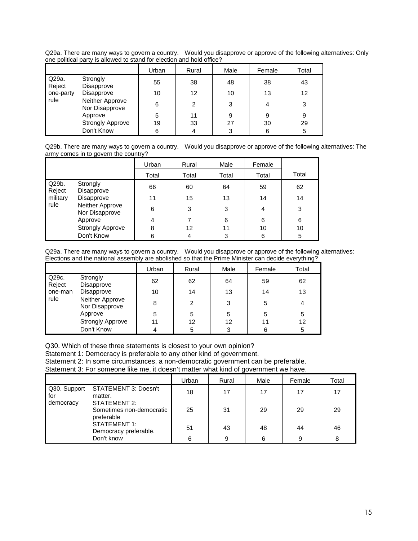Q29a. There are many ways to govern a country. Would you disapprove or approve of the following alternatives: Only one political party is allowed to stand for election and hold office?

|                 |                                   | Urban | Rural | Male | Female | Total |
|-----------------|-----------------------------------|-------|-------|------|--------|-------|
| Q29a.<br>Reject | Strongly<br>Disapprove            | 55    | 38    | 48   | 38     | 43    |
| one-party       | Disapprove                        | 10    | 12    | 10   | 13     | 12    |
| rule            | Neither Approve<br>Nor Disapprove | 6     | 2     | 3    | 4      | 3     |
|                 | Approve                           | 5     | 11    | 9    | 9      | 9     |
|                 | <b>Strongly Approve</b>           | 19    | 33    | 27   | 30     | 29    |
|                 | Don't Know                        | 6     | 4     | 3    | 6      | 5     |

Q29b. There are many ways to govern a country. Would you disapprove or approve of the following alternatives: The army comes in to govern the country?

|                 |                                   | Urban | Rural | Male  | Female |       |
|-----------------|-----------------------------------|-------|-------|-------|--------|-------|
|                 |                                   | Total | Total | Total | Total  | Total |
| Q29b.<br>Reject | Strongly<br>Disapprove            | 66    | 60    | 64    | 59     | 62    |
| military        | Disapprove                        | 11    | 15    | 13    | 14     | 14    |
| rule            | Neither Approve<br>Nor Disapprove | 6     | 3     | 3     | 4      | 3     |
|                 | Approve                           | 4     |       | 6     | 6      | 6     |
|                 | <b>Strongly Approve</b>           | 8     | 12    | 11    | 10     | 10    |
|                 | Don't Know                        |       | 4     | 3     | 6      | 5     |

Q29a. There are many ways to govern a country. Would you disapprove or approve of the following alternatives: Elections and the national assembly are abolished so that the Prime Minister can decide everything?

|                 |                                   | Urban | Rural | Male | Female | Total |
|-----------------|-----------------------------------|-------|-------|------|--------|-------|
| Q29c.<br>Reject | Strongly<br>Disapprove            | 62    | 62    | 64   | 59     | 62    |
| one-man         | Disapprove                        | 10    | 14    | 13   | 14     | 13    |
| rule            | Neither Approve<br>Nor Disapprove | 8     | 2     | 3    | 5      | 4     |
|                 | Approve                           | 5     | 5     | 5    | 5      | 5     |
|                 | <b>Strongly Approve</b>           | 11    | 12    | 12   | 11     | 12    |
|                 | Don't Know                        |       | 5     | 3    | 6      | 5     |

Q30. Which of these three statements is closest to your own opinion?

Statement 1: Democracy is preferable to any other kind of government.

Statement 2: In some circumstances, a non-democratic government can be preferable.

Statement 3: For someone like me, it doesn't matter what kind of government we have.

|                     |                                                        | Urban | Rural | Male | Female | Total |
|---------------------|--------------------------------------------------------|-------|-------|------|--------|-------|
| Q30. Support<br>for | STATEMENT 3: Doesn't<br>matter.                        | 18    | 17    | 17   | 17     | 17    |
| democracy           | STATEMENT 2:<br>Sometimes non-democratic<br>preferable | 25    | 31    | 29   | 29     | 29    |
|                     | STATEMENT 1:<br>Democracy preferable.                  | 51    | 43    | 48   | 44     | 46    |
|                     | Don't know                                             | 6     | 9     | 6    | 9      | 8     |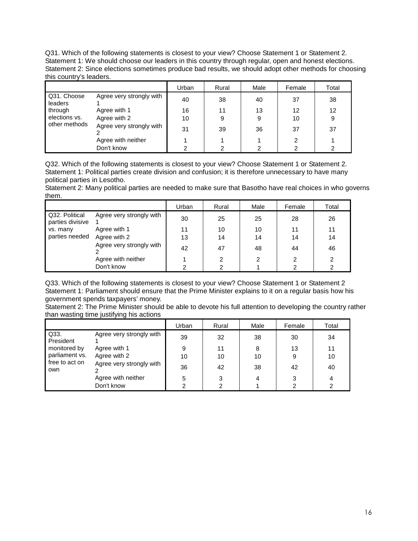Q31. Which of the following statements is closest to your view? Choose Statement 1 or Statement 2. Statement 1: We should choose our leaders in this country through regular, open and honest elections. Statement 2: Since elections sometimes produce bad results, we should adopt other methods for choosing this country's leaders.

|                        |                          | Urban | Rural | Male | Female | Total |
|------------------------|--------------------------|-------|-------|------|--------|-------|
| Q31. Choose<br>leaders | Agree very strongly with | 40    | 38    | 40   | 37     | 38    |
| through                | Agree with 1             | 16    | 11    | 13   | 12     | 12    |
| elections vs.          | Agree with 2             | 10    | 9     | 9    | 10     | 9     |
| other methods          | Agree very strongly with | 31    | 39    | 36   | 37     | 37    |
|                        | Agree with neither       |       |       |      |        |       |
|                        | Don't know               |       |       | າ    |        |       |

Q32. Which of the following statements is closest to your view? Choose Statement 1 or Statement 2. Statement 1: Political parties create division and confusion; it is therefore unnecessary to have many political parties in Lesotho.

Statement 2: Many political parties are needed to make sure that Basotho have real choices in who governs them.

|                                    |                          | Urban | Rural | Male | Female | Total |
|------------------------------------|--------------------------|-------|-------|------|--------|-------|
| Q32. Political<br>parties divisive | Agree very strongly with | 30    | 25    | 25   | 28     | 26    |
| vs. many                           | Agree with 1             | 11    | 10    | 10   | 11     | 11    |
| parties needed                     | Agree with 2             | 13    | 14    | 14   | 14     | 14    |
|                                    | Agree very strongly with | 42    | 47    | 48   | 44     | 46    |
|                                    | Agree with neither       |       | າ     | 2    |        | っ     |
|                                    | Don't know               | າ     |       |      |        |       |

Q33. Which of the following statements is closest to your view? Choose Statement 1 or Statement 2 Statement 1: Parliament should ensure that the Prime Minister explains to it on a regular basis how his government spends taxpayers' money.

Statement 2: The Prime Minister should be able to devote his full attention to developing the country rather than wasting time justifying his actions

|                       |                          | Urban | Rural | Male | Female | Total |
|-----------------------|--------------------------|-------|-------|------|--------|-------|
| Q33.<br>President     | Agree very strongly with | 39    | 32    | 38   | 30     | 34    |
| monitored by          | Agree with 1             | 9     | 11    | 8    | 13     | 11    |
| parliament vs.        | Agree with 2             | 10    | 10    | 10   | 9      | 10    |
| free to act on<br>own | Agree very strongly with | 36    | 42    | 38   | 42     | 40    |
|                       | Agree with neither       | 5     | 3     | 4    |        | 4     |
|                       | Don't know               |       |       |      |        |       |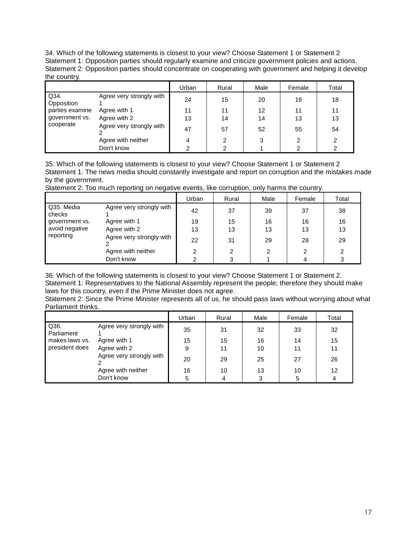34. Which of the following statements is closest to your view? Choose Statement 1 or Statement 2 Statement 1: Opposition parties should regularly examine and criticize government policies and actions. Statement 2: Opposition parties should concentrate on cooperating with government and helping it develop the country.

|                    |                          | Urban | Rural | Male | Female | Total |
|--------------------|--------------------------|-------|-------|------|--------|-------|
| Q34.<br>Opposition | Agree very strongly with | 24    | 15    | 20   | 16     | 18    |
| parties examine    | Agree with 1             | 11    | 11    | 12   | 11     | 11    |
| government vs.     | Agree with 2             | 13    | 14    | 14   | 13     | 13    |
| cooperate          | Agree very strongly with | 47    | 57    | 52   | 55     | 54    |
|                    | Agree with neither       | 4     | 2     | 3    | 2      | 2     |
|                    | Don't know               | ົ     |       |      |        |       |

35. Which of the following statements is closest to your view? Choose Statement 1 or Statement 2 Statement 1: The news media should constantly investigate and report on corruption and the mistakes made by the government.

Statement 2: Too much reporting on negative events, like corruption, only harms the country.

|                      |                          | Urban | Rural | Male | Female | Total |
|----------------------|--------------------------|-------|-------|------|--------|-------|
| Q35, Media<br>checks | Agree very strongly with | 42    | 37    | 39   | 37     | 38    |
| government vs.       | Agree with 1             | 19    | 15    | 16   | 16     | 16    |
| avoid negative       | Agree with 2             | 13    | 13    | 13   | 13     | 13    |
| reporting            | Agree very strongly with | 22    | 31    | 29   | 28     | 29    |
|                      | Agree with neither       |       | 2     | ົ    | ົ      | っ     |
|                      | Don't know               |       | 3     |      |        | 3     |

36. Which of the following statements is closest to your view? Choose Statement 1 or Statement 2. Statement 1: Representatives to the National Assembly represent the people; therefore they should make laws for this country, even if the Prime Minister does not agree.

Statement 2: Since the Prime Minister represents all of us, he should pass laws without worrying about what Parliament thinks.

|                    |                          | Urban | Rural | Male | Female | Total |
|--------------------|--------------------------|-------|-------|------|--------|-------|
| Q36.<br>Parliament | Agree very strongly with | 35    | 31    | 32   | 33     | 32    |
| makes laws vs.     | Agree with 1             | 15    | 15    | 16   | 14     | 15    |
| president does     | Agree with 2             | 9     | 11    | 10   | 11     | 11    |
|                    | Agree very strongly with | 20    | 29    | 25   | 27     | 26    |
|                    | Agree with neither       | 16    | 10    | 13   | 10     | 12    |
|                    | Don't know               | 5     |       | 3    |        |       |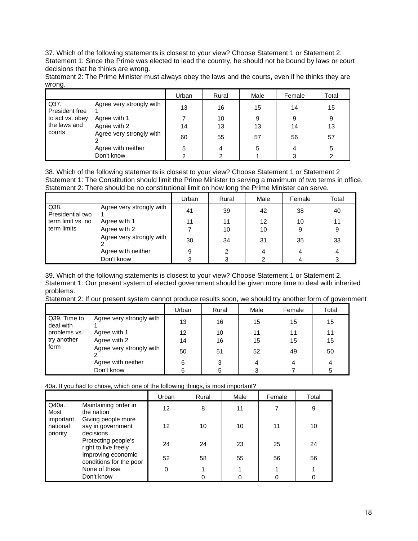37. Which of the following statements is closest to your view? Choose Statement 1 or Statement 2. Statement 1: Since the Prime was elected to lead the country, he should not be bound by laws or court decisions that he thinks are wrong.

Statement 2: The Prime Minister must always obey the laws and the courts, even if he thinks they are wrong.

|                        |                          | Urban | Rural | Male | Female | Total |
|------------------------|--------------------------|-------|-------|------|--------|-------|
| Q37.<br>President free | Agree very strongly with | 13    | 16    | 15   | 14     | 15    |
| to act vs. obey        | Agree with 1             |       | 10    | 9    | 9      | 9     |
| the laws and           | Agree with 2             | 14    | 13    | 13   | 14     | 13    |
| courts                 | Agree very strongly with | 60    | 55    | 57   | 56     | 57    |
|                        | Agree with neither       | 5     | 4     | 5    | 4      | 5     |
|                        | Don't know               | າ     |       |      |        |       |

38. Which of the following statements is closest to your view? Choose Statement 1 or Statement 2 Statement 1: The Constitution should limit the Prime Minister to serving a maximum of two terms in office. Statement 2: There should be no constitutional limit on how long the Prime Minister can serve.

|                          |                          | Urban | Rural | Male | Female | Total |
|--------------------------|--------------------------|-------|-------|------|--------|-------|
| Q38.<br>Presidential two | Agree very strongly with | 41    | 39    | 42   | 38     | 40    |
| term limit vs. no        | Agree with 1             | 11    | 11    | 12   | 10     | 11    |
| term limits              | Agree with 2             |       | 10    | 10   | 9      | 9     |
|                          | Agree very strongly with | 30    | 34    | 31   | 35     | 33    |
|                          | Agree with neither       | 9     |       | 4    |        |       |
|                          | Don't know               |       |       | 2    |        | 3     |

39. Which of the following statements is closest to your view? Choose Statement 1 or Statement 2. Statement 1: Our present system of elected government should be given more time to deal with inherited problems.

Statement 2: If our present system cannot produce results soon, we should try another form of government

|                           |                          | Urban             | Rural | Male | Female | Total |
|---------------------------|--------------------------|-------------------|-------|------|--------|-------|
| Q39. Time to<br>deal with | Agree very strongly with | 13                | 16    | 15   | 15     | 15    |
| problems vs.              | Agree with 1             | $12 \overline{ }$ | 10    | 11   | 11     | 11    |
| try another               | Agree with 2             | 14                | 16    | 15   | 15     | 15    |
| form                      | Agree very strongly with | 50                | 51    | 52   | 49     | 50    |
|                           | Agree with neither       | 6                 | 3     | 4    | 4      | 4     |
|                           | Don't know               | 6                 | 5     | 3    |        | 5     |

40a. If you had to chose, which one of the following things, is most important?

|                                   |                                                      | Urban | Rural | Male | Female | Total |
|-----------------------------------|------------------------------------------------------|-------|-------|------|--------|-------|
| Q40a.<br>Most                     | Maintaining order in<br>the nation                   | 12    | 8     | 11   |        | 9     |
| important<br>national<br>priority | Giving people more<br>say in government<br>decisions | 12    | 10    | 10   | 11     | 10    |
|                                   | Protecting people's<br>right to live freely          | 24    | 24    | 23   | 25     | 24    |
|                                   | Improving economic<br>conditions for the poor        | 52    | 58    | 55   | 56     | 56    |
|                                   | None of these                                        | 0     |       |      |        |       |
|                                   | Don't know                                           |       |       | 0    |        |       |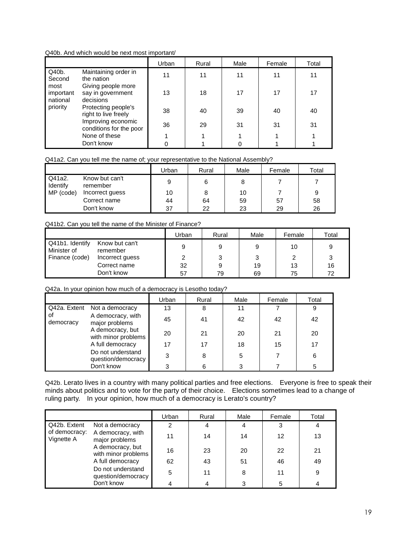#### Q40b. And which would be next most important/

|                               |                                                      | Urban | Rural | Male | Female | Total |
|-------------------------------|------------------------------------------------------|-------|-------|------|--------|-------|
| Q40b.<br>Second               | Maintaining order in<br>the nation                   | 11    | 11    | 11   | 11     | 11    |
| most<br>important<br>national | Giving people more<br>say in government<br>decisions | 13    | 18    | 17   | 17     | 17    |
| priority                      | Protecting people's<br>right to live freely          | 38    | 40    | 39   | 40     | 40    |
|                               | Improving economic<br>conditions for the poor        | 36    | 29    | 31   | 31     | 31    |
|                               | None of these                                        |       |       |      |        |       |
|                               | Don't know                                           |       |       |      |        |       |

#### Q41a2. Can you tell me the name of; your representative to the National Assembly?

|                                 |                            | Urban | Rural | Male | Female | Total |
|---------------------------------|----------------------------|-------|-------|------|--------|-------|
| Q41a2.<br>Identify<br>MP (code) | Know but can't<br>remember | 9     | 6     |      |        |       |
|                                 | Incorrect guess            | 10    |       | 10   |        | 9     |
|                                 | Correct name               | 44    | 64    | 59   | 57     | 58    |
|                                 | Don't know                 | 37    | 22    | 23   | 29     | 26    |

#### Q41b2. Can you tell the name of the Minister of Finance?

|                                |                            | Urban | Rural | Male | Female | Total |
|--------------------------------|----------------------------|-------|-------|------|--------|-------|
| Q41b1. Identify<br>Minister of | Know but can't<br>remember | 9     | 9     | 9    | 10     | 9     |
| Finance (code)                 | Incorrect guess            | っ     |       | 3    |        |       |
|                                | Correct name               | 32    | 9     | 19   | 13     | 16    |
|                                | Don't know                 | 57    | 79    | 69   | 75     | 72    |

Q42a. In your opinion how much of a democracy is Lesotho today?

|                                                                                                                                                                  |                              | Urban | Rural | Male | Female | Total |
|------------------------------------------------------------------------------------------------------------------------------------------------------------------|------------------------------|-------|-------|------|--------|-------|
|                                                                                                                                                                  | Q42a. Extent Not a democracy | 13    | 8     | 11   |        | 9     |
| οf<br>A democracy, with<br>democracy<br>major problems<br>A democracy, but<br>with minor problems<br>A full democracy<br>Do not understand<br>question/democracy | 45                           | 41    | 42    | 42   | 42     |       |
|                                                                                                                                                                  | 20                           | 21    | 20    | 21   | 20     |       |
|                                                                                                                                                                  | 17                           | 17    | 18    | 15   | 17     |       |
|                                                                                                                                                                  |                              | 3     | 8     | 5    |        | 6     |
|                                                                                                                                                                  | Don't know                   |       |       | З    |        | 5     |

Q42b. Lerato lives in a country with many political parties and free elections. Everyone is free to speak their minds about politics and to vote for the party of their choice. Elections sometimes lead to a change of ruling party. In your opinion, how much of a democracy is Lerato's country?

|                             |                                         | Urban | Rural | Male | Female | Total |
|-----------------------------|-----------------------------------------|-------|-------|------|--------|-------|
| Q42b. Extent                | Not a democracy                         | 2     | 4     |      | 3      | 4     |
| of democracy:<br>Vignette A | A democracy, with<br>major problems     | 11    | 14    | 14   | 12     | 13    |
|                             | A democracy, but<br>with minor problems | 16    | 23    | 20   | 22     | 21    |
|                             | A full democracy                        | 62    | 43    | 51   | 46     | 49    |
|                             | Do not understand<br>question/democracy | 5     | 11    | 8    | 11     | 9     |
|                             | Don't know                              | 4     |       |      | 5      |       |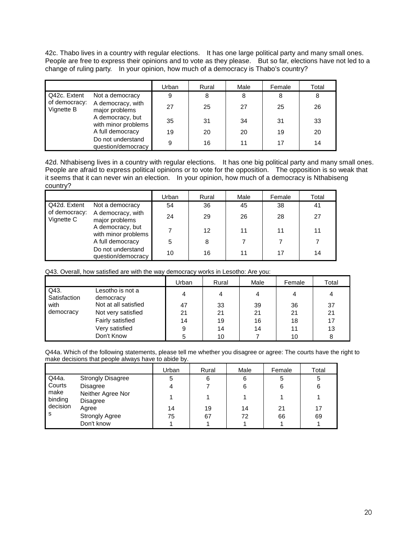42c. Thabo lives in a country with regular elections. It has one large political party and many small ones. People are free to express their opinions and to vote as they please. But so far, elections have not led to a change of ruling party. In your opinion, how much of a democracy is Thabo's country?

|                             |                                         | Urban | Rural | Male | Female | Total |
|-----------------------------|-----------------------------------------|-------|-------|------|--------|-------|
| Q42c. Extent                | Not a democracy                         | 9     | 8     | 8    | 8      | 8     |
| of democracy:<br>Vignette B | A democracy, with<br>major problems     | 27    | 25    | 27   | 25     | 26    |
|                             | A democracy, but<br>with minor problems | 35    | 31    | 34   | 31     | 33    |
|                             | A full democracy                        | 19    | 20    | 20   | 19     | 20    |
|                             | Do not understand<br>question/democracy | 9     | 16    | 11   |        | 14    |

42d. Nthabiseng lives in a country with regular elections. It has one big political party and many small ones. People are afraid to express political opinions or to vote for the opposition. The opposition is so weak that it seems that it can never win an election. In your opinion, how much of a democracy is Nthabiseng country?

|                             |                                         | Urban | Rural | Male | Female | Total |
|-----------------------------|-----------------------------------------|-------|-------|------|--------|-------|
| Q42d. Extent                | Not a democracy                         | 54    | 36    | 45   | 38     | 41    |
| of democracy:<br>Vignette C | A democracy, with<br>major problems     | 24    | 29    | 26   | 28     | 27    |
|                             | A democracy, but<br>with minor problems |       | 12    | 11   | 11     | 11    |
|                             | A full democracy                        | 5     | 8     |      |        |       |
|                             | Do not understand<br>question/democracy | 10    | 16    | 11   |        | 14    |

Q43. Overall, how satisfied are with the way democracy works in Lesotho: Are you:

|                      |                               | Urban | Rural | Male | Female | Total |
|----------------------|-------------------------------|-------|-------|------|--------|-------|
| Q43.<br>Satisfaction | Lesotho is not a<br>democracy | 4     |       |      |        | 4     |
| with                 | Not at all satisfied          | 47    | 33    | 39   | 36     | 37    |
| democracy            | Not very satisfied            | 21    | 21    | 21   | 21     | 21    |
|                      | Fairly satisfied              | 14    | 19    | 16   | 18     | 17    |
|                      | Very satisfied                | 9     | 14    | 14   |        | 13    |
|                      | Don't Know                    |       | 10    |      | 10     | 8     |

Q44a. Which of the following statements, please tell me whether you disagree or agree: The courts have the right to make decisions that people always have to abide by.

|                 |                               | Urban | Rural | Male | Female | Total |
|-----------------|-------------------------------|-------|-------|------|--------|-------|
| Q44a.           | <b>Strongly Disagree</b>      | 5     | 6     |      | 5      | 5     |
| Courts          | <b>Disagree</b>               | 4     |       |      | 6      | 6     |
| make<br>binding | Neither Agree Nor<br>Disagree |       |       |      |        |       |
| decision        | Agree                         | 14    | 19    | 14   | 21     | 17    |
| -S              | <b>Strongly Agree</b>         | 75    | 67    | 72   | 66     | 69    |
|                 | Don't know                    |       |       |      |        |       |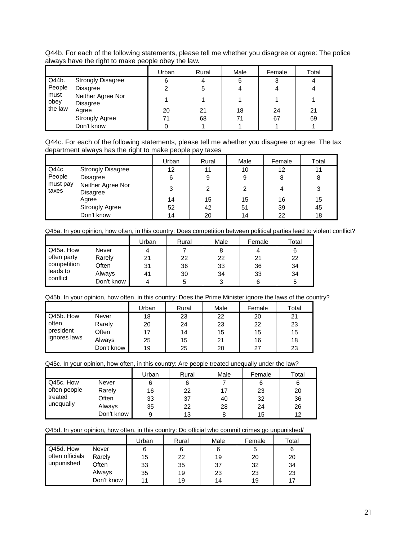Q44b. For each of the following statements, please tell me whether you disagree or agree: The police always have the right to make people obey the law.

|                |                               | Urban | Rural | Male | Female | Total |
|----------------|-------------------------------|-------|-------|------|--------|-------|
| Q44b.          | <b>Strongly Disagree</b>      | 6     |       | 5    | 3      |       |
| People         | Disagree                      |       | 5     |      |        |       |
| must<br>  obey | Neither Agree Nor<br>Disagree |       |       |      |        |       |
| the law        | Agree                         | 20    | 21    | 18   | 24     | 21    |
|                | <b>Strongly Agree</b>         | 71    | 68    | 71   | 67     | 69    |
|                | Don't know                    |       |       |      |        |       |

Q44c. For each of the following statements, please tell me whether you disagree or agree: The tax department always has the right to make people pay taxes

|                   |                                      | Urban | Rural | Male | Female | Total |
|-------------------|--------------------------------------|-------|-------|------|--------|-------|
| Q44c.             | <b>Strongly Disagree</b>             | 12    | 11    | 10   | 12     | 11    |
| People            | <b>Disagree</b>                      | 6     | 9     | 9    | 8      | 8     |
| must pay<br>taxes | Neither Agree Nor<br><b>Disagree</b> | 3     | 2     | 2    | 4      | 3     |
|                   | Agree                                | 14    | 15    | 15   | 16     | 15    |
|                   | <b>Strongly Agree</b>                | 52    | 42    | 51   | 39     | 45    |
|                   | Don't know                           | 14    | 20    | 14   | 22     | 18    |

Q45a. In you opinion, how often, in this country: Does competition between political parties lead to violent conflict?

|                                                    |            | Urban | Rural | Male | Female | Total |
|----------------------------------------------------|------------|-------|-------|------|--------|-------|
| Q45a. How                                          | Never      |       |       |      | 4      | 6     |
| often party<br>competition<br>leads to<br>confiict | Rarely     | 21    | 22    | 22   | 21     | 22    |
|                                                    | Often      | 31    | 36    | 33   | 36     | 34    |
|                                                    | Always     | 41    | 30    | 34   | 33     | 34    |
|                                                    | Don't know | 4     |       |      |        | 5     |

# Q45b. In your opinion, how often, in this country: Does the Prime Minister ignore the laws of the country?

|                                    |            | Urban | Rural | Male | Female | Total |
|------------------------------------|------------|-------|-------|------|--------|-------|
| Q45b. How                          | Never      | 18    | 23    | 22   | 20     | 21    |
| often<br>president<br>ignores laws | Rarely     | 20    | 24    | 23   | 22     | 23    |
|                                    | Often      | 17    | 14    | 15   | 15     | 15    |
|                                    | Always     | 25    | 15    | 21   | 16     | 18    |
|                                    | Don't know | 19    | 25    | 20   | 27     | 23    |

Q45c. In your opinion, how often, in this country: Are people treated unequally under the law?

|                                      |            | Urban | Rural | Male | Female | Total |
|--------------------------------------|------------|-------|-------|------|--------|-------|
| Q45c. How                            | Never      |       | 6     |      |        | 6     |
| often people<br>treated<br>unequally | Rarely     | 16    | 22    | 17   | 23     | 20    |
|                                      | Often      | 33    | 37    | 40   | 32     | 36    |
|                                      | Always     | 35    | 22    | 28   | 24     | 26    |
|                                      | Don't know |       | 13    |      | 15     | 12    |

#### Q45d. In your opinion, how often, in this country: Do official who commit crimes go unpunished/

|                 |            | Urban | Rural | Male | Female | Total |
|-----------------|------------|-------|-------|------|--------|-------|
| Q45d. How       | Never      | 6     | 6     | 6    |        | 6     |
| often officials | Rarely     | 15    | 22    | 19   | 20     | 20    |
| unpunished      | Often      | 33    | 35    | 37   | 32     | 34    |
|                 | Always     | 35    | 19    | 23   | 23     | 23    |
|                 | Don't know | 11    | 19    | 14   | 19     |       |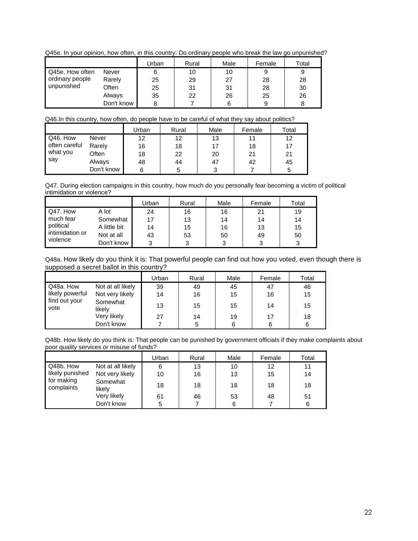Q45e. In your opinion, how often, in this country: Do ordinary people who break the law go unpunished?

|                 |            | Urban | Rural | Male | Female | Total |
|-----------------|------------|-------|-------|------|--------|-------|
| Q45e. How often | Never      | 6     | 10    | 10   | 9      | 9     |
| ordinary people | Rarely     | 25    | 29    | 27   | 28     | 28    |
| unpunished      | Often      | 25    | 31    | 31   | 28     | 30    |
|                 | Always     | 35    | 22    | 26   | 25     | 26    |
|                 | Don't know | 8     |       |      | 9      |       |

## Q46.In this country, how often, do people have to be careful of what they say about politics?

|                                  |            | Urban | Rural | Male | Female | Total |
|----------------------------------|------------|-------|-------|------|--------|-------|
| Q46. How                         | Never      | 12    | 12    | 13   | 11     | 12    |
| often careful<br>what you<br>say | Rarely     | 16    | 18    |      | 18     | 17    |
|                                  | Often      | 18    | 22    | 20   | 21     | 21    |
|                                  | Always     | 48    | 44    | 47   | 42     | 45    |
|                                  | Don't know |       |       | 2    |        | 5     |

Q47. During election campaigns in this country, how much do you personally fear becoming a victim of political intimidation or violence?

|                 |              | Urban | Rural | Male | Female | Total |
|-----------------|--------------|-------|-------|------|--------|-------|
| Q47. How        | A lot        | 24    | 16    | 16   | 21     | 19    |
| much fear       | Somewhat     | 17    | 13    | 14   | 14     | 14    |
| political       | A little bit | 14    | 15    | 16   | 13     | 15    |
| intimidation or | Not at all   | 43    | 53    | 50   | 49     | 50    |
| violence        | Don't know   |       | 3     | 3    | 3      | 3     |

Q48a. How likely do you think it is: That powerful people can find out how you voted, even though there is supposed a secret ballot in this country?

|                       |                    | Urban | Rural | Male | Female | Total |
|-----------------------|--------------------|-------|-------|------|--------|-------|
| Q48a. How             | Not at all likely  | 39    | 49    | 45   | 47     | 46    |
| likely powerful       | Not very likely    | 14    | 16    | 15   | 16     | 15    |
| find out your<br>vote | Somewhat<br>likely | 13    | 15    | 15   | 14     | 15    |
|                       | Very likely        | 27    | 14    | 19   | 17     | 18    |
|                       | Don't know         |       | 5     | 6    | 6      | 6     |

Q48b. How likely do you think is: That people can be punished by government officials if they make complaints about poor quality services or misuse of funds?

|                          |                    | Urban | Rural | Male | Female | Total |
|--------------------------|--------------------|-------|-------|------|--------|-------|
| Q48b. How                | Not at all likely  | 6     | 13    | 10   | 12     | 11    |
| likely punished          | Not very likely    | 10    | 16    | 13   | 15     | 14    |
| for making<br>complaints | Somewhat<br>likely | 18    | 18    | 18   | 18     | 18    |
|                          | Very likely        | 61    | 46    | 53   | 48     | 51    |
|                          | Don't know         | 5     |       | 6    |        | 6     |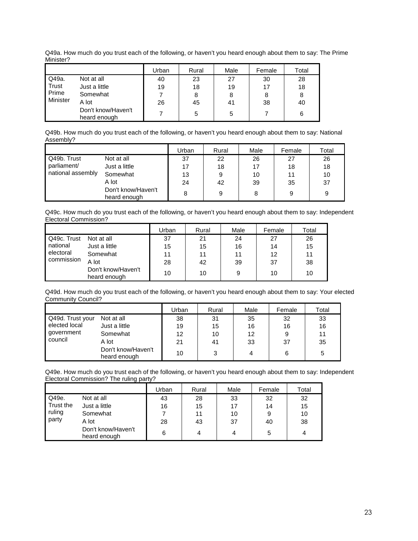Q49a. How much do you trust each of the following, or haven't you heard enough about them to say: The Prime Minister?

|          |                                    | Urban | Rural | Male | Female | Total |
|----------|------------------------------------|-------|-------|------|--------|-------|
| Q49a.    | Not at all                         | 40    | 23    | 27   | 30     | 28    |
| Trust    | Just a little                      | 19    | 18    | 19   | 17     | 18    |
| Prime    | Somewhat                           |       | 8     | 8    | 8      | 8     |
| Minister | A lot                              | 26    | 45    | 41   | 38     | 40    |
|          | Don't know/Haven't<br>heard enough |       | 5     | 5    |        | 6     |

Q49b. How much do you trust each of the following, or haven't you heard enough about them to say: National Assembly?

|                   |                                    | Jrban | Rural | Male | Female | Total |
|-------------------|------------------------------------|-------|-------|------|--------|-------|
| Q49b. Trust       | Not at all                         | 37    | 22    | 26   | 27     | 26    |
| parliament/       | Just a little                      |       | 18    | 17   | 18     | 18    |
| national assembly | Somewhat                           | 13    | 9     | 10   | 11     | 10    |
|                   | A lot                              | 24    | 42    | 39   | 35     | 37    |
|                   | Don't know/Haven't<br>heard enough | 8     | 9     | 8    | 9      | 9     |

Q49c. How much do you trust each of the following, or haven't you heard enough about them to say: Independent Electoral Commission?

|             |                                    | Jrban | Rural | Male | Female | Total |
|-------------|------------------------------------|-------|-------|------|--------|-------|
| Q49c. Trust | Not at all                         | 37    | 21    | 24   | 27     | 26    |
| national    | Just a little                      | 15    | 15    | 16   | 14     | 15    |
| electoral   | Somewhat                           | 11    | 11    | 11   | 12     | 11    |
| commission  | A lot                              | 28    | 42    | 39   | 37     | 38    |
|             | Don't know/Haven't<br>heard enough | 10    | 10    | 9    | 10     | 10    |

Q49d. How much do you trust each of the following, or haven't you heard enough about them to say: Your elected Community Council?

|                  |                                    | Urban | Rural | Male | Female | Total |
|------------------|------------------------------------|-------|-------|------|--------|-------|
| Q49d. Trust your | Not at all                         | 38    | 31    | 35   | 32     | 33    |
| elected local    | Just a little                      | 19    | 15    | 16   | 16     | 16    |
| government       | Somewhat                           | 12    | 10    | 12   |        | 11    |
| council          | A lot                              | 21    | 41    | 33   | 37     | 35    |
|                  | Don't know/Haven't<br>heard enough | 10    |       | 4    | 6      | b     |

Q49e. How much do you trust each of the following, or haven't you heard enough about them to say: Independent Electoral Commission? The ruling party?

|           |                                    | Urban | Rural | Male | Female | Total |
|-----------|------------------------------------|-------|-------|------|--------|-------|
| Q49e.     | Not at all                         | 43    | 28    | 33   | 32     | 32    |
| Trust the | Just a little                      | 16    | 15    | 17   | 14     | 15    |
| ruling    | Somewhat                           |       | 11    | 10   | 9      | 10    |
| party     | A lot                              | 28    | 43    | 37   | 40     | 38    |
|           | Don't know/Haven't<br>heard enough | 6     | 4     |      | 5      | 4     |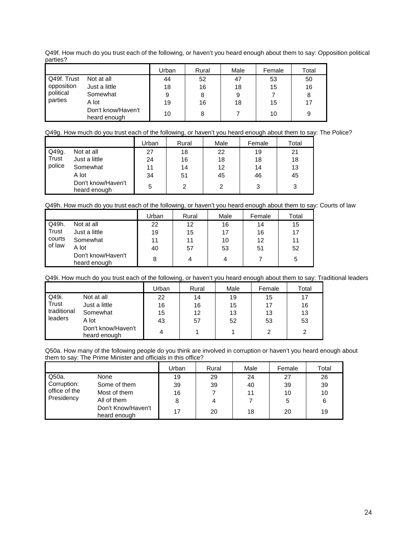Q49f. How much do you trust each of the following, or haven't you heard enough about them to say: Opposition political parties?

|             |                                    | Urban | Rural | Male | Female | Total |
|-------------|------------------------------------|-------|-------|------|--------|-------|
| Q49f. Trust | Not at all                         | 44    | 52    | 47   | 53     | 50    |
| opposition  | Just a little                      | 18    | 16    | 18   | 15     | 16    |
| political   | Somewhat                           | 9     | 8     |      |        | 8     |
| parties     | A lot                              | 19    | 16    | 18   | 15     | 17    |
|             | Don't know/Haven't<br>heard enough | 10    | 8     |      | 10     | 9     |

Q49g. How much do you trust each of the following, or haven't you heard enough about them to say: The Police?

|        |                                    | Urban | Rural | Male | Female | Total |
|--------|------------------------------------|-------|-------|------|--------|-------|
| Q49g.  | Not at all                         | 27    | 18    | 22   | 19     | 21    |
| Trust  | Just a little                      | 24    | 16    | 18   | 18     | 18    |
| police | Somewhat                           | 11    | 14    | 12   | 14     | 13    |
|        | A lot                              | 34    | 51    | 45   | 46     | 45    |
|        | Don't know/Haven't<br>heard enough | 5     |       |      | 3      | 3     |

Q49h. How much do you trust each of the following, or haven't you heard enough about them to say: Courts of law

|        |                                    | Urban | Rural | Male | Female | Total |
|--------|------------------------------------|-------|-------|------|--------|-------|
| Q49h.  | Not at all                         | 22    | 12    | 16   | 14     | 15    |
| Trust  | Just a little                      | 19    | 15    | 17   | 16     | 17    |
| courts | Somewhat                           | 11    | 11    | 10   | 12     | 11    |
| of law | A lot                              | 40    | 57    | 53   | 51     | 52    |
|        | Don't know/Haven't<br>heard enough | 8     | 4     | 4    |        | 5     |

|             |                                    | Urban | Rural | Male | Female | Total |
|-------------|------------------------------------|-------|-------|------|--------|-------|
| Q49i.       | Not at all                         | 22    | 14    | 19   | 15     | 17    |
| Trust       | Just a little                      | 16    | 16    | 15   | 17     | 16    |
| traditional | Somewhat                           | 15    | 12    | 13   | 13     | 13    |
| leaders     | A lot                              | 43    | 57    | 52   | 53     | 53    |
|             | Don't know/Haven't<br>heard enough | 4     |       |      | っ      | 2     |

Q50a. How many of the following people do you think are involved in corruption or haven't you heard enough about them to say: The Prime Minister and officials in this office?

|               |                                    | Jrban | Rural | Male | Female | Total |
|---------------|------------------------------------|-------|-------|------|--------|-------|
| Q50a.         | None                               | 19    | 29    | 24   | 27     | 26    |
| Corruption:   | Some of them                       | 39    | 39    | 40   | 39     | 39    |
| office of the | Most of them                       | 16    |       | 11   | 10     | 10    |
| Presidency    | All of them                        |       |       |      | 5      | 6     |
|               | Don't Know/Haven't<br>heard enough | 17    | 20    | 18   | 20     | 19    |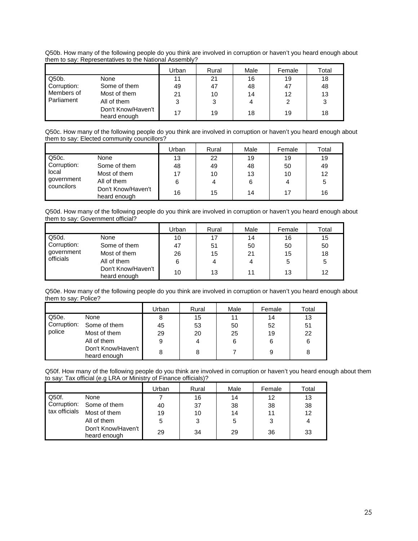Q50b. How many of the following people do you think are involved in corruption or haven't you heard enough about them to say: Representatives to the National Assembly?

|                 |                                    | Urban | Rural | Male | Female | Total |
|-----------------|------------------------------------|-------|-------|------|--------|-------|
| $\sqrt{Q50b}$ . | None                               |       | 21    | 16   | 19     | 18    |
| Corruption:     | Some of them                       | 49    | 47    | 48   | 47     | 48    |
| Members of      | Most of them                       | 21    | 10    | 14   | 12     | 13    |
| l Parliament    | All of them                        | ◠     | 3     |      |        | 3     |
|                 | Don't Know/Haven't<br>heard enough | 17    | 19    | 18   | 19     | 18    |

Q50c. How many of the following people do you think are involved in corruption or haven't you heard enough about them to say: Elected community councillors?

|                      |                                    | Urban | Rural | Male | Female | Total |
|----------------------|------------------------------------|-------|-------|------|--------|-------|
| $\vert$ Q50c.        | None                               | 13    | 22    | 19   | 19     | 19    |
| Corruption:<br>local | Some of them                       | 48    | 49    | 48   | 50     | 49    |
|                      | Most of them                       | 17    | 10    | 13   | 10     | 12    |
| government           | All of them                        |       | 4     | 6    | 4      | 5     |
| councilors           | Don't Know/Haven't<br>heard enough | 16    | 15    | 14   | 17     | 16    |

Q50d. How many of the following people do you think are involved in corruption or haven't you heard enough about them to say: Government official?

|             |                                    | Urban | Rural | Male | Female | Total |
|-------------|------------------------------------|-------|-------|------|--------|-------|
| Q50d.       | None                               | 10    | 17    | 14   | 16     | 15    |
| Corruption: | Some of them                       | 47    | 51    | 50   | 50     | 50    |
| government  | Most of them                       | 26    | 15    | 21   | 15     | 18    |
| officials   | All of them                        | 6     | 4     | 4    | 5      | 5     |
|             | Don't Know/Haven't<br>heard enough | 10    | 13    | 11   | 13     | 12    |

Q50e. How many of the following people do you think are involved in corruption or haven't you heard enough about them to say: Police?

|             |                                    | Urban | Rural | Male | Female | Total |
|-------------|------------------------------------|-------|-------|------|--------|-------|
| Q50e.       | None                               | 8     | 15    | 11   | 14     | 13    |
| Corruption: | Some of them                       | 45    | 53    | 50   | 52     | 51    |
| police      | Most of them                       | 29    | 20    | 25   | 19     | 22    |
|             | All of them                        | 9     | 4     | 6    | 6      | 6     |
|             | Don't Know/Haven't<br>heard enough | 8     | 8     |      | 9      | 8     |

Q50f. How many of the following people do you think are involved in corruption or haven't you heard enough about them to say: Tax official (e.g LRA or Ministry of Finance officials)?

|               |                                    | Urban | Rural | Male | Female | Total |
|---------------|------------------------------------|-------|-------|------|--------|-------|
| Q50f.         | None                               |       | 16    | 14   | 12     | 13    |
|               | Corruption: Some of them           | 40    | 37    | 38   | 38     | 38    |
| tax officials | Most of them                       | 19    | 10    | 14   | 11     | 12    |
|               | All of them                        | 5     | 3     | 5    | 3      | 4     |
|               | Don't Know/Haven't<br>heard enough | 29    | 34    | 29   | 36     | 33    |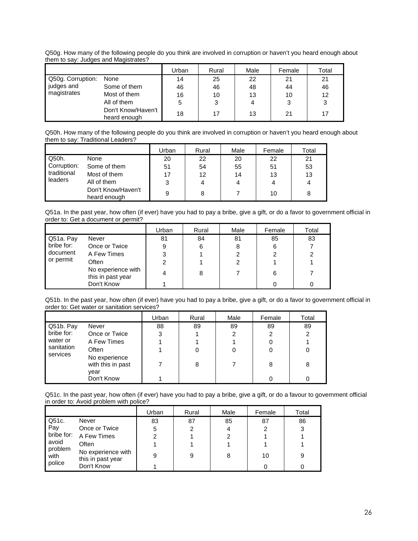Q50g. How many of the following people do you think are involved in corruption or haven't you heard enough about them to say: Judges and Magistrates?

|                   |                                    | Urban | Rural | Male | Female | Total |
|-------------------|------------------------------------|-------|-------|------|--------|-------|
| Q50g. Corruption: | None                               | 14    | 25    | 22   | 21     | 21    |
| judges and        | Some of them                       | 46    | 46    | 48   | 44     | 46    |
| magistrates       | Most of them                       | 16    | 10    | 13   | 10     | 12    |
|                   | All of them                        | 5     | 3     | 4    | 3      | 3     |
|                   | Don't Know/Haven't<br>heard enough | 18    |       | 13   | 21     | 17    |

Q50h. How many of the following people do you think are involved in corruption or haven't you heard enough about them to say: Traditional Leaders?

|                                       |                                    | Urban | Rural | Male | Female | Total |
|---------------------------------------|------------------------------------|-------|-------|------|--------|-------|
| Q50h.                                 | None                               | 20    | 22    | 20   | 22     | 21    |
| Corruption:<br>traditional<br>leaders | Some of them                       | 51    | 54    | 55   | 51     | 53    |
|                                       | Most of them                       | 17    | 12    | 14   | 13     | 13    |
|                                       | All of them                        | 3     |       |      | 4      |       |
|                                       | Don't Know/Haven't<br>heard enough | 9     | 8     |      | 10     | 8     |

Q51a. In the past year, how often (if ever) have you had to pay a bribe, give a gift, or do a favor to government official in order to: Get a document or permit?

|                       |                                         | Urban | Rural | Male | Female | Total |
|-----------------------|-----------------------------------------|-------|-------|------|--------|-------|
| Q51a. Pay             | Never                                   | 81    | 84    | 81   | 85     | 83    |
| bribe for:            | Once or Twice                           |       | 6     | 8    | 6      |       |
| document<br>or permit | A Few Times                             |       |       |      |        | 2     |
|                       | Often                                   |       |       | 2    |        |       |
|                       | No experience with<br>this in past year |       | 8     |      | 6      |       |
|                       | Don't Know                              |       |       |      |        |       |

Q51b. In the past year, how often (if ever) have you had to pay a bribe, give a gift, or do a favor to government official in order to: Get water or sanitation services?

|                                                           |                                            | Urban | Rural | Male           | Female | Total          |
|-----------------------------------------------------------|--------------------------------------------|-------|-------|----------------|--------|----------------|
| Q51b. Pay                                                 | Never                                      | 88    | 89    | 89             | 89     | 89             |
| bribe for:<br>water or<br>sanitation<br>Often<br>services | Once or Twice                              | 3     |       | $\overline{2}$ | 2      | $\overline{2}$ |
|                                                           | A Few Times                                |       |       |                |        |                |
|                                                           |                                            |       | 0     | 0              |        | 0              |
|                                                           | No experience<br>with this in past<br>vear |       | 8     |                | 8      | 8              |
|                                                           | Don't Know                                 |       |       |                |        |                |

Q51c. In the past year, how often (if ever) have you had to pay a bribe, give a gift, or do a favour to government official in order to: Avoid problem with police?

|                 |                                         | Urban | Rural | Male | Female | Total |
|-----------------|-----------------------------------------|-------|-------|------|--------|-------|
| Q51c.           | Never                                   | 83    | 87    | 85   | 87     | 86    |
| Pay             | Once or Twice                           | 5     | 2     | 4    | 2      | 3     |
| bribe for:      | A Few Times                             | 2     |       | 2    |        |       |
| avoid           | Often                                   |       |       |      |        |       |
| problem<br>with | No experience with<br>this in past year | 9     | 9     | 8    | 10     | 9     |
| police          | Don't Know                              |       |       |      |        |       |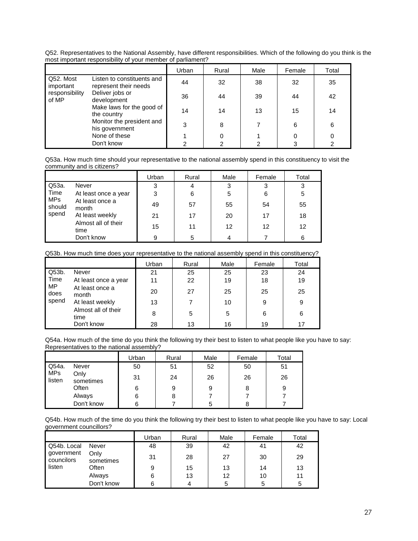Q52. Representatives to the National Assembly, have different responsibilities. Which of the following do you think is the most important responsibility of your member of parliament?

|                         |                                                     | Urban | Rural | Male | Female | Total |
|-------------------------|-----------------------------------------------------|-------|-------|------|--------|-------|
| Q52. Most<br>important  | Listen to constituents and<br>represent their needs | 44    | 32    | 38   | 32     | 35    |
| responsibility<br>of MP | Deliver jobs or<br>development                      | 36    | 44    | 39   | 44     | 42    |
|                         | Make laws for the good of<br>the country            | 14    | 14    | 13   | 15     | 14    |
|                         | Monitor the president and<br>his government         | 3     | 8     |      | 6      | 6     |
|                         | None of these                                       |       | 0     |      |        |       |
|                         | Don't know                                          | າ     | ⌒     | 2    | ≏      | ົ     |

Q53a. How much time should your representative to the national assembly spend in this constituency to visit the community and is citizens?

|                      |                             | Urban | Rural | Male | Female | Total |
|----------------------|-----------------------------|-------|-------|------|--------|-------|
| Q53a.                | Never                       | 3     | 4     | 3    | 3      | 3     |
| Time                 | At least once a year        | 3     | 6     | 5    | 6      | 5     |
| <b>MPs</b><br>should | At least once a<br>month    | 49    | 57    | 55   | 54     | 55    |
| spend                | At least weekly             | 21    | 17    | 20   | 17     | 18    |
|                      | Almost all of their<br>time | 15    | 11    | 12   | 12     | 12    |
|                      | Don't know                  | 9     | 5     | 4    |        | 6     |

#### Q53b. How much time does your representative to the national assembly spend in this constituency?

|                           |                             | Urban | Rural | Male | Female | Total |
|---------------------------|-----------------------------|-------|-------|------|--------|-------|
| Q53b.                     | Never                       | 21    | 25    | 25   | 23     | 24    |
| Time<br><b>MP</b><br>does | At least once a year        | 11    | 22    | 19   | 18     | 19    |
|                           | At least once a<br>month    | 20    | 27    | 25   | 25     | 25    |
| spend                     | At least weekly             | 13    |       | 10   | 9      | 9     |
|                           | Almost all of their<br>time | 8     | 5     | 5    | 6      | 6     |
|                           | Don't know                  | 28    | 13    | 16   | 19     | 17    |

Q54a. How much of the time do you think the following try their best to listen to what people like you have to say: Representatives to the national assembly?

|               |                   | Urban | Rural | Male | Female | Total |
|---------------|-------------------|-------|-------|------|--------|-------|
| Q54a.         | Never             | 50    | 51    | 52   | 50     | 51    |
| MPs<br>listen | Only<br>sometimes | 31    | 24    | 26   | 26     | 26    |
|               | Often             | 6     | 9     | 9    | 8      |       |
|               | Always            | 6     |       |      |        |       |
|               | Don't know        | 6     |       | 5    |        |       |

Q54b. How much of the time do you think the following try their best to listen to what people like you have to say: Local government councillors?

|                                         |                   | Urban | Rural | Male | Female | Total |
|-----------------------------------------|-------------------|-------|-------|------|--------|-------|
| Q54b. Local<br>government<br>councilors | Never             | 48    | 39    | 42   | 41     | 42    |
|                                         | Only<br>sometimes | 31    | 28    | 27   | 30     | 29    |
| listen                                  | Often             | 9     | 15    | 13   | 14     | 13    |
|                                         | Always            | 6     | 13    | 12   | 10     | 11    |
|                                         | Don't know        | 6     |       | 5    | 5      | 5     |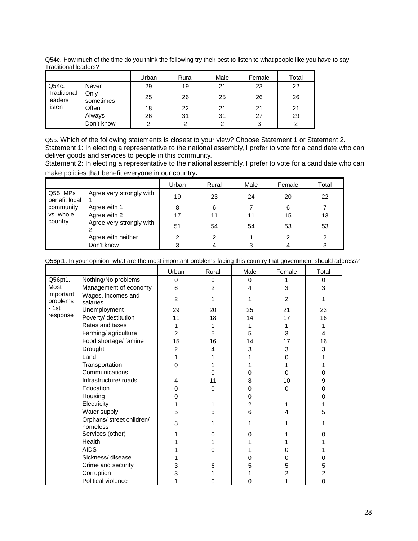| Q54c. How much of the time do you think the following try their best to listen to what people like you have to say: |  |
|---------------------------------------------------------------------------------------------------------------------|--|
| Traditional leaders?                                                                                                |  |

|                                 |                   | Urban | Rural | Male | Female | Total |
|---------------------------------|-------------------|-------|-------|------|--------|-------|
| Q54c.<br>Traditional<br>leaders | Never             | 29    | 19    | 21   | 23     | 22    |
|                                 | Only<br>sometimes | 25    | 26    | 25   | 26     | 26    |
| listen                          | Often             | 18    | 22    | 21   | 21     | 21    |
|                                 | Always            | 26    | 31    | 31   | 27     | 29    |
|                                 | Don't know        | ◠     | ◠     | ◠    | 3      | 2     |

Q55. Which of the following statements is closest to your view? Choose Statement 1 or Statement 2. Statement 1: In electing a representative to the national assembly, I prefer to vote for a candidate who can deliver goods and services to people in this community.

Statement 2: In electing a representative to the national assembly, I prefer to vote for a candidate who can make policies that benefit everyone in our country**.** 

|                           |                          | Urban | Rural | Male | Female | Total |
|---------------------------|--------------------------|-------|-------|------|--------|-------|
| Q55. MPs<br>benefit local | Agree very strongly with | 19    | 23    | 24   | 20     | 22    |
| community                 | Agree with 1             | 8     | 6     |      | 6      |       |
| vs. whole                 | Agree with 2             | 17    | 11    | 11   | 15     | 13    |
| country                   | Agree very strongly with | 51    | 54    | 54   | 53     | 53    |
|                           | Agree with neither       |       | 2     |      |        | 2     |
|                           | Don't know               |       | 4     | 3    |        | 3     |

Q56pt1. In your opinion, what are the most important problems facing this country that government should address?

|                       |                                       | Urban          | Rural          | Male           | Female         | Total       |
|-----------------------|---------------------------------------|----------------|----------------|----------------|----------------|-------------|
| Q56pt1.               | Nothing/No problems                   | $\Omega$       | $\Omega$       | 0              |                | $\Omega$    |
| Most                  | Management of economy                 | 6              | $\overline{c}$ | 4              | 3              | 3           |
| important<br>problems | Wages, incomes and<br>salaries        | $\overline{2}$ |                | 1              | $\overline{2}$ |             |
| $-1st$                | Unemployment                          | 29             | 20             | 25             | 21             | 23          |
| response              | Poverty/ destitution                  | 11             | 18             | 14             | 17             | 16          |
|                       | Rates and taxes                       |                | 1              | 1              | 1              |             |
|                       | Farming/agriculture                   | $\overline{2}$ | 5              | 5              | 3              | 4           |
|                       | Food shortage/ famine                 | 15             | 16             | 14             | 17             | 16          |
|                       | Drought                               | $\overline{2}$ | 4              | 3              | 3              | 3           |
|                       | Land                                  | 1              |                |                | 0              |             |
|                       | Transportation                        | 0              |                |                |                |             |
|                       | Communications                        |                | 0              | 0              | 0              | O           |
|                       | Infrastructure/roads                  | 4              | 11             | 8              | 10             | 9           |
|                       | Education                             | 0              | 0              | 0              | 0              | 0           |
|                       | Housing                               | 0              |                | 0              |                | O           |
|                       | Electricity                           |                |                | $\overline{2}$ |                |             |
|                       | Water supply                          | 5              | 5              | 6              | 4              | 5           |
|                       | Orphans/ street children/<br>homeless | 3              |                | 1              |                |             |
|                       | Services (other)                      |                | 0              | 0              |                |             |
|                       | Health                                |                |                |                |                |             |
|                       | <b>AIDS</b>                           |                | 0              |                | 0              |             |
|                       | Sickness/disease                      |                |                | 0              | 0              | 0           |
|                       | Crime and security                    | 3              | 6              | 5              | 5              | 5           |
|                       | Corruption                            | 3              |                |                | $\overline{2}$ | 2           |
|                       | Political violence                    |                | 0              | 0              |                | $\mathbf 0$ |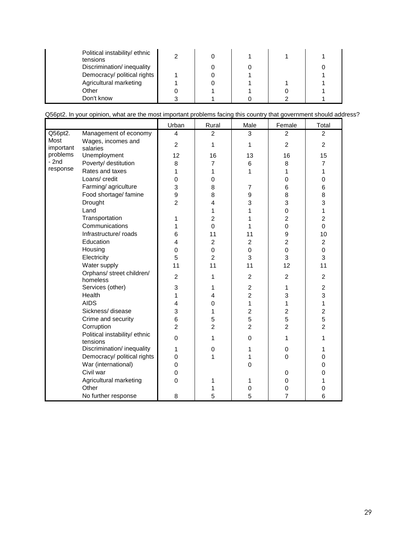| Political instability/ethnic<br>tensions |  |  |  |
|------------------------------------------|--|--|--|
| Discrimination/inequality                |  |  |  |
| Democracy/ political rights              |  |  |  |
| Agricultural marketing                   |  |  |  |
| Other                                    |  |  |  |
| Don't know                               |  |  |  |

|                   |                                           | Urban                   | Rural          | Male             | Female         | Total                   |
|-------------------|-------------------------------------------|-------------------------|----------------|------------------|----------------|-------------------------|
| Q56pt2.           | Management of economy                     | $\overline{4}$          | $\overline{2}$ | 3                | 2              | $\overline{2}$          |
| Most<br>important | Wages, incomes and<br>salaries            | $\overline{2}$          | 1              | 1                | $\overline{2}$ | $\overline{c}$          |
| problems          | Unemployment                              | 12                      | 16             | 13               | 16             | 15                      |
| $-2nd$            | Poverty/ destitution                      | 8                       | 7              | 6                | 8              | 7                       |
| response          | Rates and taxes                           | 1                       | 1              | 1                | 1              | 1                       |
|                   | Loans/ credit                             | $\mathbf 0$             | 0              |                  | 0              | 0                       |
|                   | Farming/agriculture                       | 3                       | 8              | $\overline{7}$   | 6              | 6                       |
|                   | Food shortage/ famine                     | 9                       | 8              | $\boldsymbol{9}$ | 8              | 8                       |
|                   | Drought                                   | $\overline{c}$          | 4              | 3                | 3              | 3                       |
|                   | Land                                      |                         | 1              | 1                | $\mathbf 0$    | 1                       |
|                   | Transportation                            | 1                       | $\overline{c}$ | 1                | $\overline{c}$ | $\overline{c}$          |
|                   | Communications                            | 1                       | $\mathbf 0$    | 1                | $\mathbf 0$    | $\overline{0}$          |
|                   | Infrastructure/ roads                     | 6                       | 11             | 11               | 9              | 10                      |
|                   | Education                                 | $\overline{4}$          | $\overline{c}$ | $\overline{2}$   | $\overline{c}$ | $\overline{c}$          |
|                   | Housing                                   | 0                       | $\mathbf 0$    | 0                | 0              | $\mathbf 0$             |
|                   | Electricity                               | 5                       | $\overline{c}$ | 3                | 3              | 3                       |
|                   | Water supply                              | 11                      | 11             | 11               | 12             | 11                      |
|                   | Orphans/ street children/<br>homeless     | $\overline{2}$          | 1              | $\overline{2}$   | 2              | $\overline{c}$          |
|                   | Services (other)                          | 3                       | 1              | $\overline{2}$   | 1              | $\overline{2}$          |
|                   | Health                                    | 1                       | 4              | $\overline{2}$   | 3              | 3                       |
|                   | <b>AIDS</b>                               | $\overline{\mathbf{4}}$ | 0              | 1                | 1              | 1                       |
|                   | Sickness/disease                          | 3                       | 1              | $\overline{c}$   | 2              | $\overline{\mathbf{c}}$ |
|                   | Crime and security                        | 6                       | 5              | 5                | 5              | 5                       |
|                   | Corruption                                | $\overline{2}$          | $\overline{2}$ | $\overline{2}$   | $\overline{2}$ | $\overline{2}$          |
|                   | Political instability/ ethnic<br>tensions | 0                       | 1              | 0                | 1              | 1                       |
|                   | Discrimination/ inequality                | 1                       | $\mathbf 0$    | 1                | 0              | 1                       |
|                   | Democracy/ political rights               | $\mathbf 0$             | 1              | 1                | $\Omega$       | 0                       |
|                   | War (international)                       | $\mathbf 0$             |                | 0                |                | 0                       |
|                   | Civil war                                 | $\mathsf 0$             |                |                  | 0              | 0                       |
|                   | Agricultural marketing                    | $\mathbf{0}$            | 1              | 1                | $\mathsf 0$    | 1                       |
|                   | Other                                     |                         | 1              | 0                | 0              | 0                       |
|                   | No further response                       | 8                       | 5              | 5                | $\overline{7}$ | 6                       |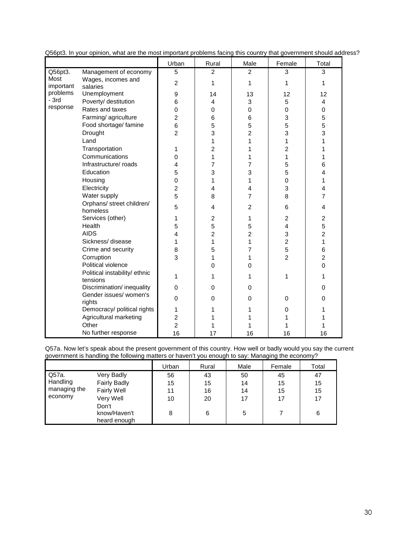|                    |                                           | Urban          | Rural          | Male           | Female         | Total          |
|--------------------|-------------------------------------------|----------------|----------------|----------------|----------------|----------------|
| Q56pt3.            | Management of economy                     | 5              | $\overline{2}$ | $\overline{2}$ | 3              | 3              |
| Most               | Wages, incomes and                        | $\overline{2}$ | 1              | 1              | 1              | 1              |
| important          | salaries                                  |                |                |                |                |                |
| problems<br>$-3rd$ | Unemployment                              | 9              | 14             | 13             | 12             | 12             |
| response           | Poverty/ destitution                      | 6              | $\overline{4}$ | 3              | 5              | 4              |
|                    | Rates and taxes                           | 0              | 0              | 0              | 0              | 0              |
|                    | Farming/agriculture                       | $\overline{c}$ | 6              | 6              | 3              | 5              |
|                    | Food shortage/ famine                     | 6              | 5              | 5              | 5              | 5              |
|                    | Drought                                   | $\overline{2}$ | 3              | 2              | 3              | 3              |
|                    | Land                                      |                | 1              | 1              | 1              | 1              |
|                    | Transportation                            | 1              | $\overline{2}$ | 1              | $\overline{2}$ | 1              |
|                    | Communications                            | 0              | $\mathbf{1}$   | 1              | 1              | 1              |
|                    | Infrastructure/ roads                     | 4              | 7              | 7              | 5              | 6              |
|                    | Education                                 | 5              | 3              | 3              | 5              | 4              |
|                    | Housing                                   | 0              | 1              | 1              | $\mathbf 0$    | 1              |
|                    | Electricity                               | $\overline{c}$ | 4              | 4              | 3              | 4              |
|                    | Water supply                              | 5              | 8              | 7              | 8              | $\overline{7}$ |
|                    | Orphans/ street children/                 | 5              | 4              | $\overline{2}$ | 6              | 4              |
|                    | homeless                                  |                |                |                |                |                |
|                    | Services (other)                          | 1              | $\overline{c}$ | 1              | $\overline{c}$ | 2              |
|                    | Health                                    | 5              | 5              | 5              | 4              | 5              |
|                    | <b>AIDS</b>                               | 4              | $\overline{c}$ | 2              | 3              | $\overline{c}$ |
|                    | Sickness/disease                          | 1              | 1              | 1              | $\overline{c}$ | 1              |
|                    | Crime and security                        | 8              | 5              | 7              | 5              | 6              |
|                    | Corruption                                | 3              | 1              | 1              | $\overline{2}$ | $\overline{2}$ |
|                    | Political violence                        |                | $\Omega$       | $\Omega$       |                | 0              |
|                    | Political instability/ ethnic<br>tensions | 1              | 1              | 1              | 1              | 1              |
|                    | Discrimination/ inequality                | $\Omega$       | $\Omega$       | $\Omega$       |                | 0              |
|                    | Gender issues/ women's<br>rights          | $\Omega$       | $\Omega$       | 0              | 0              | 0              |
|                    | Democracy/ political rights               | 1              | 1              | 1              | 0              | 1              |
|                    | Agricultural marketing                    | $\overline{c}$ | 1              |                | 1              | 1              |
|                    | Other                                     | $\overline{2}$ | 1              | 1              | 1              | 1              |
|                    | No further response                       | 16             | 17             | 16             | 16             | 16             |

Q56pt3. In your opinion, what are the most important problems facing this country that government should address?

Q57a. Now let's speak about the present government of this country. How well or badly would you say the current government is handling the following matters or haven't you enough to say: Managing the economy?

|              |                     | Urban | Rural | Male | Female | Total |
|--------------|---------------------|-------|-------|------|--------|-------|
| Q57a.        | Very Badly          | 56    | 43    | 50   | 45     | 47    |
| Handling     | <b>Fairly Badly</b> | 15    | 15    | 14   | 15     | 15    |
| managing the | <b>Fairly Well</b>  | 11    | 16    | 14   | 15     | 15    |
| economy      | Very Well           | 10    | 20    | 17   | 17     | 17    |
|              | Don't               |       |       |      |        |       |
|              | know/Haven't        | 8     | 6     | 5    |        | 6     |
|              | heard enough        |       |       |      |        |       |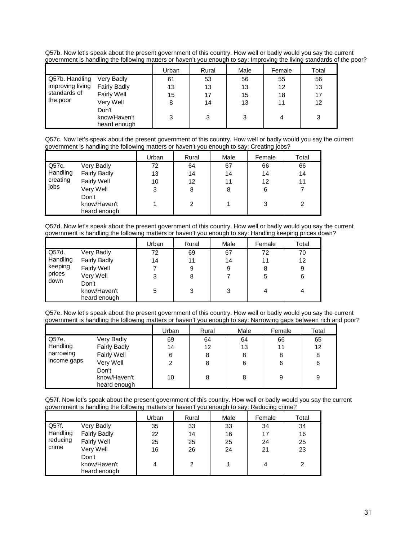Q57b. Now let's speak about the present government of this country. How well or badly would you say the current government is handling the following matters or haven't you enough to say: Improving the living standards of the poor?

|                  |                     | Urban | Rural | Male | Female | Total |
|------------------|---------------------|-------|-------|------|--------|-------|
| Q57b. Handling   | Very Badly          | 61    | 53    | 56   | 55     | 56    |
| improving living | <b>Fairly Badly</b> | 13    | 13    | 13   | 12     | 13    |
| standards of     | Fairly Well         | 15    | 17    | 15   | 18     | 17    |
| the poor         | Very Well           | 8     | 14    | 13   | 11     | 12    |
|                  | Don't               |       |       |      |        |       |
|                  | know/Haven't        | 3     | 3     | 3    | 4      | 3     |
|                  | heard enough        |       |       |      |        |       |

Q57c. Now let's speak about the present government of this country. How well or badly would you say the current government is handling the following matters or haven't you enough to say: Creating jobs?

|          |                     | Urban | Rural | Male | Female | Total |
|----------|---------------------|-------|-------|------|--------|-------|
| Q57c.    | Very Badly          | 72    | 64    | 67   | 66     | 66    |
| Handling | <b>Fairly Badly</b> | 13    | 14    | 14   | 14     | 14    |
| creating | Fairly Well         | 10    | 12    | 11   | 12     | 11    |
| jobs     | Very Well           | 3     | 8     | 8    | 6      |       |
|          | Don't               |       |       |      |        |       |
|          | know/Haven't        |       | 2     |      | 3      | 2     |
|          | heard enough        |       |       |      |        |       |

Q57d. Now let's speak about the present government of this country. How well or badly would you say the current government is handling the following matters or haven't you enough to say: Handling keeping prices down?

|                   |                     | Urban | Rural | Male | Female | Total |
|-------------------|---------------------|-------|-------|------|--------|-------|
| Q57d.<br>Handling | Very Badly          | 72    | 69    | 67   | 72     | 70    |
|                   | <b>Fairly Badly</b> | 14    | 11    | 14   | 11     | 12    |
| keeping           | <b>Fairly Well</b>  |       | 9     | 9    | 8      | 9     |
| prices            | Very Well           | 3     | 8     |      | 5      | 6     |
| down              | Don't               |       |       |      |        |       |
|                   | know/Haven't        | 5     | 3     | 3    | 4      | 4     |
|                   | heard enough        |       |       |      |        |       |

Q57e. Now let's speak about the present government of this country. How well or badly would you say the current government is handling the following matters or haven't you enough to say: Narrowing gaps between rich and poor?

|               |                                       | Urban | Rural | Male | Female | Total |
|---------------|---------------------------------------|-------|-------|------|--------|-------|
| $\vert$ Q57e. | Very Badly                            | 69    | 64    | 64   | 66     | 65    |
| Handling      | <b>Fairly Badly</b>                   | 14    | 12    | 13   | 11     | 12    |
| narrowing     | <b>Fairly Well</b>                    | 6     | 8     | 8    | 8      | 8     |
| income gaps   | Very Well                             | 2     | 8     | 6    | 6      | 6     |
|               | Don't<br>know/Haven't<br>heard enough | 10    | 8     | 8    | 9      | 9     |

Q57f. Now let's speak about the present government of this country. How well or badly would you say the current government is handling the following matters or haven't you enough to say: Reducing crime?

|                                        |                                                                                                               | Urban                     | Rural                     | Male                 | Female                    | Total                     |
|----------------------------------------|---------------------------------------------------------------------------------------------------------------|---------------------------|---------------------------|----------------------|---------------------------|---------------------------|
| Q57f.<br>Handling<br>reducing<br>crime | Very Badly<br><b>Fairly Badly</b><br><b>Fairly Well</b><br>Very Well<br>Don't<br>know/Haven't<br>heard enough | 35<br>22<br>25<br>16<br>4 | 33<br>14<br>25<br>26<br>2 | 33<br>16<br>25<br>24 | 34<br>17<br>24<br>21<br>4 | 34<br>16<br>25<br>23<br>2 |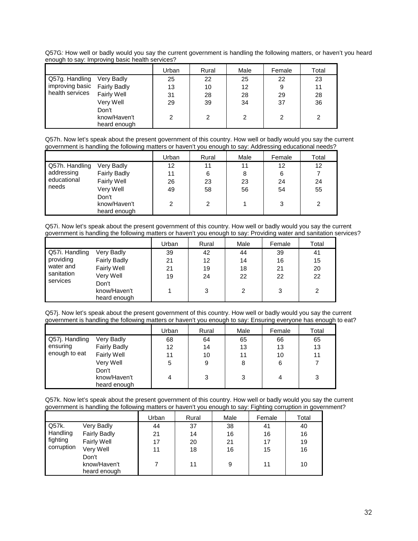Q57G: How well or badly would you say the current government is handling the following matters, or haven't you heard enough to say: Improving basic health services?

|                 |                     | Urban | Rural | Male | Female | Total |
|-----------------|---------------------|-------|-------|------|--------|-------|
| Q57g. Handling  | Very Badly          | 25    | 22    | 25   | 22     | 23    |
| improving basic | <b>Fairly Badly</b> | 13    | 10    | 12   | 9      | 11    |
| health services | <b>Fairly Well</b>  | 31    | 28    | 28   | 29     | 28    |
|                 | Very Well           | 29    | 39    | 34   | 37     | 36    |
|                 | Don't               |       |       |      |        |       |
|                 | know/Haven't        | 2     | 2     | າ    | ⌒      | ◠     |
|                 | heard enough        |       |       |      |        |       |

Q57h. Now let's speak about the present government of this country. How well or badly would you say the current government is handling the following matters or haven't you enough to say: Addressing educational needs?

|                |                     | Urban | Rural | Male | Female | Total |
|----------------|---------------------|-------|-------|------|--------|-------|
| Q57h. Handling | Very Badly          | 12    | 11    | 11   | 12     | 12    |
| addressing     | <b>Fairly Badly</b> | 11    | 6     | 8    | 6      |       |
| educational    | <b>Fairly Well</b>  | 26    | 23    | 23   | 24     | 24    |
| needs          | Very Well           | 49    | 58    | 56   | 54     | 55    |
|                | Don't               |       |       |      |        |       |
|                | know/Haven't        | 2     | 2     |      | 3      | 2     |
|                | heard enough        |       |       |      |        |       |

Q57i. Now let's speak about the present government of this country. How well or badly would you say the current government is handling the following matters or haven't you enough to say: Providing water and sanitation services?

|                             |                     | Urban | Rural | Male | Female | Total |
|-----------------------------|---------------------|-------|-------|------|--------|-------|
| Q57i. Handling<br>providing | Very Badly          | 39    | 42    | 44   | 39     | 41    |
|                             | <b>Fairly Badly</b> | 21    | 12    | 14   | 16     | 15    |
| water and                   | Fairly Well         | 21    | 19    | 18   | 21     | 20    |
| sanitation                  | Very Well           | 19    | 24    | 22   | 22     | 22    |
| services                    | Don't               |       |       |      |        |       |
|                             | know/Haven't        |       | 3     | 2    | 3      | 2     |
|                             | heard enough        |       |       |      |        |       |

Q57j. Now let's speak about the present government of this country. How well or badly would you say the current government is handling the following matters or haven't you enough to say: Ensuring everyone has enough to eat?

|                |                     | Urban | Rural | Male | Female | Total |
|----------------|---------------------|-------|-------|------|--------|-------|
| Q57j. Handling | Very Badly          | 68    | 64    | 65   | 66     | 65    |
| ensuring       | <b>Fairly Badly</b> | 12    | 14    | 13   | 13     | 13    |
| enough to eat  | Fairly Well         | 11    | 10    | 11   | 10     | 11    |
|                | Very Well           | 5     | 9     | 8    | 6      |       |
|                | Don't               |       |       |      |        |       |
|                | know/Haven't        | 4     | 3     | 3    | 4      | 3     |
|                | heard enough        |       |       |      |        |       |

Q57k. Now let's speak about the present government of this country. How well or badly would you say the current government is handling the following matters or haven't you enough to say: Fighting corruption in government?

|            |                     | Urban | Rural | Male | Female | Total |
|------------|---------------------|-------|-------|------|--------|-------|
| Q57k.      | Very Badly          | 44    | 37    | 38   | 41     | 40    |
| Handling   | <b>Fairly Badly</b> | 21    | 14    | 16   | 16     | 16    |
| fighting   | <b>Fairly Well</b>  | 17    | 20    | 21   | 17     | 19    |
| corruption | Very Well           | 11    | 18    | 16   | 15     | 16    |
|            | Don't               |       |       |      |        |       |
|            | know/Haven't        |       | 11    | 9    | 11     | 10    |
|            | heard enough        |       |       |      |        |       |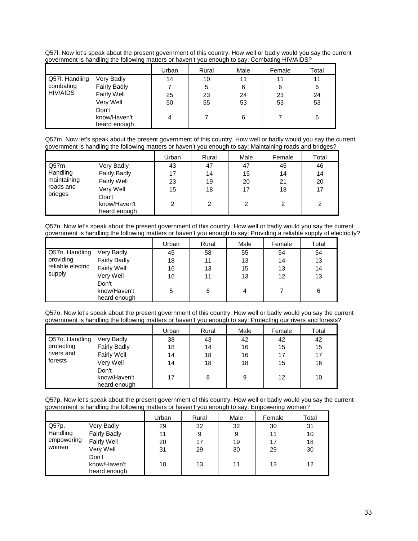Q57l. Now let's speak about the present government of this country. How well or badly would you say the current government is handling the following matters or haven't you enough to say: Combating HIV/AIDS?

|                |                     | Urban | Rural | Male | Female | Total |
|----------------|---------------------|-------|-------|------|--------|-------|
| Q57I. Handling | Very Badly          | 14    | 10    | 11   | 11     | 11    |
| combating      | <b>Fairly Badly</b> |       | 5     | 6    | 6      | 6     |
| HIV/AIDS       | Fairly Well         | 25    | 23    | 24   | 23     | 24    |
|                | Very Well           | 50    | 55    | 53   | 53     | 53    |
|                | Don't               |       |       |      |        |       |
|                | know/Haven't        | 4     |       | 6    |        | 6     |
|                | heard enough        |       |       |      |        |       |

Q57m. Now let's speak about the present government of this country. How well or badly would you say the current government is handling the following matters or haven't you enough to say: Maintaining roads and bridges?

|             |                     | Urban | Rural | Male | Female | Total |
|-------------|---------------------|-------|-------|------|--------|-------|
| Q57m.       | Very Badly          | 43    | 47    | 47   | 45     | 46    |
| Handling    | <b>Fairly Badly</b> | 17    | 14    | 15   | 14     | 14    |
| maintaining | <b>Fairly Well</b>  | 23    | 19    | 20   | 21     | 20    |
| roads and   | Very Well           | 15    | 18    | 17   | 18     | 17    |
| bridges     | Don't               |       |       |      |        |       |
|             | know/Haven't        | 2     | 2     | 2    | 2      | 2     |
|             | heard enough        |       |       |      |        |       |

Q57n. Now let's speak about the present government of this country. How well or badly would you say the current government is handling the following matters or haven't you enough to say: Providing a reliable supply of electricity?

|                   |                     | Urban | Rural | Male | Female | Total |
|-------------------|---------------------|-------|-------|------|--------|-------|
| l Q57n. Handling  | Very Badly          | 45    | 58    | 55   | 54     | 54    |
| providing         | <b>Fairly Badly</b> | 18    | 11    | 13   | 14     | 13    |
| reliable electric | <b>Fairly Well</b>  | 16    | 13    | 15   | 13     | 14    |
| supply            | Very Well           | 16    | 11    | 13   | 12     | 13    |
|                   | Don't               |       |       |      |        |       |
|                   | know/Haven't        | 5     | 6     |      |        | 6     |
|                   | heard enough        |       |       |      |        |       |

Q57o. Now let's speak about the present government of this country. How well or badly would you say the current government is handling the following matters or haven't you enough to say: Protecting our rivers and forests?

|                |                                       | Urban | Rural | Male | Female | Total |
|----------------|---------------------------------------|-------|-------|------|--------|-------|
| Q57o. Handling | Very Badly                            | 38    | 43    | 42   | 42     | 42    |
| protecting     | <b>Fairly Badly</b>                   | 18    | 14    | 16   | 15     | 15    |
| rivers and     | <b>Fairly Well</b>                    | 14    | 18    | 16   | 17     | 17    |
| forests        | Very Well                             | 14    | 18    | 18   | 15     | 16    |
|                | Don't<br>know/Haven't<br>heard enough | 17    | 8     | 9    | 12     | 10    |

Q57p. Now let's speak about the present government of this country. How well or badly would you say the current government is handling the following matters or haven't you enough to say: Empowering women?

|            |                     | Urban | Rural | Male | Female | Total |
|------------|---------------------|-------|-------|------|--------|-------|
| Q57p.      | Very Badly          | 29    | 32    | 32   | 30     | 31    |
| Handling   | <b>Fairly Badly</b> | 11    | 9     | 9    | 11     | 10    |
| empowering | <b>Fairly Well</b>  | 20    | 17    | 19   | 17     | 18    |
| women      | Very Well           | 31    | 29    | 30   | 29     | 30    |
|            | Don't               |       |       |      |        |       |
|            | know/Haven't        | 10    | 13    | 11   | 13     | 12    |
|            | heard enough        |       |       |      |        |       |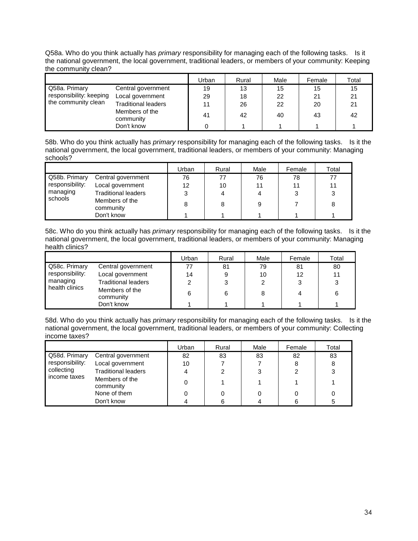Q58a. Who do you think actually has primary responsibility for managing each of the following tasks. Is it the national government, the local government, traditional leaders, or members of your community: Keeping the community clean?

|                         |                             | Urban | Rural | Male | Female | Total |
|-------------------------|-----------------------------|-------|-------|------|--------|-------|
| Q58a. Primary           | Central government          | 19    | 13    | 15   | 15     | 15    |
| responsibility: keeping | Local government            | 29    | 18    | 22   | 21     | 21    |
| the community clean     | <b>Traditional leaders</b>  | 11    | 26    | 22   | 20     | 21    |
|                         | Members of the<br>community | 41    | 42    | 40   | 43     | 42    |
|                         | Don't know                  |       |       |      |        |       |

58b. Who do you think actually has *primary* responsibility for managing each of the following tasks. Is it the national government, the local government, traditional leaders, or members of your community: Managing schools?

|                 |                             | Urban | Rural | Male | Female | Total |
|-----------------|-----------------------------|-------|-------|------|--------|-------|
| Q58b. Primary   | Central government          | 76    |       | 76   | 78     | 77    |
| responsibility: | Local government            | 12    | 10    | 11   |        | 11    |
| managing        | <b>Traditional leaders</b>  | 3     |       |      |        | 3     |
| schools         | Members of the<br>community | 8     |       | 9    |        | 8     |
|                 | Don't know                  |       |       |      |        |       |

58c. Who do you think actually has *primary* responsibility for managing each of the following tasks. Is it the national government, the local government, traditional leaders, or members of your community: Managing health clinics?

|                 |                             | Urban | Rural | Male | Female | Total |
|-----------------|-----------------------------|-------|-------|------|--------|-------|
| Q58c. Primary   | Central government          |       | 81    | 79   | 81     | 80    |
| responsibility: | Local government            | 14    |       | 10   | 12     | 11    |
| managing        | <b>Traditional leaders</b>  |       |       |      |        |       |
| health clinics  | Members of the<br>community | 6     | 6     | 8    |        |       |
|                 | Don't know                  |       |       |      |        |       |

58d. Who do you think actually has *primary* responsibility for managing each of the following tasks. Is it the national government, the local government, traditional leaders, or members of your community: Collecting income taxes?

|                 |                             | Urban | Rural | Male | Female | Total |
|-----------------|-----------------------------|-------|-------|------|--------|-------|
| Q58d. Primary   | Central government          | 82    | 83    | 83   | 82     | 83    |
| responsibility: | Local government            | 10    |       |      |        |       |
| collecting      | <b>Traditional leaders</b>  |       |       |      |        |       |
| income taxes    | Members of the<br>community |       |       |      |        |       |
|                 | None of them                |       |       |      |        |       |
|                 | Don't know                  |       |       |      |        |       |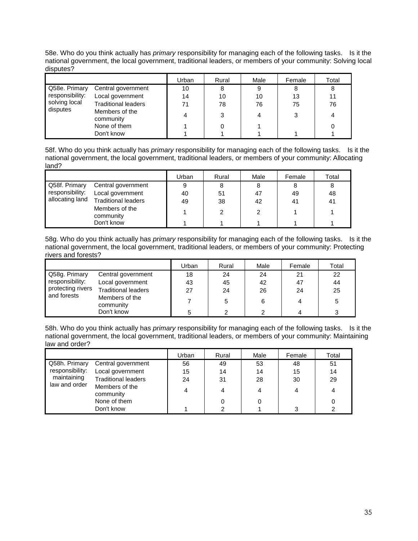| 58e. Who do you think actually has <i>primary</i> responsibility for managing each of the following tasks. Is it the |  |
|----------------------------------------------------------------------------------------------------------------------|--|
| national government, the local government, traditional leaders, or members of your community: Solving local          |  |
| disputes?                                                                                                            |  |

|                 |                             | Urban | Rural | Male | Female | Total |
|-----------------|-----------------------------|-------|-------|------|--------|-------|
| Q58e. Primary   | Central government          | 10    | 8     | 9    |        | 8     |
| responsibility: | Local government            | 14    | 10    | 10   | 13     | 11    |
| solving local   | <b>Traditional leaders</b>  | 71    | 78    | 76   | 75     | 76    |
| disputes        | Members of the<br>community |       | ◠     |      |        | 4     |
|                 | None of them                |       |       |      |        |       |
|                 | Don't know                  |       |       |      |        |       |

58f. Who do you think actually has *primary* responsibility for managing each of the following tasks. Is it the national government, the local government, traditional leaders, or members of your community: Allocating land?

|                 |                             | Urban | Rural | Male | Female | Total |
|-----------------|-----------------------------|-------|-------|------|--------|-------|
| Q58f. Primary   | Central government          | 9     |       | 8    |        |       |
| responsibility: | Local government            | 40    | 51    | 47   | 49     | 48    |
| allocating land | <b>Traditional leaders</b>  | 49    | 38    | 42   | 41     | 41    |
|                 | Members of the<br>community |       |       | っ    |        |       |
|                 | Don't know                  |       |       |      |        |       |

58g. Who do you think actually has *primary* responsibility for managing each of the following tasks. Is it the national government, the local government, traditional leaders, or members of your community: Protecting rivers and forests?

|                                  |                             | Urban | Rural | Male | Female | Total |
|----------------------------------|-----------------------------|-------|-------|------|--------|-------|
| Q58g. Primary                    | Central government          | 18    | 24    | 24   | 21     | 22    |
| responsibility:                  | Local government            | 43    | 45    | 42   | 47     | 44    |
| protecting rivers<br>and forests | <b>Traditional leaders</b>  | 27    | 24    | 26   | 24     | 25    |
|                                  | Members of the<br>community |       | 5     | 6    |        |       |
|                                  | Don't know                  |       |       | ົ    |        |       |

58h. Who do you think actually has *primary* responsibility for managing each of the following tasks. Is it the national government, the local government, traditional leaders, or members of your community: Maintaining law and order?

|                                                 |                             | Urban | Rural | Male | Female | Total |
|-------------------------------------------------|-----------------------------|-------|-------|------|--------|-------|
| Q58h. Primary                                   | Central government          | 56    | 49    | 53   | 48     | 51    |
| responsibility:<br>maintaining<br>law and order | Local government            | 15    | 14    | 14   | 15     | 14    |
|                                                 | <b>Traditional leaders</b>  | 24    | 31    | 28   | 30     | 29    |
|                                                 | Members of the<br>community | 4     | 4     | 4    | 4      | 4     |
|                                                 | None of them                |       |       |      |        |       |
|                                                 | Don't know                  |       |       |      | ◠      |       |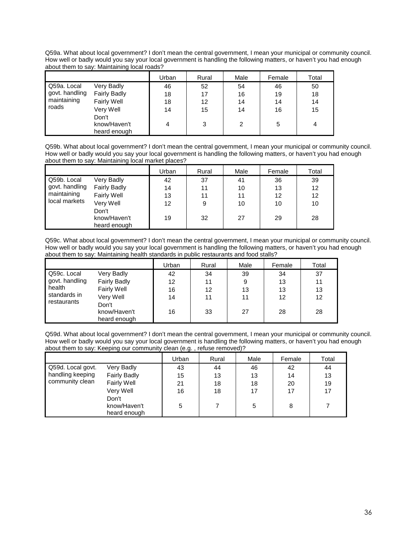Q59a. What about local government? I don't mean the central government, I mean your municipal or community council. How well or badly would you say your local government is handling the following matters, or haven't you had enough about them to say: Maintaining local roads?

|                               |                     | Urban | Rural | Male | Female | Total |
|-------------------------------|---------------------|-------|-------|------|--------|-------|
| Q59a. Local                   | Very Badly          | 46    | 52    | 54   | 46     | 50    |
| govt. handling<br>maintaining | <b>Fairly Badly</b> | 18    | 17    | 16   | 19     | 18    |
|                               | <b>Fairly Well</b>  | 18    | 12    | 14   | 14     | 14    |
| l roads                       | Very Well           | 14    | 15    | 14   | 16     | 15    |
|                               | Don't               |       |       |      |        |       |
|                               | know/Haven't        |       | 3     | 2    | 5      | 4     |
|                               | heard enough        |       |       |      |        |       |

Q59b. What about local government? I don't mean the central government, I mean your municipal or community council. How well or badly would you say your local government is handling the following matters, or haven't you had enough about them to say: Maintaining local market places?

|                                              |                     | Urban | Rural | Male | Female | Total |
|----------------------------------------------|---------------------|-------|-------|------|--------|-------|
| Q59b. Local<br>govt. handling<br>maintaining | Very Badly          | 42    | 37    | 41   | 36     | 39    |
|                                              | <b>Fairly Badly</b> | 14    | 11    | 10   | 13     | 12    |
|                                              | <b>Fairly Well</b>  | 13    | 11    | 11   | 12     | 12    |
| local markets                                | Very Well           | 12    | 9     | 10   | 10     | 10    |
|                                              | Don't               |       |       |      |        |       |
|                                              | know/Haven't        | 19    | 32    | 27   | 29     | 28    |
|                                              | heard enough        |       |       |      |        |       |

Q59c. What about local government? I don't mean the central government, I mean your municipal or community council. How well or badly would you say your local government is handling the following matters, or haven't you had enough about them to say: Maintaining health standards in public restaurants and food stalls?

|                                                       |                                       | Urban | Rural | Male | Female | Total |
|-------------------------------------------------------|---------------------------------------|-------|-------|------|--------|-------|
| Q59c. Local                                           | Very Badly                            | 42    | 34    | 39   | 34     | 37    |
| govt. handling<br>health<br>standards in<br>Very Well | <b>Fairly Badly</b>                   | 12    | 11    | 9    | 13     | 11    |
|                                                       | Fairly Well                           | 16    | 12    | 13   | 13     | 13    |
|                                                       |                                       | 14    | 11    | 11   | 12     | 12    |
| restaurants                                           | Don't<br>know/Haven't<br>heard enough | 16    | 33    | 27   | 28     | 28    |

Q59d. What about local government? I don't mean the central government, I mean your municipal or community council. How well or badly would you say your local government is handling the following matters, or haven't you had enough about them to say: Keeping our community clean (e.g. , refuse removed)?

|                   |                              | Urban | Rural | Male | Female | Total |
|-------------------|------------------------------|-------|-------|------|--------|-------|
| Q59d. Local govt. | Very Badly                   | 43    | 44    | 46   | 42     | 44    |
| handling keeping  | <b>Fairly Badly</b>          | 15    | 13    | 13   | 14     | 13    |
| community clean   | <b>Fairly Well</b>           | 21    | 18    | 18   | 20     | 19    |
|                   | Very Well                    | 16    | 18    | 17   | 17     | 17    |
|                   | Don't                        |       |       |      |        |       |
|                   | know/Haven't<br>heard enough | 5     |       | 5    | 8      |       |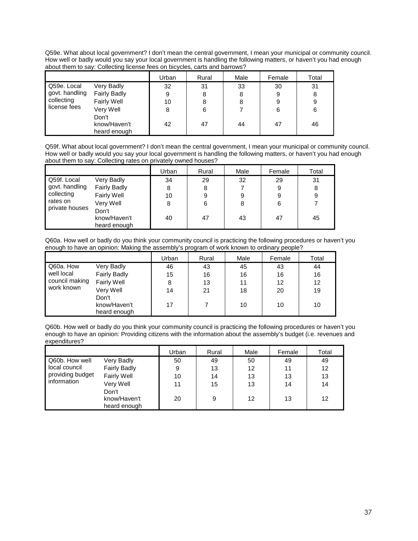Q59e. What about local government? I don't mean the central government, I mean your municipal or community council. How well or badly would you say your local government is handling the following matters, or haven't you had enough about them to say: Collecting license fees on bicycles, carts and barrows?

|                                                                           |              | Urban | Rural | Male | Female | Total |
|---------------------------------------------------------------------------|--------------|-------|-------|------|--------|-------|
| Q59e. Local                                                               | Very Badly   | 32    | 31    | 33   | 30     | 31    |
| govt. handling<br><b>Fairly Badly</b><br>collecting<br><b>Fairly Well</b> |              | 9     | 8     | 8    | 9      | 8     |
|                                                                           |              | 10    |       |      | 9      | 9     |
| license fees                                                              | Very Well    | 8     | 6     |      | 6      | 6     |
|                                                                           | Don't        |       |       |      |        |       |
|                                                                           | know/Haven't | 42    | 47    | 44   | 47     | 46    |
|                                                                           | heard enough |       |       |      |        |       |

Q59f. What about local government? I don't mean the central government, I mean your municipal or community council. How well or badly would you say your local government is handling the following matters, or haven't you had enough about them to say: Collecting rates on privately owned houses?

|                                                                                    |                              | Urban | Rural | Male | Female | Total |
|------------------------------------------------------------------------------------|------------------------------|-------|-------|------|--------|-------|
| Q59f. Local<br>govt. handling<br>collecting<br>rates on<br>private houses<br>Don't | Very Badly                   | 34    | 29    | 32   | 29     | 31    |
|                                                                                    | <b>Fairly Badly</b>          | 8     | 8     |      | 9      | 8     |
|                                                                                    | <b>Fairly Well</b>           | 10    | 9     | 9    | 9      | 9     |
|                                                                                    | Very Well                    | 8     | 6     | 8    | 6      |       |
|                                                                                    | know/Haven't<br>heard enough | 40    | 47    | 43   | 47     | 45    |

Q60a. How well or badly do you think your community council is practicing the following procedures or haven't you enough to have an opinion: Making the assembly's program of work known to ordinary people?

|                              |                     | Jrban | Rural | Male | Female | Total |
|------------------------------|---------------------|-------|-------|------|--------|-------|
| Q60a. How                    | Very Badly          | 46    | 43    | 45   | 43     | 44    |
| well local<br>council making | <b>Fairly Badly</b> | 15    | 16    | 16   | 16     | 16    |
|                              | Fairly Well         | 8     | 13    | 11   | 12     | 12    |
| work known                   | Very Well           | 14    | 21    | 18   | 20     | 19    |
|                              | Don't               |       |       |      |        |       |
|                              | know/Haven't        | 17    |       | 10   | 10     | 10    |
|                              | heard enough        |       |       |      |        |       |

Q60b. How well or badly do you think your community council is practicing the following procedures or haven't you enough to have an opinion: Providing citizens with the information about the assembly's budget (i.e. revenues and expenditures?

|                                                     |                                       | Urban | Rural | Male | Female | Total |
|-----------------------------------------------------|---------------------------------------|-------|-------|------|--------|-------|
| Q60b. How well<br>local council<br>providing budget | Very Badly                            | 50    | 49    | 50   | 49     | 49    |
|                                                     | <b>Fairly Badly</b>                   | 9     | 13    | 12   | 11     | 12    |
|                                                     | Fairly Well                           | 10    | 14    | 13   | 13     | 13    |
| information                                         | Very Well                             | 11    | 15    | 13   | 14     | 14    |
|                                                     | Don't<br>know/Haven't<br>heard enough | 20    | 9     | 12   | 13     | 12    |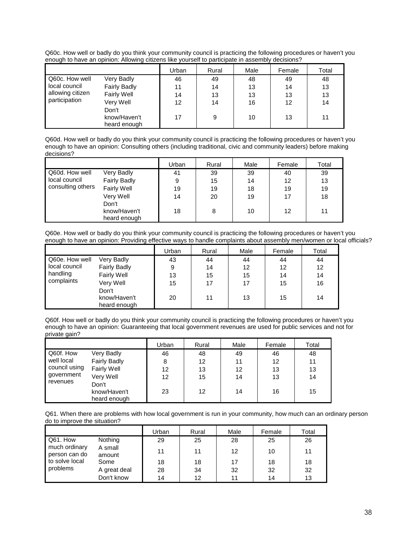Q60c. How well or badly do you think your community council is practicing the following procedures or haven't you enough to have an opinion: Allowing citizens like yourself to participate in assembly decisions?

|                                                                         |              | Urban | Rural | Male | Female | Total |
|-------------------------------------------------------------------------|--------------|-------|-------|------|--------|-------|
| Q60c. How well                                                          | Very Badly   | 46    | 49    | 48   | 49     | 48    |
| local council<br><b>Fairly Badly</b><br>allowing citizen<br>Fairly Well |              | 11    | 14    | 13   | 14     | 13    |
|                                                                         |              | 14    | 13    | 13   | 13     | 13    |
| participation                                                           | Very Well    | 12    | 14    | 16   | 12     | 14    |
|                                                                         | Don't        |       |       |      |        |       |
|                                                                         | know/Haven't | 17    | 9     | 10   | 13     | 11    |
|                                                                         | heard enough |       |       |      |        |       |

Q60d. How well or badly do you think your community council is practicing the following procedures or haven't you enough to have an opinion: Consulting others (including traditional, civic and community leaders) before making decisions?

|                   |                     | Urban | Rural | Male | Female | Total |
|-------------------|---------------------|-------|-------|------|--------|-------|
| Q60d. How well    | Very Badly          | 41    | 39    | 39   | 40     | 39    |
| local council     | <b>Fairly Badly</b> | 9     | 15    | 14   | 12     | 13    |
| consulting others | Fairly Well         | 19    | 19    | 18   | 19     | 19    |
|                   | Very Well           | 14    | 20    | 19   | 17     | 18    |
|                   | Don't               |       |       |      |        |       |
|                   | know/Haven't        | 18    | 8     | 10   | 12     | 11    |
|                   | heard enough        |       |       |      |        |       |

Q60e. How well or badly do you think your community council is practicing the following procedures or haven't you enough to have an opinion: Providing effective ways to handle complaints about assembly men/women or local officials?

|                           |                                       | Urban | Rural | Male | Female | Total |
|---------------------------|---------------------------------------|-------|-------|------|--------|-------|
| Q60e. How well            | Very Badly                            | 43    | 44    | 44   | 44     | 44    |
| local council<br>handling | <b>Fairly Badly</b>                   | 9     | 14    | 12   | 12     | 12    |
|                           | Fairly Well                           | 13    | 15    | 15   | 14     | 14    |
| complaints                | Very Well                             | 15    | 17    | 17   | 15     | 16    |
|                           | Don't<br>know/Haven't<br>heard enough | 20    | 11    | 13   | 15     | 14    |

Q60f. How well or badly do you think your community council is practicing the following procedures or haven't you enough to have an opinion: Guaranteeing that local government revenues are used for public services and not for private gain?

|                                                       |                     | Urban           | Rural | Male | Female | Total |
|-------------------------------------------------------|---------------------|-----------------|-------|------|--------|-------|
| Q60f. How                                             | Very Badly          | 46              | 48    | 49   | 46     | 48    |
| well local<br>council using<br>government<br>revenues | <b>Fairly Badly</b> | 8               | 12    | 11   | 12     | 11    |
|                                                       | Fairly Well         | 12              | 13    | 12   | 13     | 13    |
|                                                       | Very Well           | 12 <sup>2</sup> | 15    | 14   | 13     | 14    |
|                                                       | Don't               |                 |       |      |        |       |
|                                                       | know/Haven't        | 23              | 12    | 14   | 16     | 15    |
|                                                       | heard enough        |                 |       |      |        |       |

Q61. When there are problems with how local government is run in your community, how much can an ordinary person do to improve the situation?

|                                |                   | Urban | Rural | Male | Female | Total |
|--------------------------------|-------------------|-------|-------|------|--------|-------|
| Q61. How                       | Nothing           | 29    | 25    | 28   | 25     | 26    |
| much ordinary<br>person can do | A small<br>amount | 11    | 11    | 12   | 10     | 11    |
| to solve local<br>problems     | Some              | 18    | 18    | 17   | 18     | 18    |
|                                | A great deal      | 28    | 34    | 32   | 32     | 32    |
|                                | Don't know        | 14    | 12    | 11   | 14     | 13    |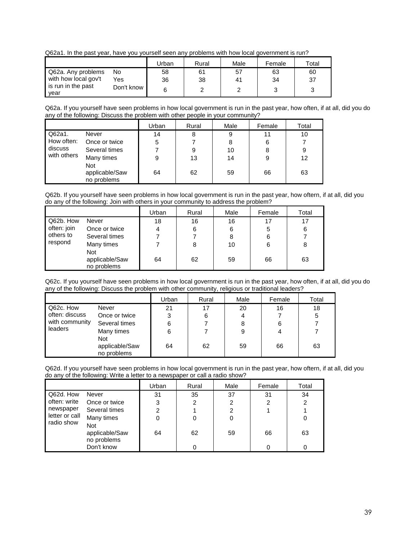Q62a1. In the past year, have you yourself seen any problems with how local government is run?

|                            |            | Urban | Rural | Male | Female | Total |
|----------------------------|------------|-------|-------|------|--------|-------|
| Q62a. Any problems         | No         | 58    | 61    | 57   | 63     | 60    |
| with how local gov't       | Yes        | 36    | 38    | 41   | 34     | 37    |
| is run in the past<br>year | Don't know |       |       |      |        |       |

Q62a. If you yourself have seen problems in how local government is run in the past year, how often, if at all, did you do any of the following: Discuss the problem with other people in your community?

|             |                                             | Urban | Rural | Male | Female | Total |
|-------------|---------------------------------------------|-------|-------|------|--------|-------|
| Q62a1.      | Never                                       | 14    | 8     | 9    | 11     | 10    |
| How often:  | Once or twice                               | 5     |       | 8    | 6      |       |
| discuss     | Several times                               |       | 9     | 10   | 8      | 9     |
| with others | Many times                                  | 9     | 13    | 14   | 9      | 12    |
|             | <b>Not</b><br>applicable/Saw<br>no problems | 64    | 62    | 59   | 66     | 63    |

Q62b. If you yourself have seen problems in how local government is run in the past year, how oftern, if at all, did you do any of the following: Join with others in your community to address the problem?

|             |                                             | Urban | Rural | Male | Female | Total |
|-------------|---------------------------------------------|-------|-------|------|--------|-------|
| Q62b. How   | Never                                       | 18    | 16    | 16   | 17     | 17    |
| often: join | Once or twice                               | 4     | 6     | 6    | 5      | 6     |
| others to   | Several times                               |       |       | 8    | 6      |       |
| respond     | Many times                                  |       | 8     | 10   | 6      | 8     |
|             | <b>Not</b><br>applicable/Saw<br>no problems | 64    | 62    | 59   | 66     | 63    |

Q62c. If you yourself have seen problems in how local government is run in the past year, how often, if at all, did you do any of the following: Discuss the problem with other community, religious or traditional leaders?

|                             |                                             | Urban | Rural | Male | Female | Total |
|-----------------------------|---------------------------------------------|-------|-------|------|--------|-------|
| Q62c. How<br>often: discuss | Never                                       | 21    | 17    | 20   | 16     | 18    |
|                             | Once or twice                               | 3     | 6     |      |        | 5     |
| with community              | Several times                               | 6     |       | 8    | 6      |       |
| leaders                     | Many times                                  | 6     |       | 9    | 4      |       |
|                             | <b>Not</b><br>applicable/Saw<br>no problems | 64    | 62    | 59   | 66     | 63    |

Q62d. If you yourself have seen problems in how local government is run in the past year, how oftern, if at all, did you do any of the following: Write a letter to a newspaper or call a radio show?

|                              |                                      | Urban | Rural | Male | Female | Total |
|------------------------------|--------------------------------------|-------|-------|------|--------|-------|
| Q62d. How                    | Never                                | 31    | 35    | 37   | 31     | 34    |
| often: write                 | Once or twice                        | 3     | 2     | 2    | 2      | 2     |
| newspaper                    | Several times                        | 2     |       | 2    |        |       |
| letter or call<br>radio show | Many times                           | 0     | 0     | 0    |        | 0     |
|                              | Not<br>applicable/Saw<br>no problems | 64    | 62    | 59   | 66     | 63    |
|                              | Don't know                           |       | 0     |      |        |       |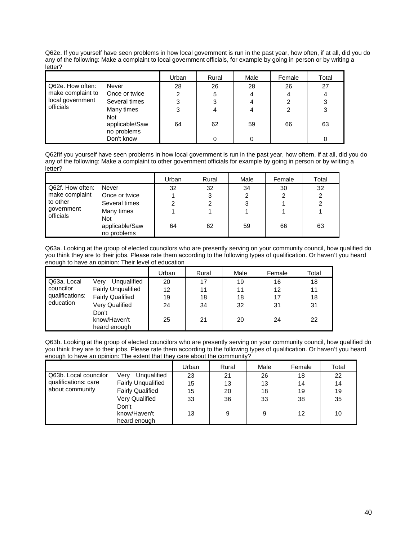Q62e. If you yourself have seen problems in how local government is run in the past year, how often, if at all, did you do any of the following: Make a complaint to local government officials, for example by going in person or by writing a letter?

|                   |                                             | Urban | Rural | Male | Female | Total |
|-------------------|---------------------------------------------|-------|-------|------|--------|-------|
| Q62e. How often:  | Never                                       | 28    | 26    | 28   | 26     | 27    |
| make complaint to | Once or twice                               | 2     | 5     | 4    | 4      | 4     |
| local government  | Several times                               | 3     | 3     | 4    | 2      | 3     |
| officials         | Many times                                  | 3     | 4     | 4    | 2      | 3     |
|                   | <b>Not</b><br>applicable/Saw<br>no problems | 64    | 62    | 59   | 66     | 63    |
|                   | Don't know                                  |       | 0     |      |        |       |

Q62fIf you yourself have seen problems in how local government is run in the past year, how oftern, if at all, did you do any of the following: Make a complaint to other government officials for example by going in person or by writing a letter?

|                                                                             |                               | Urban | Rural | Male | Female | Total |
|-----------------------------------------------------------------------------|-------------------------------|-------|-------|------|--------|-------|
| Q62f. How often:<br>make complaint<br>l to other<br>government<br>officials | Never                         | 32    | 32    | 34   | 30     | 32    |
|                                                                             | Once or twice                 |       | 3     | 2    | 2      | ົ     |
|                                                                             | Several times                 |       | 2     | 3    |        |       |
|                                                                             | Many times<br>Not             |       |       |      |        |       |
|                                                                             | applicable/Saw<br>no problems | 64    | 62    | 59   | 66     | 63    |

Q63a. Looking at the group of elected councilors who are presently serving on your community council, how qualified do you think they are to their jobs. Please rate them according to the following types of qualification. Or haven't you heard enough to have an opinion: Their level of education

|                 |                           | Urban | Rural | Male | Female | Total |
|-----------------|---------------------------|-------|-------|------|--------|-------|
| Q63a. Local     | Unqualified<br>Verv       | 20    | 17    | 19   | 16     | 18    |
| councilor       | <b>Fairly Unqualified</b> | 12    | 11    | 11   | 12     | 11    |
| qualifications: | <b>Fairly Qualified</b>   | 19    | 18    | 18   | 17     | 18    |
| education       | Very Qualified            | 24    | 34    | 32   | 31     | 31    |
|                 | Don't<br>know/Haven't     | 25    | 21    | 20   | 24     | 22    |
|                 | heard enough              |       |       |      |        |       |

Q63b. Looking at the group of elected councilors who are presently serving on your community council, how qualified do you think they are to their jobs. Please rate them according to the following types of qualification. Or haven't you heard enough to have an opinion: The extent that they care about the community?

|                       |                                       | Urban | Rural | Male | Female | Total |
|-----------------------|---------------------------------------|-------|-------|------|--------|-------|
| Q63b. Local councilor | Verv<br>Unqualified                   | 23    | 21    | 26   | 18     | 22    |
| qualifications: care  | <b>Fairly Unqualified</b>             | 15    | 13    | 13   | 14     | 14    |
| about community       | <b>Fairly Qualified</b>               | 15    | 20    | 18   | 19     | 19    |
|                       | Very Qualified                        | 33    | 36    | 33   | 38     | 35    |
|                       | Don't<br>know/Haven't<br>heard enough | 13    | 9     | 9    | 12     | 10    |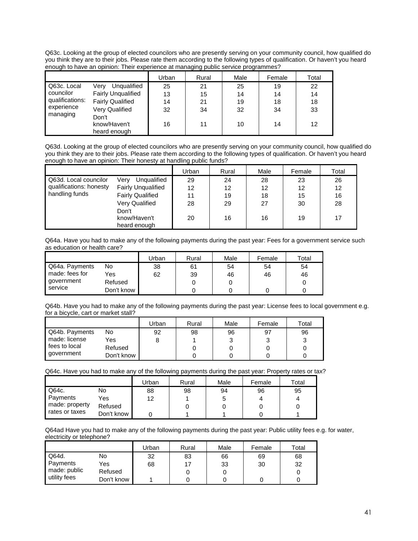Q63c. Looking at the group of elected councilors who are presently serving on your community council, how qualified do you think they are to their jobs. Please rate them according to the following types of qualification. Or haven't you heard enough to have an opinion: Their experience at managing public service programmes?

|                        |                           | Urban | Rural | Male | Female | Total |
|------------------------|---------------------------|-------|-------|------|--------|-------|
| Q63c. Local            | Unqualified<br>Verv       | 25    | 21    | 25   | 19     | 22    |
| councilor              | <b>Fairly Unqualified</b> | 13    | 15    | 14   | 14     | 14    |
| qualifications:        | <b>Fairly Qualified</b>   | 14    | 21    | 19   | 18     | 18    |
| experience<br>managing | <b>Very Qualified</b>     | 32    | 34    | 32   | 34     | 33    |
|                        | Don't                     |       |       |      |        |       |
|                        | know/Haven't              | 16    | 11    | 10   | 14     | 12    |
|                        | heard enough              |       |       |      |        |       |

Q63d. Looking at the group of elected councilors who are presently serving on your community council, how qualified do you think they are to their jobs. Please rate them according to the following types of qualification. Or haven't you heard enough to have an opinion: Their honesty at handling public funds?

|                         |                                       | Urban | Rural | Male | Female | Total |
|-------------------------|---------------------------------------|-------|-------|------|--------|-------|
| Q63d. Local councilor   | Verv<br>Unqualified                   | 29    | 24    | 28   | 23     | 26    |
| qualifications: honesty | <b>Fairly Unqualified</b>             | 12    | 12    | 12   | 12     | 12    |
| handling funds          | <b>Fairly Qualified</b>               | 11    | 19    | 18   | 15     | 16    |
|                         | Very Qualified                        | 28    | 29    | 27   | 30     | 28    |
|                         | Don't<br>know/Haven't<br>heard enough | 20    | 16    | 16   | 19     | 17    |

Q64a. Have you had to make any of the following payments during the past year: Fees for a government service such as education or health care?

|                |            | Urban | Rural | Male | Female | Total |
|----------------|------------|-------|-------|------|--------|-------|
| Q64a. Payments | No         | 38    | 61    | 54   | 54     | 54    |
| made: fees for | Yes        | 62    | 39    | 46   | 46     | 46    |
| government     | Refused    |       |       |      |        |       |
| service        | Don't know |       |       |      |        |       |

Q64b. Have you had to make any of the following payments during the past year: License fees to local government e.g. for a bicycle, cart or market stall?

|                |            | Urban | Rural | Male | Female | Total |
|----------------|------------|-------|-------|------|--------|-------|
| Q64b. Payments | No         | 92    | 98    | 96   | 97     | 96    |
| made: license  | Yes        |       |       |      |        |       |
| fees to local  | Refused    |       |       |      |        |       |
| government     | Don't know |       |       |      |        |       |

Q64c. Have you had to make any of the following payments during the past year: Property rates or tax?

|                |            | Jrban | Rural | Male | Female | Total |
|----------------|------------|-------|-------|------|--------|-------|
| Q64c.          | No         | 88    | 98    | 94   | 96     | 95    |
| Payments       | Yes        | 12    |       |      |        | 4     |
| made: property | Refused    |       |       |      |        |       |
| rates or taxes | Don't know |       |       |      |        |       |

Q64ad Have you had to make any of the following payments during the past year: Public utility fees e.g. for water, electricity or telephone?

|              |            | Jrban | Rural | Male | Female | $\mathsf{^{To}tal}$ |
|--------------|------------|-------|-------|------|--------|---------------------|
| Q64d.        | No         | 32    | 83    | 66   | 69     | 68                  |
| Payments     | Yes        | 68    |       | 33   | 30     | 32                  |
| made: public | Refused    |       |       |      |        |                     |
| utility fees | Don't know |       |       |      |        |                     |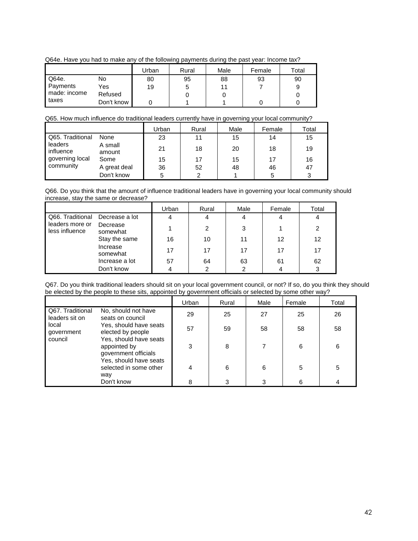Q64e. Have you had to make any of the following payments during the past year: Income tax?

|              |            | Urban | Rural | Male | Female | Total |
|--------------|------------|-------|-------|------|--------|-------|
| Q64e.        | No         | 80    | 95    | 88   | 93     | 90    |
| Payments     | Yes        | 19    |       |      |        |       |
| made: income | Refused    |       |       |      |        |       |
| taxes        | Don't know |       |       |      |        |       |

#### Q65. How much influence do traditional leaders currently have in governing your local community?

|                      |                   | Urban | Rural | Male | Female | Total |
|----------------------|-------------------|-------|-------|------|--------|-------|
| Q65. Traditional     | None              | 23    | 11    | 15   | 14     | 15    |
| leaders<br>influence | A small<br>amount | 21    | 18    | 20   | 18     | 19    |
| governing local      | Some              | 15    | 17    | 15   | 17     | 16    |
| community            | A great deal      | 36    | 52    | 48   | 46     | 47    |
|                      | Don't know        | 5     | ົ     |      | 5      | 3     |

Q66. Do you think that the amount of influence traditional leaders have in governing your local community should increase, stay the same or decrease?

|                                                       |                      | Urban | Rural | Male | Female | Total |
|-------------------------------------------------------|----------------------|-------|-------|------|--------|-------|
| Q66. Traditional<br>leaders more or<br>less influence | Decrease a lot       | 4     |       |      |        | 4     |
|                                                       | Decrease<br>somewhat |       | 2     | 3    |        | 2     |
|                                                       | Stay the same        | 16    | 10    | 11   | 12     | 12    |
|                                                       | Increase<br>somewhat | 17    | 17    | 17   | 17     | 17    |
|                                                       | Increase a lot       | 57    | 64    | 63   | 61     | 62    |
|                                                       | Don't know           |       | າ     |      |        | 3     |

Q67. Do you think traditional leaders should sit on your local government council, or not? If so, do you think they should be elected by the people to these sits, appointed by government officials or selected by some other way?

|                                                                           |                                                         | Urban | Rural | Male | Female | Total |
|---------------------------------------------------------------------------|---------------------------------------------------------|-------|-------|------|--------|-------|
| Q67. Traditional<br>leaders sit on                                        | No, should not have<br>seats on council                 | 29    | 25    | 27   | 25     | 26    |
| local<br>government                                                       | Yes, should have seats<br>elected by people             | 57    | 59    | 58   | 58     | 58    |
| Yes, should have seats<br>council<br>appointed by<br>government officials | 3                                                       | 8     |       | 6    | 6      |       |
|                                                                           | Yes, should have seats<br>selected in some other<br>way |       | 6     | 6    | 5      | 5     |
|                                                                           | Don't know                                              | 8     | 3     | 3    | 6      |       |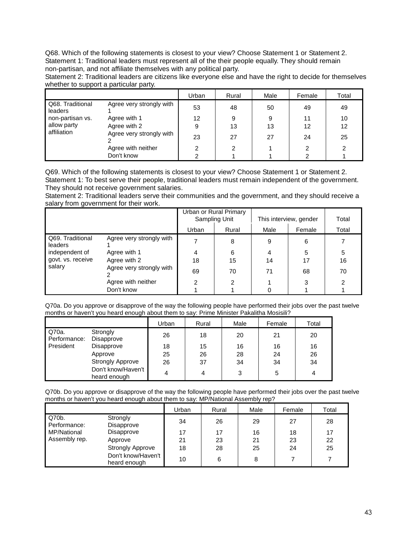Q68. Which of the following statements is closest to your view? Choose Statement 1 or Statement 2. Statement 1: Traditional leaders must represent all of the their people equally. They should remain non-partisan, and not affiliate themselves with any political party.

Statement 2: Traditional leaders are citizens like everyone else and have the right to decide for themselves whether to support a particular party.

|                             |                          | Urban | Rural | Male | Female | Total |
|-----------------------------|--------------------------|-------|-------|------|--------|-------|
| Q68. Traditional<br>leaders | Agree very strongly with | 53    | 48    | 50   | 49     | 49    |
| non-partisan vs.            | Agree with 1             | 12    | 9     | 9    | 11     | 10    |
| allow party<br>affiliation  | Agree with 2             | 9     | 13    | 13   | 12     | 12    |
|                             | Agree very strongly with | 23    | 27    | 27   | 24     | 25    |
|                             | Agree with neither       | 2     | 2     |      |        |       |
|                             | Don't know               |       |       |      |        |       |

Q69. Which of the following statements is closest to your view? Choose Statement 1 or Statement 2. Statement 1: To best serve their people, traditional leaders must remain independent of the government. They should not receive government salaries.

Statement 2: Traditional leaders serve their communities and the government, and they should receive a salary from government for their work.

|                             |                          | Urban or Rural Primary<br>Sampling Unit |       | This interview, gender | Total  |       |
|-----------------------------|--------------------------|-----------------------------------------|-------|------------------------|--------|-------|
|                             |                          | Urban                                   | Rural | Male                   | Female | Total |
| Q69. Traditional<br>leaders | Agree very strongly with |                                         | 8     | 9                      | 6      |       |
| independent of              | Agree with 1             |                                         | 6     | 4                      | 5      | 5     |
| govt. vs. receive           | Agree with 2             | 18                                      | 15    | 14                     | 17     | 16    |
| salary                      | Agree very strongly with | 69                                      | 70    | 71                     | 68     | 70    |
|                             | Agree with neither       | າ                                       | 2     |                        | 3      | 2     |
|                             | Don't know               |                                         |       |                        |        |       |

Q70a. Do you approve or disapprove of the way the following people have performed their jobs over the past twelve months or haven't you heard enough about them to say: Prime Minister Pakalitha Mosisili?

|                       |                                    | Urban | Rural | Male | Female | Total |
|-----------------------|------------------------------------|-------|-------|------|--------|-------|
| Q70a.<br>Performance: | Strongly<br>Disapprove             | 26    | 18    | 20   | 21     | 20    |
| President             | Disapprove                         | 18    | 15    | 16   | 16     | 16    |
|                       | Approve                            | 25    | 26    | 28   | 24     | 26    |
|                       | <b>Strongly Approve</b>            | 26    | 37    | 34   | 34     | 34    |
|                       | Don't know/Haven't<br>heard enough | 4     |       | 3    | 5      | 4     |

Q70b. Do you approve or disapprove of the way the following people have performed their jobs over the past twelve months or haven't you heard enough about them to say: MP/National Assembly rep?

|                       |                                    | Urban | Rural | Male | Female | Total |
|-----------------------|------------------------------------|-------|-------|------|--------|-------|
| Q70b.<br>Performance: | Strongly<br>Disapprove             | 34    | 26    | 29   | 27     | 28    |
| MP/National           | Disapprove                         | 17    | 17    | 16   | 18     | 17    |
| Assembly rep.         | Approve                            | 21    | 23    | 21   | 23     | 22    |
|                       | <b>Strongly Approve</b>            | 18    | 28    | 25   | 24     | 25    |
|                       | Don't know/Haven't<br>heard enough | 10    | 6     | 8    |        |       |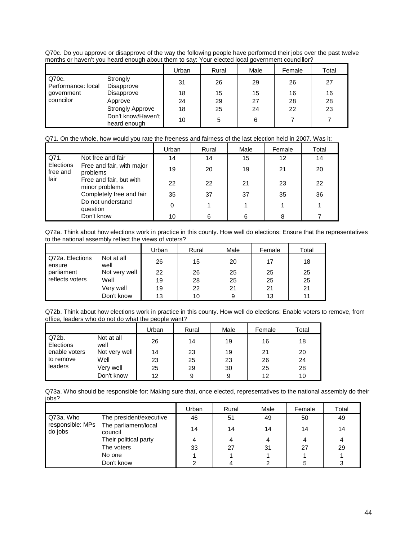Q70c. Do you approve or disapprove of the way the following people have performed their jobs over the past twelve months or haven't you heard enough about them to say: Your elected local government councillor?

|                             |                                    | Urban | Rural | Male | Female | Total |
|-----------------------------|------------------------------------|-------|-------|------|--------|-------|
| Q70c.<br>Performance: local | Strongly<br>Disapprove             | 31    | 26    | 29   | 26     | 27    |
| government                  | Disapprove                         | 18    | 15    | 15   | 16     | 16    |
| councilor                   | Approve                            | 24    | 29    | 27   | 28     | 28    |
|                             | <b>Strongly Approve</b>            | 18    | 25    | 24   | 22     | 23    |
|                             | Don't know/Haven't<br>heard enough | 10    | 5     | 6    |        |       |

| Q71. On the whole, how would you rate the freeness and fairness of the last election held in 2007. Was it: |
|------------------------------------------------------------------------------------------------------------|
|------------------------------------------------------------------------------------------------------------|

|                       |                                           | Urban | Rural | Male | Female | Total |
|-----------------------|-------------------------------------------|-------|-------|------|--------|-------|
| Q71.                  | Not free and fair                         | 14    | 14    | 15   | 12     | 14    |
| Elections<br>free and | Free and fair, with major<br>problems     | 19    | 20    | 19   | 21     | 20    |
| fair                  | Free and fair, but with<br>minor problems | 22    | 22    | 21   | 23     | 22    |
|                       | Completely free and fair                  | 35    | 37    | 37   | 35     | 36    |
|                       | Do not understand<br>question             | 0     |       |      |        |       |
|                       | Don't know                                | 10    | 6     |      | 8      |       |

Q72a. Think about how elections work in practice in this county. How well do elections: Ensure that the representatives to the national assembly reflect the views of voters?

|                           |                    | Urban | Rural | Male | Female | Total |
|---------------------------|--------------------|-------|-------|------|--------|-------|
| Q72a. Elections<br>ensure | Not at all<br>well | 26    | 15    | 20   | 17     | 18    |
| parliament                | Not very well      | 22    | 26    | 25   | 25     | 25    |
| reflects voters           | Well               | 19    | 28    | 25   | 25     | 25    |
|                           | Very well          | 19    | 22    | 21   | 21     | 21    |
|                           | Don't know         | 13    | 10    | 9    | 13     | 11    |

Q72b. Think about how elections work in practice in this county. How well do elections: Enable voters to remove, from office, leaders who do not do what the people want?

|                    |                    | Urban | Rural | Male | Female | Total |
|--------------------|--------------------|-------|-------|------|--------|-------|
| Q72b.<br>Elections | Not at all<br>well | 26    | 14    | 19   | 16     | 18    |
| enable voters      | Not very well      | 14    | 23    | 19   | 21     | 20    |
| to remove          | Well               | 23    | 25    | 23   | 26     | 24    |
| leaders            | Very well          | 25    | 29    | 30   | 25     | 28    |
|                    | Don't know         | 12    | 9     | 9    | 12     | 10    |

Q73a. Who should be responsible for: Making sure that, once elected, representatives to the national assembly do their jobs?

|                             |                                 | Urban | Rural | Male | Female | Total |
|-----------------------------|---------------------------------|-------|-------|------|--------|-------|
| Q73a, Who                   | The president/executive         | 46    | 51    | 49   | 50     | 49    |
| responsible: MPs<br>do jobs | The parliament/local<br>council | 14    | 14    | 14   | 14     | 14    |
|                             | Their political party           |       | 4     | 4    | 4      |       |
|                             | The voters                      | 33    | 27    | 31   | 27     | 29    |
|                             | No one                          |       |       |      |        |       |
|                             | Don't know                      |       |       |      |        |       |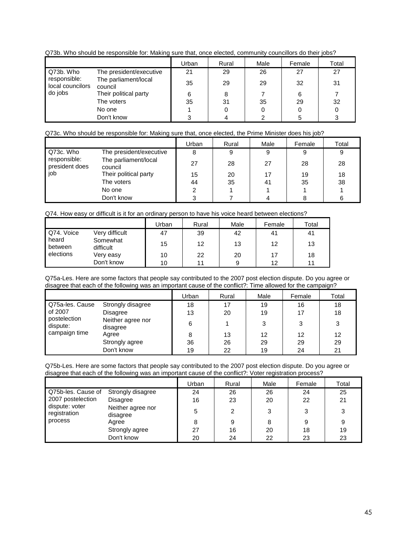Q73b. Who should be responsible for: Making sure that, once elected, community councillors do their jobs?

|                                  |                                 | Urban | Rural | Male | Female | Total |
|----------------------------------|---------------------------------|-------|-------|------|--------|-------|
| Q73b. Who                        | The president/executive         | 21    | 29    | 26   | 27     | 27    |
| responsible:<br>local councilors | The parliament/local<br>council | 35    | 29    | 29   | 32     | 31    |
| do jobs                          | Their political party           | 6     | 8     |      | 6      |       |
|                                  | The voters                      | 35    | 31    | 35   | 29     | 32    |
|                                  | No one                          |       |       | 0    |        |       |
|                                  | Don't know                      | ົ     |       |      |        |       |

#### Q73c. Who should be responsible for: Making sure that, once elected, the Prime Minister does his job?

|                                |                                 | Urban | Rural | Male | Female | Total |
|--------------------------------|---------------------------------|-------|-------|------|--------|-------|
| Q73c. Who                      | The president/executive         |       | 9     | 9    | 9      |       |
| responsible:<br>president does | The parliament/local<br>council | 27    | 28    | 27   | 28     | 28    |
| iob                            | Their political party           | 15    | 20    |      | 19     | 18    |
|                                | The voters                      | 44    | 35    | 41   | 35     | 38    |
|                                | No one                          |       |       |      |        |       |
|                                | Don't know                      |       |       |      |        |       |

Q74. How easy or difficult is it for an ordinary person to have his voice heard between elections?

|                  |                       | Jrban | Rural | Male | Female | Total |
|------------------|-----------------------|-------|-------|------|--------|-------|
| Q74. Voice       | Very difficult        | 47    | 39    | 42   | 41     | 41    |
| heard<br>between | Somewhat<br>difficult | 15    | 12    | 13   | 12     | 13    |
| elections        | Very easy             | 10    | 22    | 20   | 17     | 18    |
|                  | Don't know            | 10    |       | 9    | 12     | 11    |

Q75a-Les. Here are some factors that people say contributed to the 2007 post election dispute. Do you agree or disagree that each of the following was an important cause of the conflict?: Time allowed for the campaign?

|                          |                               | Urban | Rural | Male | Female | Total |
|--------------------------|-------------------------------|-------|-------|------|--------|-------|
| Q75a-les. Cause          | Strongly disagree             | 18    | 17    | 19   | 16     | 18    |
| of 2007                  | Disagree                      | 13    | 20    | 19   | 17     | 18    |
| postelection<br>dispute: | Neither agree nor<br>disagree | 6     |       | ◠    | 3      | 3     |
| campaign time            | Agree                         | 8     | 13    | 12   | 12     | 12    |
|                          | Strongly agree                | 36    | 26    | 29   | 29     | 29    |
|                          | Don't know                    | 19    | 22    | 19   | 24     | 21    |

Q75b-Les. Here are some factors that people say contributed to the 2007 post election dispute. Do you agree or disagree that each of the following was an important cause of the conflict?: Voter registration process?

|                                                                |                               | Urban | Rural | Male | Female | Total |
|----------------------------------------------------------------|-------------------------------|-------|-------|------|--------|-------|
| Q75b-les. Cause of                                             | Strongly disagree             | 24    | 26    | 26   | 24     | 25    |
| 2007 postelection<br>dispute: voter<br>registration<br>process | <b>Disagree</b>               | 16    | 23    | 20   | 22     | 21    |
|                                                                | Neither agree nor<br>disagree | 5     | 2     |      | 3      | 3     |
|                                                                | Agree                         | 8     | 9     | 8    | 9      | 9     |
|                                                                | Strongly agree                | 27    | 16    | 20   | 18     | 19    |
|                                                                | Don't know                    | 20    | 24    | 22   | 23     | 23    |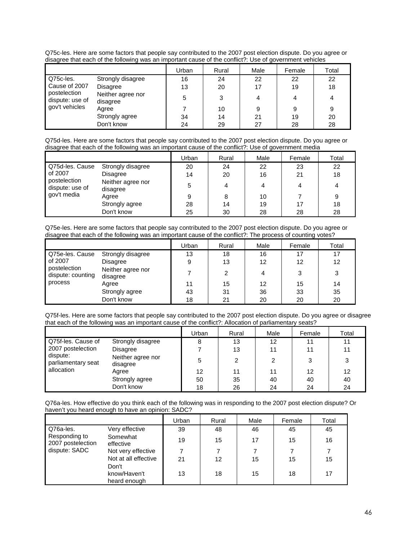Q75c-les. Here are some factors that people say contributed to the 2007 post election dispute. Do you agree or disagree that each of the following was an important cause of the conflict?: Use of government vehicles

|                                                                    |                               | Urban | Rural  | Male | Female | Total |
|--------------------------------------------------------------------|-------------------------------|-------|--------|------|--------|-------|
| Q75c-les.                                                          | Strongly disagree             | 16    | 24     | 22   | 22     | 22    |
| Cause of 2007<br>postelection<br>dispute: use of<br>gov't vehicles | Disagree                      | 13    | 20     | 17   | 19     | 18    |
|                                                                    | Neither agree nor<br>disagree | 5     | $\sim$ |      |        |       |
|                                                                    | Agree                         |       | 10     | 9    | 9      | 9     |
|                                                                    | Strongly agree                | 34    | 14     | 21   | 19     | 20    |
|                                                                    | Don't know                    | 24    | 29     | 27   | 28     | 28    |

Q75d-les. Here are some factors that people say contributed to the 2007 post election dispute. Do you agree or disagree that each of the following was an important cause of the conflict?: Use of government media

|                                                                              |                               | Urban | Rural | Male | Female | Total |
|------------------------------------------------------------------------------|-------------------------------|-------|-------|------|--------|-------|
| Q75d-les. Cause<br>of 2007<br>postelection<br>dispute: use of<br>gov't media | Strongly disagree             | 20    | 24    | 22   | 23     | 22    |
|                                                                              | Disagree                      | 14    | 20    | 16   | 21     | 18    |
|                                                                              | Neither agree nor<br>disagree |       |       | 4    |        | 4     |
|                                                                              | Agree                         | 9     | 8     | 10   |        | 9     |
|                                                                              | Strongly agree                | 28    | 14    | 19   | 17     | 18    |
|                                                                              | Don't know                    | 25    | 30    | 28   | 28     | 28    |

Q75e-les. Here are some factors that people say contributed to the 2007 post election dispute. Do you agree or disagree that each of the following was an important cause of the conflict?: The process of counting votes?

|                                                                            |                               | Urban | Rural | Male | Female | Total |
|----------------------------------------------------------------------------|-------------------------------|-------|-------|------|--------|-------|
| Q75e-les. Cause<br>of 2007<br>postelection<br>dispute: counting<br>process | Strongly disagree             | 13    | 18    | 16   | 17     | 17    |
|                                                                            | Disagree                      | 9     | 13    | 12   | 12     | 12    |
|                                                                            | Neither agree nor<br>disagree |       |       | 4    |        | 3     |
|                                                                            | Agree                         | 11    | 15    | 12   | 15     | 14    |
|                                                                            | Strongly agree                | 43    | 31    | 36   | 33     | 35    |
|                                                                            | Don't know                    | 18    | 21    | 20   | 20     | 20    |

Q75f-les. Here are some factors that people say contributed to the 2007 post election dispute. Do you agree or disagree that each of the following was an important cause of the conflict?: Allocation of parliamentary seats?

|                                                     |                               | Urban | Rural | Male | Female | Total |
|-----------------------------------------------------|-------------------------------|-------|-------|------|--------|-------|
| Q75f-les. Cause of                                  | Strongly disagree             | 8     | 13    | 12   | 11     | 11    |
| 2007 postelection<br>dispute:<br>parliamentary seat | Disagree                      |       | 13    | 11   | 11     | 11    |
|                                                     | Neither agree nor<br>disagree | 5     | 2     |      |        | 3     |
| allocation                                          | Agree                         | 12    | 11    | 11   | 12     | 12    |
|                                                     | Strongly agree                | 50    | 35    | 40   | 40     | 40    |
|                                                     | Don't know                    | 18    | 26    | 24   | 24     | 24    |

Q76a-les. How effective do you think each of the following was in responding to the 2007 post election dispute? Or haven't you heard enough to have an opinion: SADC?

|                                    |                       | Urban | Rural | Male | Female | Total |
|------------------------------------|-----------------------|-------|-------|------|--------|-------|
| l Q76a-les.                        | Very effective        | 39    | 48    | 46   | 45     | 45    |
| Responding to<br>2007 postelection | Somewhat<br>effective | 19    | 15    | 17   | 15     | 16    |
| dispute: SADC                      | Not very effective    |       |       |      |        |       |
|                                    | Not at all effective  | 21    | 12    | 15   | 15     | 15    |
|                                    | Don't                 |       |       |      |        |       |
|                                    | know/Haven't          | 13    | 18    | 15   | 18     | 17    |
|                                    | heard enough          |       |       |      |        |       |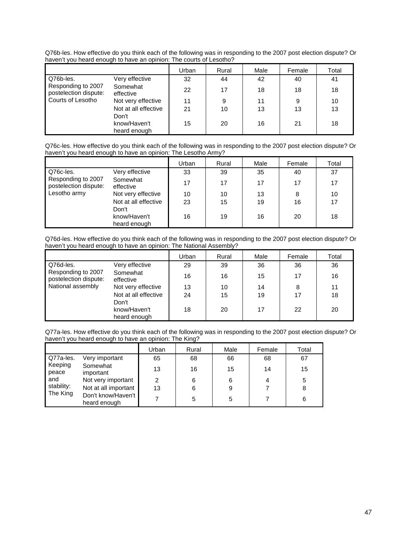Q76b-les. How effective do you think each of the following was in responding to the 2007 post election dispute? Or haven't you heard enough to have an opinion: The courts of Lesotho?

|                                                                  |                                       | Urban | Rural | Male | Female | Total |
|------------------------------------------------------------------|---------------------------------------|-------|-------|------|--------|-------|
| Q76b-les.                                                        | Very effective                        | 32    | 44    | 42   | 40     | 41    |
| Responding to 2007<br>postelection dispute:<br>Courts of Lesotho | Somewhat<br>effective                 | 22    | 17    | 18   | 18     | 18    |
|                                                                  | Not very effective                    | 11    | 9     | 11   | 9      | 10    |
|                                                                  | Not at all effective                  | 21    | 10    | 13   | 13     | 13    |
|                                                                  | Don't<br>know/Haven't<br>heard enough | 15    | 20    | 16   | 21     | 18    |

Q76c-les. How effective do you think each of the following was in responding to the 2007 post election dispute? Or haven't you heard enough to have an opinion: The Lesotho Army?

|                                             |                       | Urban | Rural | Male | Female | Total |
|---------------------------------------------|-----------------------|-------|-------|------|--------|-------|
| Q76c-les.                                   | Very effective        | 33    | 39    | 35   | 40     | 37    |
| Responding to 2007<br>postelection dispute: | Somewhat<br>effective | 17    | 17    | 17   | 17     | 17    |
| Lesotho army                                | Not very effective    | 10    | 10    | 13   | 8      | 10    |
|                                             | Not at all effective  | 23    | 15    | 19   | 16     | 17    |
|                                             | Don't                 |       |       |      |        |       |
|                                             | know/Haven't          | 16    | 19    | 16   | 20     | 18    |
|                                             | heard enough          |       |       |      |        |       |

Q76d-les. How effective do you think each of the following was in responding to the 2007 post election dispute? Or haven't you heard enough to have an opinion: The National Assembly?

|                                                                  |                       | Urban | Rural | Male | Female | Total |
|------------------------------------------------------------------|-----------------------|-------|-------|------|--------|-------|
| Q76d-les.                                                        | Very effective        | 29    | 39    | 36   | 36     | 36    |
| Responding to 2007<br>postelection dispute:<br>National assembly | Somewhat<br>effective | 16    | 16    | 15   | 17     | 16    |
|                                                                  | Not very effective    | 13    | 10    | 14   | 8      | 11    |
|                                                                  | Not at all effective  | 24    | 15    | 19   | 17     | 18    |
|                                                                  | Don't                 |       |       |      |        |       |
|                                                                  | know/Haven't          | 18    | 20    | 17   | 22     | 20    |
|                                                                  | heard enough          |       |       |      |        |       |

Q77a-les. How effective do you think each of the following was in responding to the 2007 post election dispute? Or haven't you heard enough to have an opinion: The King?

|                                                                |                                    | Urban | Rural | Male | Female | Total |
|----------------------------------------------------------------|------------------------------------|-------|-------|------|--------|-------|
| Q77a-les.<br>Keeping<br>peace<br>and<br>stability:<br>The King | Very important                     | 65    | 68    | 66   | 68     | 67    |
|                                                                | Somewhat<br>important              | 13    | 16    | 15   | 14     | 15    |
|                                                                | Not very important                 | 2     | 6     | 6    | 4      | 5     |
|                                                                | Not at all important               | 13    | 6     | 9    |        | 8     |
|                                                                | Don't know/Haven't<br>heard enough |       | 5     | 5    |        | 6     |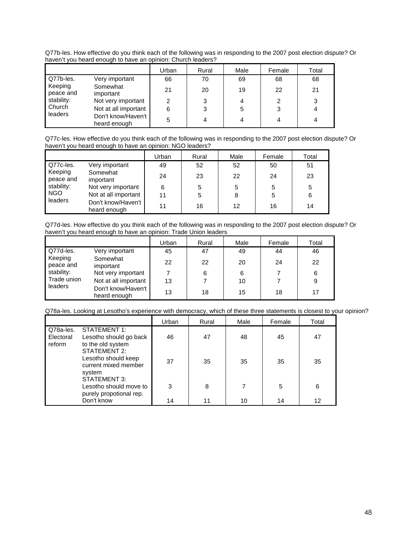| haven't you heard enough to have an opinion: Church leaders? |                       |       |       |      |           |       |  |  |  |
|--------------------------------------------------------------|-----------------------|-------|-------|------|-----------|-------|--|--|--|
|                                                              |                       | Urban | Rural | Male | Female    | Total |  |  |  |
| Q77b-les.                                                    | Very important        | 66    | 70    | 69   | 68        | 68    |  |  |  |
| Keeping<br>peace and                                         | Somewhat<br>important | 21    | 20    | 19   | 22        | 21    |  |  |  |
| stability:                                                   | Not very important    | 2     |       | 4    |           |       |  |  |  |
| Church                                                       | Not at all important  | 6     |       | 5    |           |       |  |  |  |
| leaders                                                      | Don't know/Haven't I  | c     |       |      | $\lambda$ |       |  |  |  |

Q77b-les. How effective do you think each of the following was in responding to the 2007 post election dispute? Or haven't you heard enough to have an opinion: Church leaders?

Q77c-les. How effective do you think each of the following was in responding to the 2007 post election dispute? Or haven't you heard enough to have an opinion: NGO leaders?

DONT KNOW/Havent<br>heard enough 5 4 4 4 4 4

|                                                                          |                                    | Urban | Rural | Male | Female | Total |
|--------------------------------------------------------------------------|------------------------------------|-------|-------|------|--------|-------|
| Q77c-les.<br>Keeping<br>peace and<br>stability:<br><b>NGO</b><br>leaders | Very important                     | 49    | 52    | 52   | 50     | 51    |
|                                                                          | Somewhat<br>important              | 24    | 23    | 22   | 24     | 23    |
|                                                                          | Not very important                 | 6     | 5     | 5    | 5      | 5     |
|                                                                          | Not at all important               | 11    | 5     | 8    | 5      | 6     |
|                                                                          | Don't know/Haven't<br>heard enough | 11    | 16    | 12   | 16     | 14    |

Q77d-les. How effective do you think each of the following was in responding to the 2007 post election dispute? Or haven't you heard enough to have an opinion: Trade Union leaders

|                                                                                                                          |                                    | Urban | Rural | Male | Female | Total |
|--------------------------------------------------------------------------------------------------------------------------|------------------------------------|-------|-------|------|--------|-------|
| Q77d-les.                                                                                                                | Very important                     | 45    | 47    | 49   | 44     | 46    |
| Keeping<br>Somewhat<br>peace and<br>important<br>stability:<br>Not very important<br>Trade union<br>Not at all important | 22                                 | 22    | 20    | 24   | 22     |       |
|                                                                                                                          |                                    |       | 6     | 6    |        | 6     |
|                                                                                                                          |                                    | 13    |       | 10   |        | 9     |
| leaders                                                                                                                  | Don't know/Haven't<br>heard enough | 13    | 18    | 15   | 18     | 17    |

#### Q78a-les. Looking at Lesotho's experience with democracy, which of these three statements is closest to your opinion?

|                                  |                                                                       | Urban | Rural | Male | Female | Total |
|----------------------------------|-----------------------------------------------------------------------|-------|-------|------|--------|-------|
| Q78a-les.<br>Electoral<br>reform | STATEMENT 1:<br>Lesotho should go back<br>to the old system           | 46    | 47    | 48   | 45     | 47    |
|                                  | STATEMENT 2:<br>Lesotho should keep<br>current mixed member<br>system | 37    | 35    | 35   | 35     | 35    |
|                                  | STATEMENT 3:<br>Lesotho should move to<br>purely propotional rep.     | 3     | 8     |      | 5      | 6     |
|                                  | Don't know                                                            | 14    | 11    | 10   | 14     | 12    |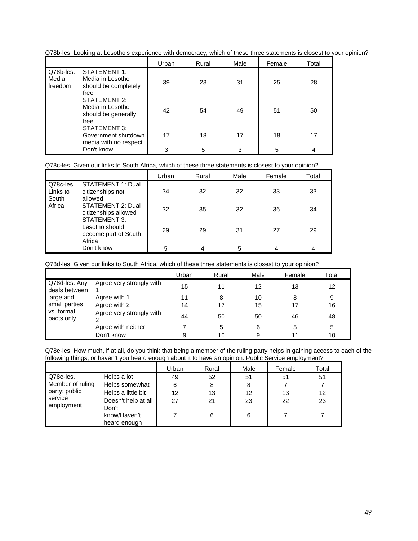Q78b-les. Looking at Lesotho's experience with democracy, which of these three statements is closest to your opinion?

|                               |                                                                         | Urban | Rural | Male | Female | Total |
|-------------------------------|-------------------------------------------------------------------------|-------|-------|------|--------|-------|
| Q78b-les.<br>Media<br>freedom | <b>STATEMENT 1:</b><br>Media in Lesotho<br>should be completely<br>free | 39    | 23    | 31   | 25     | 28    |
|                               | STATEMENT 2:<br>Media in Lesotho<br>should be generally<br>free         | 42    | 54    | 49   | 51     | 50    |
|                               | STATEMENT 3:<br>Government shutdown<br>media with no respect            | 17    | 18    | 17   | 18     | 17    |
|                               | Don't know                                                              | 3     | 5     | 3    | 5      |       |

## Q78c-les. Given our links to South Africa, which of these three statements is closest to your opinion?

|                                |                                                           | Urban | Rural | Male | Female | Total |
|--------------------------------|-----------------------------------------------------------|-------|-------|------|--------|-------|
| Q78c-les.<br>Links to<br>South | STATEMENT 1: Dual<br>citizenships not<br>allowed          | 34    | 32    | 32   | 33     | 33    |
| Africa                         | STATEMENT 2: Dual<br>citizenships allowed<br>STATEMENT 3: | 32    | 35    | 32   | 36     | 34    |
|                                | Lesotho should<br>become part of South<br>Africa          | 29    | 29    | 31   | 27     | 29    |
|                                | Don't know                                                | 5     | 4     | 5    | 4      | 4     |

Q78d-les. Given our links to South Africa, which of these three statements is closest to your opinion?

|                                |                          | Urban | Rural | Male | Female | Total |
|--------------------------------|--------------------------|-------|-------|------|--------|-------|
| Q78d-les. Any<br>deals between | Agree very strongly with | 15    | 11    | 12   | 13     | 12    |
| large and                      | Agree with 1             | 11    | 8     | 10   | 8      | 9     |
| small parties                  | Agree with 2             | 14    | 17    | 15   |        | 16    |
| vs. formal<br>pacts only       | Agree very strongly with | 44    | 50    | 50   | 46     | 48    |
|                                | Agree with neither       |       | 5     | 6    |        | 5     |
|                                | Don't know               | 9     | 10    | 9    |        | 10    |

Q78e-les. How much, if at all, do you think that being a member of the ruling party helps in gaining access to each of the following things, or haven't you heard enough about it to have an opinion: Public Service employment?

|                                                            |                              | Urban | Rural | Male | Female | Total |
|------------------------------------------------------------|------------------------------|-------|-------|------|--------|-------|
| Q78e-les.                                                  | Helps a lot                  | 49    | 52    | 51   | 51     | 51    |
| Member of ruling<br>party: public<br>service<br>employment | Helps somewhat               | 6     | 8     | 8    |        |       |
|                                                            | Helps a little bit           | 12    | 13    | 12   | 13     | 12    |
|                                                            | Doesn't help at all<br>Don't | 27    | 21    | 23   | 22     | 23    |
|                                                            | know/Haven't<br>heard enough |       | 6     | 6    |        |       |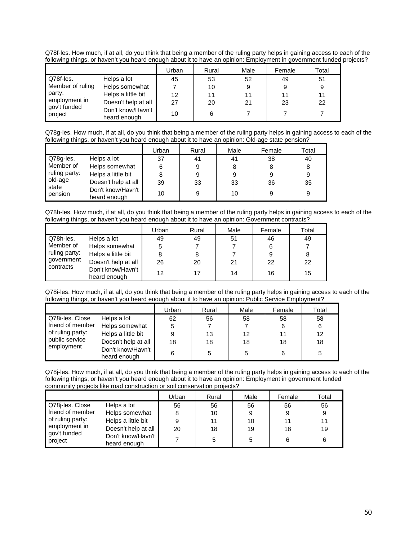Q78f-les. How much, if at all, do you think that being a member of the ruling party helps in gaining access to each of the following things, or haven't you heard enough about it to have an opinion: Employment in government funded projects?

|                         |                                   | Urban | Rural | Male | Female | Total |
|-------------------------|-----------------------------------|-------|-------|------|--------|-------|
| Q78f-les.               | Helps a lot                       | 45    | 53    | 52   | 49     | 51    |
| Member of ruling        | Helps somewhat                    |       | 10    |      | 9      | 9     |
| party:                  | Helps a little bit                | 12    | 11    | 11   | 11     | 11    |
| employment in           | Doesn't help at all               | 27    | 20    | 21   | 23     | 22    |
| gov't funded<br>project | Don't know/Havn't<br>heard enough | 10    | 6     |      |        |       |

Q78g-les. How much, if at all, do you think that being a member of the ruling party helps in gaining access to each of the following things, or haven't you heard enough about it to have an opinion: Old-age state pension?

|                  |                                   | Urban | Rural | Male | Female | Total |
|------------------|-----------------------------------|-------|-------|------|--------|-------|
| Q78g-les.        | Helps a lot                       | 37    | 41    | 41   | 38     | 40    |
| Member of        | Helps somewhat                    | 6     | 9     | 8    | 8      | 8     |
| ruling party:    | Helps a little bit                |       | 9     | 9    | 9      | 9     |
| old-age          | Doesn't help at all               | 39    | 33    | 33   | 36     | 35    |
| state<br>pension | Don't know/Havn't<br>heard enough | 10    | 9     | 10   | 9      | 9     |

Q78h-les. How much, if at all, do you think that being a member of the ruling party helps in gaining access to each of the following things, or haven't you heard enough about it to have an opinion: Government contracts?

|               |                                   | Urban | Rural | Male | Female | Total |
|---------------|-----------------------------------|-------|-------|------|--------|-------|
| Q78h-les.     | Helps a lot                       | 49    | 49    | 51   | 46     | 49    |
| Member of     | Helps somewhat                    | 5     |       |      | 6      |       |
| ruling party: | Helps a little bit                | 8     | 8     |      | 9      | 8     |
| government    | Doesn't help at all               | 26    | 20    | 21   | 22     | 22    |
| contracts     | Don't know/Havn't<br>heard enough | 12    | 17    | 14   | 16     | 15    |

Q78i-les. How much, if at all, do you think that being a member of the ruling party helps in gaining access to each of the following things, or haven't you heard enough about it to have an opinion: Public Service Employment?

|                  |                                   | Urban | Rural | Male | Female | Total |
|------------------|-----------------------------------|-------|-------|------|--------|-------|
| Q78i-les. Close  | Helps a lot                       | 62    | 56    | 58   | 58     | 58    |
| friend of member | Helps somewhat                    | 5     |       |      | 6      | 6     |
| of ruling party: | Helps a little bit                | 9     | 13    | 12   |        | 12    |
| public service   | Doesn't help at all               | 18    | 18    | 18   | 18     | 18    |
| employment       | Don't know/Havn't<br>heard enough | 6     | 5     | 5    |        | 5     |

Q78j-les. How much, if at all, do you think that being a member of the ruling party helps in gaining access to each of the following things, or haven't you heard enough about it to have an opinion: Employment in government funded community projects like road construction or soil conservation projects?

|                         |                                   | Urban | Rural | Male | Female | Total |
|-------------------------|-----------------------------------|-------|-------|------|--------|-------|
| Q78i-les. Close         | Helps a lot                       | 56    | 56    | 56   | 56     | 56    |
| I friend of member      | Helps somewhat                    |       | 10    | 9    |        | 9     |
| of ruling party:        | Helps a little bit                |       | 11    | 10   |        | 11    |
| employment in           | Doesn't help at all               | 20    | 18    | 19   | 18     | 19    |
| gov't funded<br>project | Don't know/Havn't<br>heard enough |       |       | 5    |        | 6     |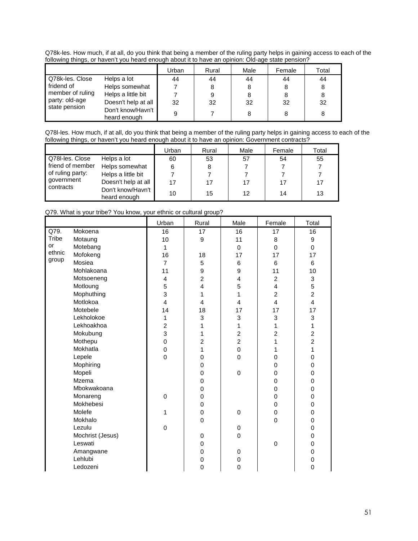Q78k-les. How much, if at all, do you think that being a member of the ruling party helps in gaining access to each of the following things, or haven't you heard enough about it to have an opinion: Old-age state pension?

|                  |                                   | Urban | Rural | Male | Female | Total |
|------------------|-----------------------------------|-------|-------|------|--------|-------|
| Q78k-les, Close  | Helps a lot                       | 44    | 44    | 44   | 44     | 44    |
| fridend of       | Helps somewhat                    |       | 8     |      |        | 8     |
| member of ruling | Helps a little bit                |       | 9     |      |        | 8     |
| party: old-age   | Doesn't help at all               | 32    | 32    | 32   | 32     | 32    |
| state pension    | Don't know/Havn't<br>heard enough | 9     |       | 8    |        | 8     |

Q78l-les. How much, if at all, do you think that being a member of the ruling party helps in gaining access to each of the following things, or haven't you heard enough about it to have an opinion: Government contracts?

|                    |                                   | Urban | Rural | Male | Female | Total |
|--------------------|-----------------------------------|-------|-------|------|--------|-------|
| Q78I-les, Close    | Helps a lot                       | 60    | 53    | 57   | 54     | 55    |
| l friend of member | Helps somewhat                    | 6     | 8     |      |        |       |
| of ruling party:   | Helps a little bit                |       |       |      |        |       |
| government         | Doesn't help at all               | 17    | 17    | 17   | 17     | 17    |
| contracts          | Don't know/Havn't<br>heard enough | 10    | 15    | 12   | 14     | 13    |

| Q79. What is your tribe? You know, your ethnic or cultural group? |  |  |  |  |  |  |
|-------------------------------------------------------------------|--|--|--|--|--|--|
|-------------------------------------------------------------------|--|--|--|--|--|--|

|        |                  | Urban          | Rural          | Male           | Female         | Total                     |
|--------|------------------|----------------|----------------|----------------|----------------|---------------------------|
| Q79.   | Mokoena          | 16             | 17             | 16             | 17             | 16                        |
| Tribe  | Motaung          | 10             | 9              | 11             | 8              | 9                         |
| or     | Motebang         | $\mathbf{1}$   |                | $\Omega$       | $\mathbf 0$    | $\Omega$                  |
| ethnic | Mofokeng         | 16             | 18             | 17             | 17             | 17                        |
| group  | Mosiea           | $\overline{7}$ | 5              | 6              | 6              | 6                         |
|        | Mohlakoana       | 11             | $\mathsf g$    | 9              | 11             | 10                        |
|        | Motsoeneng       | 4              | $\overline{c}$ | 4              | $\overline{c}$ | $\ensuremath{\mathsf{3}}$ |
|        | Motloung         | 5              | 4              | 5              | 4              | 5                         |
|        | Mophuthing       | 3              | 1              | 1              | $\overline{c}$ | $\overline{c}$            |
|        | Motlokoa         | 4              | 4              | 4              | $\overline{4}$ | $\overline{\mathbf{4}}$   |
|        | Motebele         | 14             | 18             | 17             | 17             | 17                        |
|        | Lekholokoe       | 1              | 3              | 3              | 3              | 3                         |
|        | Lekhoakhoa       | $\overline{2}$ | 1              | 1              | 1              | 1                         |
|        | Mokubung         | 3              | 1              | $\overline{c}$ | $\overline{c}$ | $\overline{c}$            |
|        | Mothepu          | $\mathsf 0$    | $\overline{c}$ | $\overline{2}$ | 1              | $\overline{2}$            |
|        | Mokhatla         | 0              | 1              | 0              | 1              | 1                         |
|        | Lepele           | 0              | $\mathbf 0$    | $\overline{0}$ | 0              | $\mathbf 0$               |
|        | Mophiring        |                | 0              |                | 0              | 0                         |
|        | Mopeli           |                | 0              | $\mathsf 0$    | 0              | $\mathsf 0$               |
|        | Mzema            |                | 0              |                | 0              | 0                         |
|        | Mbokwakoana      |                | 0              |                | $\mathbf 0$    | $\mathbf 0$               |
|        | Monareng         | 0              | $\mathbf 0$    |                | $\mathbf 0$    | $\mathbf 0$               |
|        | Mokhebesi        |                | 0              |                | $\mathbf 0$    | $\mathbf 0$               |
|        | Molefe           | 1              | $\mathbf 0$    | 0              | $\mathbf 0$    | $\mathbf 0$               |
|        | Mokhalo          |                | $\mathbf 0$    |                | 0              | $\mathbf 0$               |
|        | Lezulu           | $\mathbf 0$    |                | 0              |                | $\mathbf 0$               |
|        | Mochrist (Jesus) |                | 0              | $\overline{0}$ |                | $\mathbf 0$               |
|        | Leswati          |                | 0              |                | $\mathbf 0$    | $\mathbf 0$               |
|        | Amangwane        |                | 0              | 0              |                | $\mathbf 0$               |
|        | Lehlubi          |                | 0              | 0              |                | 0                         |
|        | Ledozeni         |                | 0              | 0              |                | $\Omega$                  |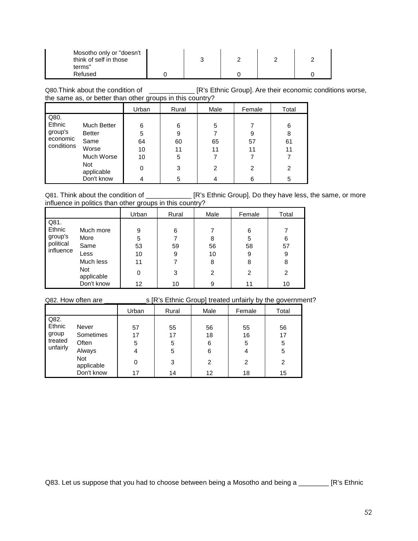| Mosotho only or "doesn't<br>think of self in those<br>terms" |  |  |  |
|--------------------------------------------------------------|--|--|--|
| Refused                                                      |  |  |  |

Q80.Think about the condition of \_\_\_\_\_\_\_\_\_\_\_\_\_\_ [R's Ethnic Group]. Are their economic conditions worse, the same as, or better than other groups in this country?

|                                                     |                                                                                         | Urban                         | Rural                        | Male               | Female             | Total                   |
|-----------------------------------------------------|-----------------------------------------------------------------------------------------|-------------------------------|------------------------------|--------------------|--------------------|-------------------------|
| Q80.<br>Ethnic<br>group's<br>economic<br>conditions | <b>Much Better</b><br><b>Better</b><br>Same<br>Worse<br>Much Worse<br>Not<br>applicable | 6<br>5<br>64<br>10<br>10<br>0 | 6<br>9<br>60<br>11<br>5<br>3 | 5<br>65<br>11<br>2 | 9<br>57<br>11<br>2 | 6<br>8<br>61<br>11<br>2 |
|                                                     | Don't know                                                                              |                               | 5                            |                    | 6                  | 5                       |

Q81. Think about the condition of \_\_\_\_\_\_\_\_\_\_\_\_\_\_ [R's Ethnic Group]. Do they have less, the same, or more influence in politics than other groups in this country?

|                                                                                                                                                 | Urban                               | Rural                        | Male                         | Female                            | Total                        |
|-------------------------------------------------------------------------------------------------------------------------------------------------|-------------------------------------|------------------------------|------------------------------|-----------------------------------|------------------------------|
| Q81.<br>Ethnic<br>Much more<br>group's<br>More<br>political<br>Same<br>influence<br>Less<br>Much less<br><b>Not</b><br>applicable<br>Don't know | 9<br>5<br>53<br>10<br>11<br>0<br>12 | 6<br>59<br>9<br>7<br>3<br>10 | 8<br>56<br>10<br>8<br>2<br>9 | 6<br>5<br>58<br>9<br>8<br>2<br>11 | 6<br>57<br>9<br>8<br>2<br>10 |

Q82. How often are \_\_\_\_\_\_\_\_\_\_\_s [R's Ethnic Group] treated unfairly by the government?

|                                                |                                                                   | Urban                   | Rural                   | Male                    | Female                  | Total                   |
|------------------------------------------------|-------------------------------------------------------------------|-------------------------|-------------------------|-------------------------|-------------------------|-------------------------|
| Q82.<br>Ethnic<br>group<br>treated<br>unfairly | Never<br>Sometimes<br>Often<br>Always<br><b>Not</b><br>applicable | 57<br>17<br>5<br>4<br>0 | 55<br>17<br>5<br>5<br>3 | 56<br>18<br>6<br>6<br>2 | 55<br>16<br>5<br>4<br>2 | 56<br>17<br>5<br>5<br>2 |
|                                                | Don't know                                                        | 17                      | 14                      | 12                      | 18                      | 15                      |

Q83. Let us suppose that you had to choose between being a Mosotho and being a \_\_\_\_\_\_\_\_ [R's Ethnic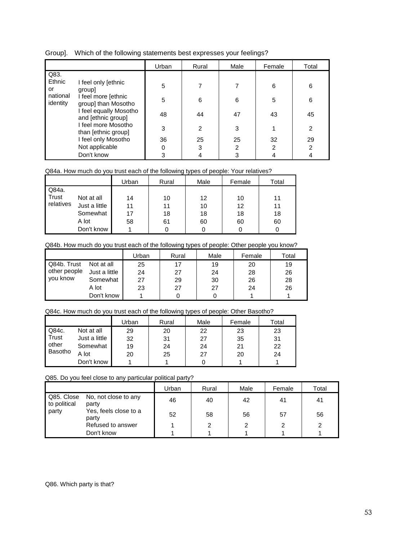|  | Group]. Which of the following statements best expresses your feelings? |
|--|-------------------------------------------------------------------------|
|  |                                                                         |

|                      |                                              | Urban | Rural | Male | Female         | Total          |
|----------------------|----------------------------------------------|-------|-------|------|----------------|----------------|
| Q83.<br>Ethnic<br>or | I feel only [ethnic<br>group]                | 5     |       |      | 6              | 6              |
| national<br>identity | I feel more [ethnic<br>group] than Mosotho   | 5     | 6     | 6    | 5              | 6              |
|                      | I feel equally Mosotho<br>and [ethnic group] | 48    | 44    | 47   | 43             | 45             |
|                      | I feel more Mosotho<br>than [ethnic group]   | 3     | 2     | 3    |                | 2              |
|                      | I feel only Mosotho                          | 36    | 25    | 25   | 32             | 29             |
|                      | Not applicable                               | 0     | 3     | 2    | $\overline{2}$ | $\overline{2}$ |
|                      | Don't know                                   | 3     |       | 3    | 4              | 4              |

#### Q84a. How much do you trust each of the following types of people: Your relatives?

|           |               | Urban | Rural | Male | Female | Total |
|-----------|---------------|-------|-------|------|--------|-------|
| Q84a.     |               |       |       |      |        |       |
| Trust     | Not at all    | 14    | 10    | 12   | 10     | 11    |
| relatives | Just a little | 11    | 11    | 10   | 12     | 11    |
|           | Somewhat      | 17    | 18    | 18   | 18     | 18    |
|           | A lot         | 58    | 61    | 60   | 60     | 60    |
|           | Don't know    |       |       |      |        |       |

## Q84b. How much do you trust each of the following types of people: Other people you know?

|              |               | Urban | Rural | Male | Female | Total |
|--------------|---------------|-------|-------|------|--------|-------|
| Q84b. Trust  | Not at all    | 25    | 17    | 19   | 20     | 19    |
| other people | Just a little | 24    | 27    | 24   | 28     | 26    |
| you know     | Somewhat      | 27    | 29    | 30   | 26     | 28    |
|              | A lot         | 23    | 27    | 27   | 24     | 26    |
|              | Don't know    |       |       |      |        |       |

#### Q84c. How much do you trust each of the following types of people: Other Basotho?

|         |               | Urban | Rural | Male | Female | Total |
|---------|---------------|-------|-------|------|--------|-------|
| Q84c.   | Not at all    | 29    | 20    | 22   | 23     | 23    |
| Trust   | Just a little | 32    | 31    | 27   | 35     | 31    |
| other   | Somewhat      | 19    | 24    | 24   | 21     | 22    |
| Basotho | A lot         | 20    | 25    | 27   | 20     | 24    |
|         | Don't know    |       |       |      |        |       |

#### Q85. Do you feel close to any particular political party?

|                            |                                | Urban | Rural | Male | Female | Total |
|----------------------------|--------------------------------|-------|-------|------|--------|-------|
| Q85. Close<br>to political | No, not close to any<br>party  | 46    | 40    | 42   | 41     | 41    |
| party                      | Yes, feels close to a<br>party | 52    | 58    | 56   | 57     | 56    |
|                            | Refused to answer              |       | 2     | ົ    | ົ      | ົ     |
|                            | Don't know                     |       |       |      |        |       |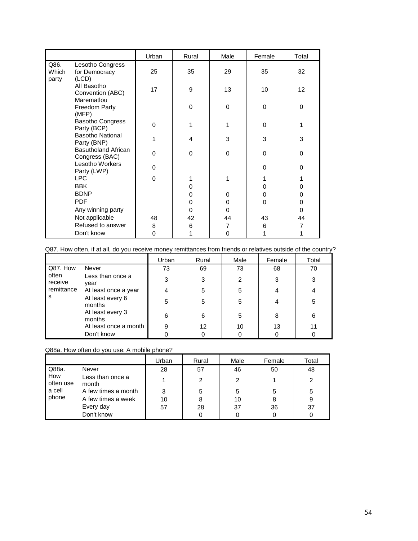|                        |                                              | Urban    | Rural    | Male     | Female   | Total    |
|------------------------|----------------------------------------------|----------|----------|----------|----------|----------|
| Q86.<br>Which<br>party | Lesotho Congress<br>for Democracy<br>(LCD)   | 25       | 35       | 29       | 35       | 32       |
|                        | All Basotho<br>Convention (ABC)              | 17       | 9        | 13       | 10       | 12       |
|                        | Marematlou<br>Freedom Party<br>(MFP)         |          | $\Omega$ | $\Omega$ | $\Omega$ | $\Omega$ |
|                        | <b>Basotho Congress</b><br>Party (BCP)       | $\Omega$ |          |          | 0        |          |
|                        | <b>Basotho National</b><br>Party (BNP)       | 1        | 4        | 3        | 3        | 3        |
|                        | <b>Basutholand African</b><br>Congress (BAC) | $\Omega$ | $\Omega$ | 0        | $\Omega$ | 0        |
|                        | Lesotho Workers<br>Party (LWP)               | $\Omega$ |          |          | $\Omega$ | $\Omega$ |
|                        | <b>LPC</b>                                   | 0        |          |          |          |          |
|                        | <b>BBK</b>                                   |          | 0        |          | 0        | 0        |
|                        | <b>BDNP</b>                                  |          | 0        | 0        | 0        | 0        |
|                        | <b>PDF</b>                                   |          | 0        | 0        | 0        | 0        |
|                        | Any winning party                            |          | 0        | 0        |          | 0        |
|                        | Not applicable                               | 48       | 42       | 44       | 43       | 44       |
|                        | Refused to answer                            | 8        | 6        | 7        | 6        |          |
|                        | Don't know                                   | 0        |          | 0        |          |          |

Q87. How often, if at all, do you receive money remittances from friends or relatives outside of the country?

|                  |                            | Urban | Rural | Male | Female | Total |
|------------------|----------------------------|-------|-------|------|--------|-------|
| Q87. How         | Never                      | 73    | 69    | 73   | 68     | 70    |
| often<br>receive | Less than once a<br>year   | 3     | 3     | 2    | 3      | 3     |
| remittance       | At least once a year       |       | 5     | 5    |        | 4     |
| s                | At least every 6<br>months | 5     | 5     | 5    |        | 5     |
|                  | At least every 3<br>months | 6     | 6     | 5    | 8      | 6     |
|                  | At least once a month      | 9     | 12    | 10   | 13     | 11    |
|                  | Don't know                 |       |       |      |        |       |

# Q88a. How often do you use: A mobile phone?

|                  |                           | Urban | Rural | Male | Female | Total |
|------------------|---------------------------|-------|-------|------|--------|-------|
| Q88a.            | Never                     | 28    | 57    | 46   | 50     | 48    |
| How<br>often use | Less than once a<br>month |       | 2     | 2    |        | 2     |
| a cell           | A few times a month       | 3     | 5     | 5    | 5      | 5     |
| phone            | A few times a week        | 10    |       | 10   | 8      | 9     |
|                  | Every day                 | 57    | 28    | 37   | 36     | 37    |
|                  | Don't know                |       |       | 0    |        |       |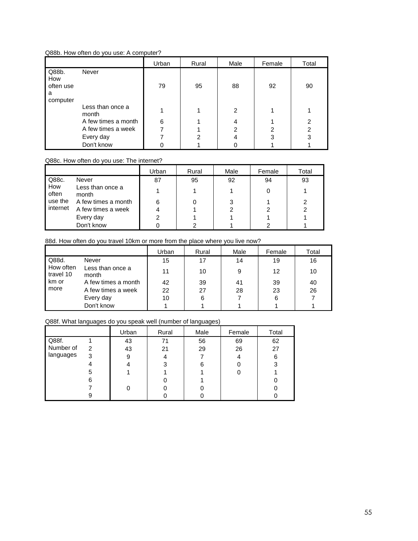## Q88b. How often do you use: A computer?

|                                            |                           | Urban | Rural | Male           | Female | Total          |
|--------------------------------------------|---------------------------|-------|-------|----------------|--------|----------------|
| Q88b.<br>How<br>often use<br>a<br>computer | Never                     | 79    | 95    | 88             | 92     | 90             |
|                                            | Less than once a<br>month |       |       | $\overline{2}$ |        |                |
|                                            | A few times a month       | 6     |       | 4              |        | 2              |
|                                            | A few times a week        |       |       | 2              | 2      | $\mathfrak{p}$ |
|                                            | Every day                 |       | 2     |                | 3      | 3              |
|                                            | Don't know                |       |       |                |        |                |

## Q88c. How often do you use: The internet?

|                     |                           | Urban | Rural | Male | Female | Total |
|---------------------|---------------------------|-------|-------|------|--------|-------|
| Q88c.               | Never                     | 87    | 95    | 92   | 94     | 93    |
| How<br>often        | Less than once a<br>month |       |       |      |        |       |
| use the<br>internet | A few times a month       | 6     |       |      |        |       |
|                     | A few times a week        |       |       |      |        |       |
|                     | Every day                 |       |       |      |        |       |
|                     | Don't know                |       |       |      |        |       |

## 88d. How often do you travel 10km or more from the place where you live now?

|                                          |                           | Urban | Rural | Male | Female | Total |
|------------------------------------------|---------------------------|-------|-------|------|--------|-------|
| Q88d.<br>How often<br>travel 10<br>km or | Never                     | 15    | 17    | 14   | 19     | 16    |
|                                          | Less than once a<br>month | 11    | 10    | 9    | 12     | 10    |
|                                          | A few times a month       | 42    | 39    | 41   | 39     | 40    |
| more                                     | A few times a week        | 22    | 27    | 28   | 23     | 26    |
|                                          | Every day                 | 10    | 6     |      | 6      |       |
|                                          | Don't know                |       |       |      |        |       |

# Q88f. What languages do you speak well (number of languages)

|           |   | Urban | Rural | Male | Female | Total |
|-----------|---|-------|-------|------|--------|-------|
| Q88f.     |   | 43    | 71    | 56   | 69     | 62    |
| Number of | 2 | 43    | 21    | 29   | 26     | 27    |
| languages | 3 | 9     |       |      | 4      | 6     |
|           |   |       | 3     |      |        | 3     |
|           | 5 |       |       |      |        |       |
|           | 6 |       |       |      |        |       |
|           |   |       |       |      |        |       |
|           | 9 |       |       |      |        |       |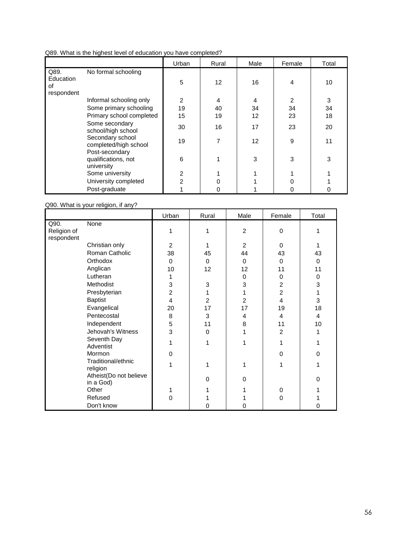| Q89. What is the highest level of education you have completed? |  |
|-----------------------------------------------------------------|--|
|-----------------------------------------------------------------|--|

|                   |                                                     | Urban | Rural | Male | Female | Total |
|-------------------|-----------------------------------------------------|-------|-------|------|--------|-------|
| Q89.<br>Education | No formal schooling                                 | 5     | 12    | 16   | 4      | 10    |
| οf<br>respondent  |                                                     |       |       |      |        |       |
|                   | Informal schooling only                             | 2     | 4     | 4    | 2      | 3     |
|                   | Some primary schooling                              | 19    | 40    | 34   | 34     | 34    |
|                   | Primary school completed                            | 15    | 19    | 12   | 23     | 18    |
|                   | Some secondary<br>school/high school                | 30    | 16    | 17   | 23     | 20    |
|                   | Secondary school<br>completed/high school           | 19    | 7     | 12   | 9      | 11    |
|                   | Post-secondary<br>qualifications, not<br>university | 6     |       | 3    | 3      | 3     |
|                   | Some university                                     | 2     |       |      |        |       |
|                   | University completed                                | 2     |       |      |        |       |
|                   | Post-graduate                                       |       |       |      |        | 0     |

Q90. What is your religion, if any?

|             |                                    | Urban          | Rural          | Male           | Female         | Total          |
|-------------|------------------------------------|----------------|----------------|----------------|----------------|----------------|
| Q90.        | None                               |                |                |                |                |                |
| Religion of |                                    | 1              | 1              | 2              | 0              |                |
| respondent  | Christian only                     | $\overline{2}$ |                | $\overline{2}$ | $\Omega$       |                |
|             | Roman Catholic                     | 38             | 45             | 44             | 43             | 43             |
|             | Orthodox                           | 0              | $\Omega$       | $\Omega$       | 0              | $\Omega$       |
|             | Anglican                           | 10             | 12             | 12             | 11             | 11             |
|             | Lutheran                           | 1              |                | $\Omega$       | 0              | $\Omega$       |
|             | Methodist                          | 3              | 3              | 3              | $\overline{2}$ | 3              |
|             | Presbyterian                       | $\overline{c}$ |                |                | $\overline{2}$ |                |
|             | <b>Baptist</b>                     | 4              | $\overline{2}$ | 2              | $\overline{4}$ | 3              |
|             | Evangelical                        | 20             | 17             | 17             | 19             | 18             |
|             | Pentecostal                        | 8              | 3              | 4              | $\overline{4}$ | $\overline{4}$ |
|             | Independent                        | 5              | 11             | 8              | 11             | 10             |
|             | Jehovah's Witness                  | 3              | $\Omega$       |                | $\overline{2}$ | 1              |
|             | Seventh Day                        | 1              | 1              |                | 1              |                |
|             | Adventist                          |                |                |                |                |                |
|             | Mormon                             | 0              |                |                | $\mathbf{0}$   | $\Omega$       |
|             | Traditional/ethnic                 | 1              |                |                |                |                |
|             | religion<br>Atheist(Do not believe |                |                |                |                |                |
|             | in a God)                          |                | 0              | 0              |                | $\Omega$       |
|             | Other                              | 1              |                |                | 0              |                |
|             | Refused                            | 0              |                |                | 0              |                |
|             | Don't know                         |                |                |                |                | 0              |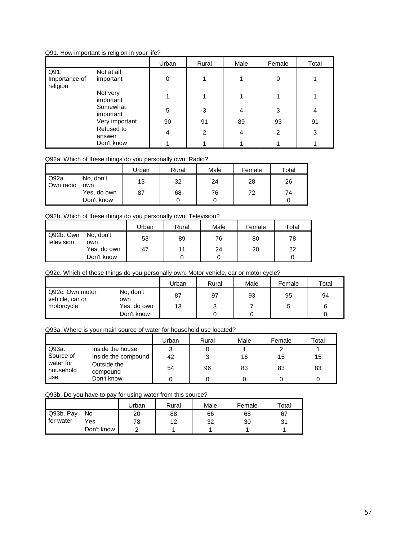## Q91. How important is religion in your life?

|                                   |                         | Urban | Rural          | Male | Female | Total |
|-----------------------------------|-------------------------|-------|----------------|------|--------|-------|
| Q91.<br>Importance of<br>religion | Not at all<br>important | 0     |                | 4    | 0      |       |
|                                   | Not very<br>important   |       |                |      |        |       |
|                                   | Somewhat<br>important   | 5     | 3              | 4    | 3      | 4     |
|                                   | Very important          | 90    | 91             | 89   | 93     | 91    |
|                                   | Refused to<br>answer    | 4     | $\overline{2}$ | 4    | 2      | 3     |
|                                   | Don't know              |       |                |      |        |       |

## Q92a. Which of these things do you personally own: Radio?

|                    |                  | Urban | Rural | Male | Female | Total |
|--------------------|------------------|-------|-------|------|--------|-------|
| Q92a.<br>Own radio | No. don't<br>own | 13    | 32    | 24   | 28     | 26    |
|                    | Yes, do own      | 87    | 68    | 76   | 72     | 74    |
|                    | Don't know       |       |       |      |        |       |

# Q92b. Which of these things do you personally own: Television?

|                         |                  | Urban | Rural | Male | Female | Total |
|-------------------------|------------------|-------|-------|------|--------|-------|
| Q92b. Own<br>television | No. don't<br>own | 53    | 89    | 76   | 80     | 78    |
|                         | Yes, do own      | 47    | 11    | 24   | 20     | 22    |
|                         | Don't know       |       |       |      |        |       |

Q92c. Which of these things do you personally own: Motor vehicle, car or motor cycle?

|                                    |                  | Urban | Rural | Male | Female | Total |
|------------------------------------|------------------|-------|-------|------|--------|-------|
| Q92c. Own motor<br>vehicle, car or | No, don't<br>own | 87    | 97    | 93   | 95     | 94    |
| motorcycle                         | Yes, do own      | 13    | າ     |      |        | 6     |
|                                    | Don't know       |       |       |      |        |       |

Q93a. Where is your main source of water for household use located?

|                        |                         | Jrban | Rural | Male | Female | Total |
|------------------------|-------------------------|-------|-------|------|--------|-------|
| ' Q93a.                | Inside the house        | 3     |       |      |        |       |
| Source of              | Inside the compound     | 42    | 3     | 16   | 15     | 15    |
| water for<br>household | Outside the<br>compound | 54    | 96    | 83   | 83     | 83    |
| use                    | Don't know              |       |       |      |        |       |

Q93b. Do you have to pay for using water from this source?

|             |            | Urban | Rural | Male | Female | $\tau$ otal |
|-------------|------------|-------|-------|------|--------|-------------|
| Q93b. Pay   | No         | 20    | 88    | 66   | 68     | 67          |
| I for water | Yes        | 78    | 12    | 32   | 30     | 31          |
|             | Don't know |       |       |      |        |             |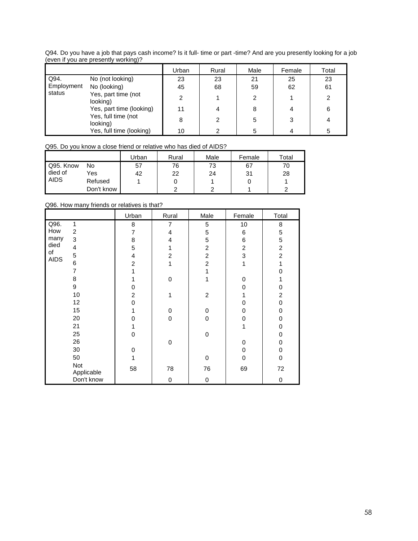| even il you are presently working)? |                                 |       |       |      |        |       |  |  |  |  |
|-------------------------------------|---------------------------------|-------|-------|------|--------|-------|--|--|--|--|
|                                     |                                 | Urban | Rural | Male | Female | Total |  |  |  |  |
| Q94.                                | No (not looking)                | 23    | 23    | 21   | 25     | 23    |  |  |  |  |
| Employment<br>status                | No (looking)                    | 45    | 68    | 59   | 62     | 61    |  |  |  |  |
|                                     | Yes, part time (not<br>looking) | 2     |       |      |        |       |  |  |  |  |
|                                     | Yes, part time (looking)        | 11    |       |      |        | 6     |  |  |  |  |
|                                     | Yes, full time (not<br>looking) | 8     | 2     |      | 3      |       |  |  |  |  |
|                                     | Yes, full time (looking)        | 10    |       |      |        |       |  |  |  |  |

Q94. Do you have a job that pays cash income? Is it full- time or part -time? And are you presently looking for a job (even if you are presently working)?

Q95. Do you know a close friend or relative who has died of AIDS?

|             |            | Jrban | Rural | Male | Female | Total |
|-------------|------------|-------|-------|------|--------|-------|
| Q95. Know   | No         | 57    | 76    | 73   | 67     | 70    |
| died of     | Yes        | 42    | 22    | 24   | 31     | 28    |
| <b>AIDS</b> | Refused    |       | U     |      |        |       |
|             | Don't know |       |       |      |        |       |

Q96. How many friends or relatives is that?

|                   |                | Urban          | Rural          | Male           | Female         | Total          |
|-------------------|----------------|----------------|----------------|----------------|----------------|----------------|
| Q96.              | 1              | 8              | 7              | 5              | 10             | 8              |
| How               | $\overline{2}$ | 7              | 4              | 5              | 6              | 5              |
| many              | 3              | 8              | 4              | 5              | 6              | 5              |
| died              | 4              | 5              | 1              | $\overline{2}$ | $\overline{c}$ | $\overline{2}$ |
| of<br><b>AIDS</b> | 5              | 4              | $\overline{2}$ | $\overline{2}$ | 3              | $\overline{2}$ |
|                   | 6              | $\overline{c}$ | 1              | $\overline{c}$ | 1              |                |
|                   | 7              | 1              |                | 1              |                | ი              |
|                   | 8              |                | $\Omega$       | 1              | 0              |                |
|                   | 9              | 0              |                |                | 0              | 0              |
|                   | 10             | $\overline{c}$ | 1              | $\overline{2}$ |                | $\overline{2}$ |
|                   | 12             | 0              |                |                | 0              | $\Omega$       |
|                   | 15             | 1              | 0              | 0              | 0              | 0              |
|                   | 20             | 0              | $\Omega$       | 0              | 0              | 0              |
|                   | 21             | 1              |                |                | 1              | 0              |
|                   | 25             | 0              |                | 0              |                | 0              |
|                   | 26             |                | $\Omega$       |                | 0              | 0              |
|                   | 30             | 0              |                |                | 0              | 0              |
|                   | 50             |                |                | 0              | 0              | $\Omega$       |
|                   | Not            | 58             | 78             | 76             | 69             | 72             |
|                   | Applicable     |                |                |                |                |                |
|                   | Don't know     |                | 0              | 0              |                | 0              |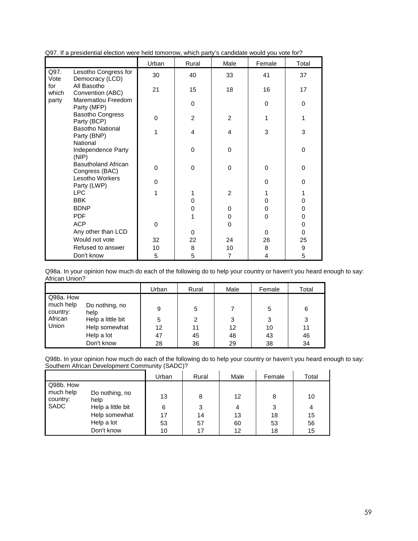|              |                                                    | Urban        | Rural          | Male           | Female      | Total        |
|--------------|----------------------------------------------------|--------------|----------------|----------------|-------------|--------------|
| Q97.<br>Vote | Lesotho Congress for<br>Democracy (LCD)            | 30           | 40             | 33             | 41          | 37           |
| for<br>which | All Basotho<br>Convention (ABC)                    | 21           | 15             | 18             | 16          | 17           |
| party        | Marematlou Freedom<br>Party (MFP)                  |              | 0              |                | $\Omega$    | $\Omega$     |
|              | <b>Basotho Congress</b><br>Party (BCP)             | 0            | $\overline{2}$ | $\overline{2}$ | 1           | 1            |
|              | <b>Basotho National</b><br>Party (BNP)<br>National | 1            | 4              | 4              | 3           | 3            |
|              | Independence Party<br>(NIP)                        |              | 0              | 0              |             | 0            |
|              | <b>Basutholand African</b><br>Congress (BAC)       | $\mathbf{0}$ | 0              | $\Omega$       | $\Omega$    | $\mathbf{0}$ |
|              | Lesotho Workers<br>Party (LWP)                     | 0            |                |                | 0           | 0            |
|              | <b>LPC</b>                                         | 1            | 1              | 2              |             |              |
|              | <b>BBK</b>                                         |              | 0              |                | 0           | 0            |
|              | <b>BDNP</b>                                        |              | 0              | 0              | $\mathbf 0$ | 0            |
|              | <b>PDF</b>                                         |              | 1              | 0              | $\Omega$    | 0            |
|              | <b>ACP</b>                                         | $\mathbf 0$  |                | 0              |             | 0            |
|              | Any other than LCD                                 |              | 0              |                | $\Omega$    | $\mathbf{0}$ |
|              | Would not vote                                     | 32           | 22             | 24             | 26          | 25           |
|              | Refused to answer                                  | 10           | 8              | 10             | 8           | 9            |
|              | Don't know                                         | 5            | 5              | $\overline{7}$ | 4           | 5            |

|  |  |  |  |  | Q97. If a presidential election were held tomorrow, which party's candidate would you vote for? |
|--|--|--|--|--|-------------------------------------------------------------------------------------------------|
|  |  |  |  |  |                                                                                                 |

Q98a. In your opinion how much do each of the following do to help your country or haven't you heard enough to say: African Union?

|                                               |                                             | Urban          | Rural          | Male           | Female         | Total          |
|-----------------------------------------------|---------------------------------------------|----------------|----------------|----------------|----------------|----------------|
| Q98a. How<br>much help<br>country:<br>African | Do nothing, no<br>help<br>Help a little bit | 9<br>5         | 5<br>2         | 3              | 5<br>3         | 6<br>3         |
| Union                                         | Help somewhat<br>Help a lot<br>Don't know   | 12<br>47<br>28 | 11<br>45<br>36 | 12<br>48<br>29 | 10<br>43<br>38 | 11<br>46<br>34 |

Q98b. In your opinion how much do each of the following do to help your country or haven't you heard enough to say: Southern African Development Community (SADC)?  $\blacksquare$ 

|                                                   |                                                                                          | Urban                     | Rural                    | Male                      | Female                   | Total                                  |
|---------------------------------------------------|------------------------------------------------------------------------------------------|---------------------------|--------------------------|---------------------------|--------------------------|----------------------------------------|
| Q98b. How<br>much help<br>country:<br><b>SADC</b> | Do nothing, no<br>help<br>Help a little bit<br>Help somewhat<br>Help a lot<br>Don't know | 13<br>6<br>17<br>53<br>10 | 8<br>3<br>14<br>57<br>17 | 12<br>4<br>13<br>60<br>12 | 8<br>3<br>18<br>53<br>18 | 10<br>$\overline{4}$<br>15<br>56<br>15 |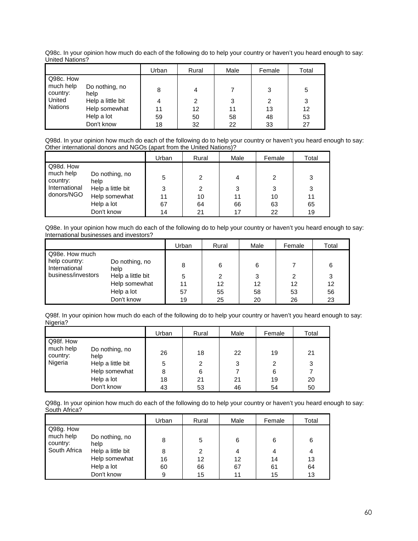Q98c. In your opinion how much do each of the following do to help your country or haven't you heard enough to say: United Nations?

|                       |                        | Urban | Rural | Male | Female | Total |
|-----------------------|------------------------|-------|-------|------|--------|-------|
| Q98c. How             |                        |       |       |      |        |       |
| much help<br>country: | Do nothing, no<br>help | 8     | 4     |      | 3      | 5     |
| <b>United</b>         | Help a little bit      | 4     | 2     | 3    | 2      | 3     |
| Nations               | Help somewhat          | 11    | 12    | 11   | 13     | 12    |
|                       | Help a lot             | 59    | 50    | 58   | 48     | 53    |
|                       | Don't know             | 18    | 32    | 22   | 33     | 27    |

Q98d. In your opinion how much do each of the following do to help your country or haven't you heard enough to say: Other international donors and NGOs (apart from the United Nations)?

|                           |                           | Urban | Rural | Male | Female | Total |
|---------------------------|---------------------------|-------|-------|------|--------|-------|
| Q98d. How<br>much help    | Do nothing, no            | 5     | 2     | 4    | 2      | 3     |
| country:<br>International | help<br>Help a little bit | 3     | 2     | 3    | 3      | 3     |
| donors/NGO                | Help somewhat             | 11    | 10    | 11   | 10     | 11    |
|                           | Help a lot                | 67    | 64    | 66   | 63     | 65    |
|                           | Don't know                | 14    | 21    | 17   | 22     | 19    |

Q98e. In your opinion how much do each of the following do to help your country or haven't you heard enough to say: International businesses and investors?

|                                 |                        | Urban | Rural | Male | Female | Total |
|---------------------------------|------------------------|-------|-------|------|--------|-------|
| Q98e. How much<br>help country: |                        |       |       |      |        |       |
| International                   | Do nothing, no<br>help | 8     | 6     | 6    |        | 6     |
| business/investors              | Help a little bit      | 5     | 2     | 3    | 2      | 3     |
|                                 | Help somewhat          | 11    | 12    | 12   | 12     | 12    |
|                                 | Help a lot             | 57    | 55    | 58   | 53     | 56    |
|                                 | Don't know             | 19    | 25    | 20   | 26     | 23    |

Q98f. In your opinion how much do each of the following do to help your country or haven't you heard enough to say: Nigeria?

|                       |                        | Urban | Rural | Male | Female | Total |
|-----------------------|------------------------|-------|-------|------|--------|-------|
| Q98f. How             |                        |       |       |      |        |       |
| much help<br>country: | Do nothing, no<br>help | 26    | 18    | 22   | 19     | 21    |
| Nigeria               | Help a little bit      | 5     | 2     | 3    | 2      | 3     |
|                       | Help somewhat          | 8     | 6     |      | 6      |       |
|                       | Help a lot             | 18    | 21    | 21   | 19     | 20    |
|                       | Don't know             | 43    | 53    | 46   | 54     | 50    |

Q98g. In your opinion how much do each of the following do to help your country or haven't you heard enough to say: South Africa?

|                       |                        | Urban | Rural | Male | Female | Total |
|-----------------------|------------------------|-------|-------|------|--------|-------|
| Q98g. How             |                        |       |       |      |        |       |
| much help<br>country: | Do nothing, no<br>help | 8     | 5     | 6    | 6      | 6     |
| South Africa          | Help a little bit      | 8     | 2     | 4    | 4      | 4     |
|                       | Help somewhat          | 16    | 12    | 12   | 14     | 13    |
|                       | Help a lot             | 60    | 66    | 67   | 61     | 64    |
|                       | Don't know             | 9     | 15    | 11   | 15     | 13    |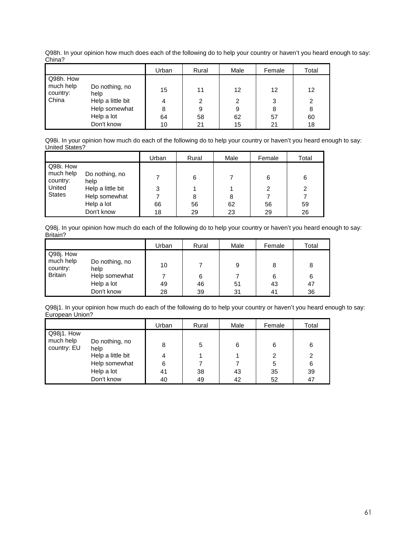Q98h. In your opinion how much does each of the following do to help your country or haven't you heard enough to say: China?

|                       |                        | Urban | Rural | Male | Female | Total |
|-----------------------|------------------------|-------|-------|------|--------|-------|
| Q98h. How             |                        |       |       |      |        |       |
| much help<br>country: | Do nothing, no<br>help | 15    | 11    | 12   | 12     | 12    |
| <b>I</b> China        | Help a little bit      |       | 2     | 2    | 3      | 2     |
|                       | Help somewhat          |       | 9     | 9    | 8      | 8     |
|                       | Help a lot             | 64    | 58    | 62   | 57     | 60    |
|                       | Don't know             | 10    | 21    | 15   | 21     | 18    |

Q98i. In your opinion how much do each of the following do to help your country or haven't you heard enough to say: United States?

|                        |                   | Urban | Rural | Male | Female | Total |
|------------------------|-------------------|-------|-------|------|--------|-------|
| Q98i. How<br>much help | Do nothing, no    |       |       |      |        |       |
| country:               | help              |       | 6     |      | 6      | 6     |
| United                 | Help a little bit | 3     |       |      | 2      | 2     |
| <b>States</b>          | Help somewhat     |       | 8     | 8    |        |       |
|                        | Help a lot        | 66    | 56    | 62   | 56     | 59    |
|                        | Don't know        | 18    | 29    | 23   | 29     | 26    |

Q98j. In your opinion how much do each of the following do to help your country or haven't you heard enough to say: Britain?

|                        |                | Urban | Rural | Male | Female | Total |
|------------------------|----------------|-------|-------|------|--------|-------|
| Q98j. How<br>much help | Do nothing, no |       |       |      |        |       |
| country:               | help           | 10    |       | 9    | 8      | 8     |
| <b>Britain</b>         | Help somewhat  |       | 6     |      | 6      | 6     |
|                        | Help a lot     | 49    | 46    | 51   | 43     | 47    |
|                        | Don't know     | 28    | 39    | 31   | 41     | 36    |

Q98j1. In your opinion how much do each of the following do to help your country or haven't you heard enough to say: European Union?

|                          |                        | Urban | Rural | Male | Female | Total |
|--------------------------|------------------------|-------|-------|------|--------|-------|
| Q98j1. How               |                        |       |       |      |        |       |
| much help<br>country: EU | Do nothing, no<br>help | 8     | 5     | 6    | 6      | 6     |
|                          | Help a little bit      | 4     |       |      | 2      | 2     |
|                          | Help somewhat          | 6     |       |      | 5      | 6     |
|                          | Help a lot             | 41    | 38    | 43   | 35     | 39    |
|                          | Don't know             | 40    | 49    | 42   | 52     | 47    |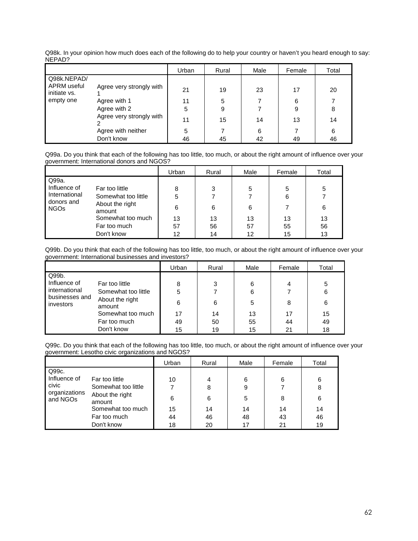|                             |                          | Urban | Rural | Male | Female | Total |
|-----------------------------|--------------------------|-------|-------|------|--------|-------|
| Q98k.NEPAD/                 |                          |       |       |      |        |       |
| APRM useful<br>initiate vs. | Agree very strongly with | 21    | 19    | 23   | 17     | 20    |
| empty one                   | Agree with 1             | 11    | 5     |      | 6      |       |
|                             | Agree with 2             | 5     | 9     |      | 9      | 8     |
|                             | Agree very strongly with | 11    | 15    | 14   | 13     | 14    |
|                             | Agree with neither       | 5     |       | 6    |        | 6     |
|                             | Don't know               | 46    | 45    | 42   | 49     | 46    |

Q98k. In your opinion how much does each of the following do to help your country or haven't you heard enough to say: NEPAD?

Q99a. Do you think that each of the following has too little, too much, or about the right amount of influence over your government: International donors and NGOS?

|                                               |                     | Urban | Rural | Male | Female | Total |
|-----------------------------------------------|---------------------|-------|-------|------|--------|-------|
| Q99a.                                         |                     |       |       |      |        |       |
| Influence of                                  | Far too little      | 8     | 3     | 5    | 5      | 5     |
| International<br>donors and<br>NGOs<br>amount | Somewhat too little | 5     |       |      | 6      |       |
|                                               | About the right     | 6     | 6     | 6    |        | 6     |
|                                               | Somewhat too much   | 13    | 13    | 13   | 13     | 13    |
|                                               | Far too much        | 57    | 56    | 57   | 55     | 56    |
|                                               | Don't know          | 12    | 14    | 12   | 15     | 13    |

Q99b. Do you think that each of the following has too little, too much, or about the right amount of influence over your government: International businesses and investors?

|                             |                           | Urban | Rural | Male | Female | Total |
|-----------------------------|---------------------------|-------|-------|------|--------|-------|
| Q99b.                       |                           |       |       |      |        |       |
| Influence of                | Far too little            | 8     | 3     | 6    | 4      | 5     |
| international               | Somewhat too little       |       |       | 6    |        | 6     |
| businesses and<br>investors | About the right<br>amount | 6     | 6     | 5    | 8      | 6     |
|                             | Somewhat too much         | 17    | 14    | 13   | 17     | 15    |
|                             | Far too much              | 49    | 50    | 55   | 44     | 49    |
|                             | Don't know                | 15    | 19    | 15   | 21     | 18    |

Q99c. Do you think that each of the following has too little, too much, or about the right amount of influence over your government: Lesotho civic organizations and NGOS?

|                                                    |                           | Urban | Rural | Male | Female | Total |
|----------------------------------------------------|---------------------------|-------|-------|------|--------|-------|
| Q99c.                                              |                           |       |       |      |        |       |
| Influence of<br>civic<br>organizations<br>and NGOs | Far too little            | 10    | 4     | 6    | 6      | 6     |
|                                                    | Somewhat too little       | 7     | 8     | 9    |        | 8     |
|                                                    | About the right<br>amount | 6     | 6     | 5    | 8      | 6     |
|                                                    | Somewhat too much         | 15    | 14    | 14   | 14     | 14    |
|                                                    | Far too much              | 44    | 46    | 48   | 43     | 46    |
|                                                    | Don't know                | 18    | 20    | 17   | 21     | 19    |